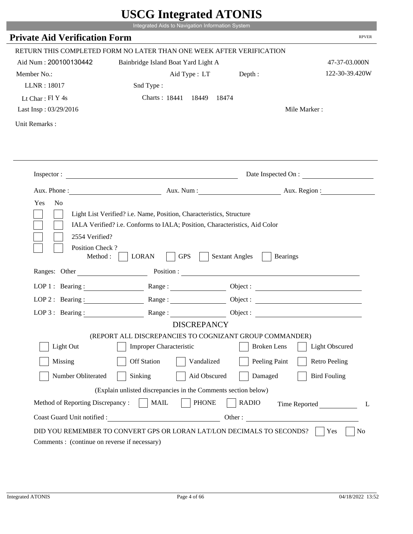|                                                               | UDUU IIIIU ARUU ATUNID<br>Integrated Aids to Navigation Information System                                                                         |                                                                                                                                                                                                                                |
|---------------------------------------------------------------|----------------------------------------------------------------------------------------------------------------------------------------------------|--------------------------------------------------------------------------------------------------------------------------------------------------------------------------------------------------------------------------------|
| <b>Private Aid Verification Form</b>                          |                                                                                                                                                    | <b>RPVER</b>                                                                                                                                                                                                                   |
|                                                               |                                                                                                                                                    |                                                                                                                                                                                                                                |
|                                                               | RETURN THIS COMPLETED FORM NO LATER THAN ONE WEEK AFTER VERIFICATION                                                                               |                                                                                                                                                                                                                                |
| Aid Num: 200100130442                                         | Bainbridge Island Boat Yard Light A                                                                                                                | 47-37-03.000N                                                                                                                                                                                                                  |
| Member No.:                                                   | Aid Type : LT Depth :                                                                                                                              | 122-30-39.420W                                                                                                                                                                                                                 |
| LLNR: 18017                                                   | Snd Type:                                                                                                                                          |                                                                                                                                                                                                                                |
| Lt Char: Fl Y 4s                                              | Charts: 18441 18449<br>18474                                                                                                                       | Mile Marker:                                                                                                                                                                                                                   |
| Last Insp: 03/29/2016                                         |                                                                                                                                                    |                                                                                                                                                                                                                                |
| Unit Remarks:                                                 |                                                                                                                                                    |                                                                                                                                                                                                                                |
|                                                               |                                                                                                                                                    |                                                                                                                                                                                                                                |
|                                                               | Inspector:                                                                                                                                         | Date Inspected On :                                                                                                                                                                                                            |
| Aux. Phone :                                                  |                                                                                                                                                    | Aux. Num: Aux. Region:                                                                                                                                                                                                         |
| Yes<br>N <sub>o</sub>                                         | Light List Verified? i.e. Name, Position, Characteristics, Structure<br>IALA Verified? i.e. Conforms to IALA; Position, Characteristics, Aid Color |                                                                                                                                                                                                                                |
| 2554 Verified?<br>Position Check?<br>Method:<br>Ranges: Other | <b>GPS</b><br><b>LORAN</b>                                                                                                                         | <b>Sextant Angles</b><br><b>Bearings</b>                                                                                                                                                                                       |
|                                                               |                                                                                                                                                    | Position : The Contract of the Contract of the Contract of the Contract of the Contract of the Contract of the Contract of the Contract of the Contract of the Contract of the Contract of the Contract of the Contract of the |
| LOP 1 : Bearing :                                             |                                                                                                                                                    | Object :                                                                                                                                                                                                                       |
| $LOP$ 2 : Bearing :                                           | Range :                                                                                                                                            |                                                                                                                                                                                                                                |
| LOP $3:$ Bearing :                                            | Range:                                                                                                                                             |                                                                                                                                                                                                                                |
|                                                               | <b>DISCREPANCY</b>                                                                                                                                 |                                                                                                                                                                                                                                |
| Light Out                                                     | (REPORT ALL DISCREPANCIES TO COGNIZANT GROUP COMMANDER)<br><b>Improper Characteristic</b>                                                          | <b>Broken</b> Lens<br><b>Light Obscured</b>                                                                                                                                                                                    |
|                                                               |                                                                                                                                                    |                                                                                                                                                                                                                                |
| Missing                                                       | <b>Off Station</b><br>Vandalized                                                                                                                   | Peeling Paint<br><b>Retro Peeling</b>                                                                                                                                                                                          |
| Number Obliterated                                            | Sinking<br>Aid Obscured                                                                                                                            | Damaged<br><b>Bird Fouling</b>                                                                                                                                                                                                 |
|                                                               | (Explain unlisted discrepancies in the Comments section below)                                                                                     |                                                                                                                                                                                                                                |
| Method of Reporting Discrepancy:                              | <b>PHONE</b><br><b>MAIL</b>                                                                                                                        | <b>RADIO</b><br>Time Reported<br>L                                                                                                                                                                                             |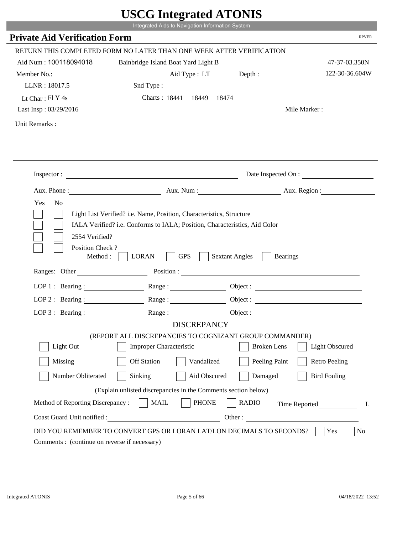|                                               | UDUU IIIIU ARUU ATUNID<br>Integrated Aids to Navigation Information System |                                                                                                                                                                                                                                                                            |                                 |
|-----------------------------------------------|----------------------------------------------------------------------------|----------------------------------------------------------------------------------------------------------------------------------------------------------------------------------------------------------------------------------------------------------------------------|---------------------------------|
| <b>Private Aid Verification Form</b>          |                                                                            |                                                                                                                                                                                                                                                                            | <b>RPVER</b>                    |
|                                               |                                                                            |                                                                                                                                                                                                                                                                            |                                 |
|                                               | RETURN THIS COMPLETED FORM NO LATER THAN ONE WEEK AFTER VERIFICATION       |                                                                                                                                                                                                                                                                            |                                 |
| Aid Num: 100118094018                         | Bainbridge Island Boat Yard Light B                                        |                                                                                                                                                                                                                                                                            | 47-37-03.350N<br>122-30-36.604W |
| Member No.:<br>LLNR: 18017.5                  | Aid Type : LT Depth :                                                      |                                                                                                                                                                                                                                                                            |                                 |
|                                               | Snd Type:<br>Charts: 18441 18449                                           | 18474                                                                                                                                                                                                                                                                      |                                 |
| Lt Char: Fl Y 4s<br>Last Insp: 03/29/2016     |                                                                            |                                                                                                                                                                                                                                                                            | Mile Marker:                    |
|                                               |                                                                            |                                                                                                                                                                                                                                                                            |                                 |
| Unit Remarks:                                 |                                                                            |                                                                                                                                                                                                                                                                            |                                 |
|                                               |                                                                            |                                                                                                                                                                                                                                                                            |                                 |
|                                               |                                                                            |                                                                                                                                                                                                                                                                            |                                 |
|                                               | Inspector:                                                                 |                                                                                                                                                                                                                                                                            | Date Inspected On :             |
| Aux. Phone :                                  |                                                                            | Aux. Num: Aux. Region:                                                                                                                                                                                                                                                     |                                 |
| Position Check?<br>Method:<br>Ranges: Other   | <b>GPS</b><br><b>LORAN</b>                                                 | <b>Sextant Angles</b><br><b>Bearings</b><br>Position : The Contract of the Contract of the Contract of the Contract of the Contract of the Contract of the Contract of the Contract of the Contract of the Contract of the Contract of the Contract of the Contract of the |                                 |
| LOP 1 : Bearing :                             |                                                                            | Object :                                                                                                                                                                                                                                                                   |                                 |
| $LOP$ 2 : Bearing :                           | Range:                                                                     |                                                                                                                                                                                                                                                                            |                                 |
| LOP $3$ : Bearing :                           | Range:                                                                     |                                                                                                                                                                                                                                                                            |                                 |
|                                               | <b>DISCREPANCY</b>                                                         |                                                                                                                                                                                                                                                                            |                                 |
|                                               | (REPORT ALL DISCREPANCIES TO COGNIZANT GROUP COMMANDER)                    |                                                                                                                                                                                                                                                                            |                                 |
| Light Out                                     | <b>Improper Characteristic</b>                                             | <b>Broken</b> Lens                                                                                                                                                                                                                                                         | <b>Light Obscured</b>           |
| Missing                                       | <b>Off Station</b><br>Vandalized                                           | Peeling Paint                                                                                                                                                                                                                                                              | <b>Retro Peeling</b>            |
| Number Obliterated                            | Sinking<br>Aid Obscured                                                    | Damaged                                                                                                                                                                                                                                                                    | <b>Bird Fouling</b>             |
|                                               | (Explain unlisted discrepancies in the Comments section below)             |                                                                                                                                                                                                                                                                            |                                 |
| Method of Reporting Discrepancy:              | <b>PHONE</b><br><b>MAIL</b>                                                | <b>RADIO</b>                                                                                                                                                                                                                                                               | Time Reported<br>L              |
| Coast Guard Unit notified :                   | <u> 1980 - Johann Barbara, martin d</u>                                    | Other:                                                                                                                                                                                                                                                                     |                                 |
|                                               | DID YOU REMEMBER TO CONVERT GPS OR LORAN LAT/LON DECIMALS TO SECONDS?      |                                                                                                                                                                                                                                                                            | Yes<br>N <sub>0</sub>           |
| Comments : (continue on reverse if necessary) |                                                                            |                                                                                                                                                                                                                                                                            |                                 |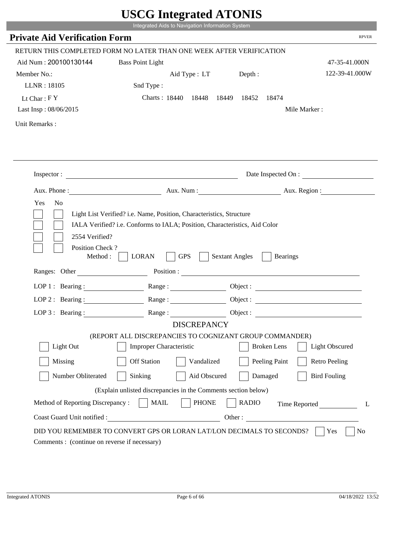|                                                      | Integrated Aids to Navigation Information System                                                                                                   |                       |                    |                       |              |
|------------------------------------------------------|----------------------------------------------------------------------------------------------------------------------------------------------------|-----------------------|--------------------|-----------------------|--------------|
| <b>Private Aid Verification Form</b>                 |                                                                                                                                                    |                       |                    |                       | <b>RPVER</b> |
|                                                      | RETURN THIS COMPLETED FORM NO LATER THAN ONE WEEK AFTER VERIFICATION                                                                               |                       |                    |                       |              |
| Aid Num: 200100130144                                | <b>Bass Point Light</b>                                                                                                                            |                       |                    | 47-35-41.000N         |              |
| Member No.:                                          |                                                                                                                                                    | Depth:                |                    | 122-39-41.000W        |              |
| LLNR: 18105                                          | Aid Type : LT                                                                                                                                      |                       |                    |                       |              |
|                                                      | Snd Type:                                                                                                                                          |                       |                    |                       |              |
| Lt Char: $FY$                                        | Charts: 18440 18448 18449 18452 18474                                                                                                              |                       |                    |                       |              |
| Last Insp: 08/06/2015                                |                                                                                                                                                    |                       |                    | Mile Marker:          |              |
| Unit Remarks:                                        |                                                                                                                                                    |                       |                    |                       |              |
|                                                      |                                                                                                                                                    |                       |                    |                       |              |
|                                                      |                                                                                                                                                    |                       |                    |                       |              |
|                                                      |                                                                                                                                                    |                       |                    |                       |              |
|                                                      | Inspector:                                                                                                                                         |                       |                    | Date Inspected On :   |              |
| Aux. Phone :                                         |                                                                                                                                                    |                       |                    |                       |              |
| N <sub>o</sub><br>Yes<br>2554 Verified?              | Light List Verified? i.e. Name, Position, Characteristics, Structure<br>IALA Verified? i.e. Conforms to IALA; Position, Characteristics, Aid Color |                       |                    |                       |              |
| Position Check?<br>Method : $\vert$<br>Ranges: Other | <b>GPS</b><br><b>LORAN</b><br>Position :                                                                                                           | <b>Sextant Angles</b> | <b>Bearings</b>    |                       |              |
|                                                      |                                                                                                                                                    |                       |                    |                       |              |
|                                                      | LOP 1: Bearing : $\qquad \qquad$ Range :                                                                                                           |                       |                    |                       |              |
|                                                      | LOP 2 : Bearing : $\qquad \qquad$ Range :                                                                                                          |                       |                    |                       |              |
| LOP $3:$ Bearing :                                   | Range:                                                                                                                                             |                       |                    | Object:               |              |
|                                                      | <b>DISCREPANCY</b>                                                                                                                                 |                       |                    |                       |              |
| Light Out                                            | (REPORT ALL DISCREPANCIES TO COGNIZANT GROUP COMMANDER)                                                                                            |                       | <b>Broken</b> Lens |                       |              |
|                                                      | Improper Characteristic                                                                                                                            |                       |                    | <b>Light Obscured</b> |              |
| Missing                                              | <b>Off Station</b><br>Vandalized                                                                                                                   |                       | Peeling Paint      | <b>Retro Peeling</b>  |              |
| Number Obliterated                                   | Aid Obscured<br>Sinking                                                                                                                            |                       | Damaged            | <b>Bird Fouling</b>   |              |
|                                                      | (Explain unlisted discrepancies in the Comments section below)                                                                                     |                       |                    |                       |              |
| Method of Reporting Discrepancy:                     | <b>PHONE</b><br><b>MAIL</b>                                                                                                                        | <b>RADIO</b>          |                    | Time Reported         | L            |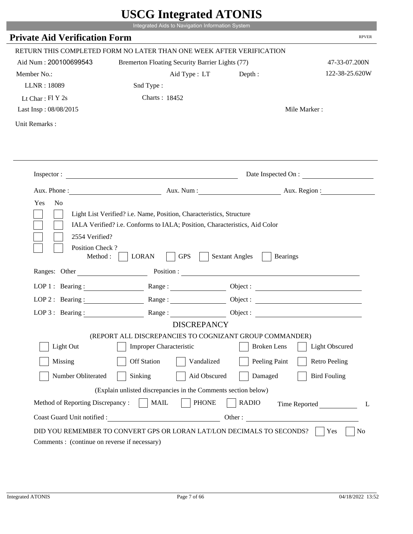|                                                       |                                                                                                                                                    | $\sigma$ most word in $\sigma$           |                       |
|-------------------------------------------------------|----------------------------------------------------------------------------------------------------------------------------------------------------|------------------------------------------|-----------------------|
|                                                       | Integrated Aids to Navigation Information System                                                                                                   |                                          |                       |
| <b>Private Aid Verification Form</b>                  |                                                                                                                                                    |                                          | <b>RPVER</b>          |
|                                                       | RETURN THIS COMPLETED FORM NO LATER THAN ONE WEEK AFTER VERIFICATION                                                                               |                                          |                       |
| Aid Num: 200100699543                                 | Bremerton Floating Security Barrier Lights (77)                                                                                                    |                                          | 47-33-07.200N         |
| Member No.:                                           | Aid Type : LT                                                                                                                                      | Depth :                                  | 122-38-25.620W        |
| LLNR: 18089                                           | Snd Type:                                                                                                                                          |                                          |                       |
| Lt Char: $FI Y 2s$                                    | Charts: 18452                                                                                                                                      |                                          |                       |
| Last Insp: 08/08/2015                                 |                                                                                                                                                    |                                          | Mile Marker:          |
| Unit Remarks:                                         |                                                                                                                                                    |                                          |                       |
|                                                       |                                                                                                                                                    |                                          |                       |
|                                                       | Inspector:                                                                                                                                         |                                          | Date Inspected On :   |
|                                                       | Aux. Phone: Aux. Num : Aux. Num : Aux. Region :                                                                                                    |                                          |                       |
| Yes<br>N <sub>o</sub>                                 | Light List Verified? i.e. Name, Position, Characteristics, Structure<br>IALA Verified? i.e. Conforms to IALA; Position, Characteristics, Aid Color |                                          |                       |
| 2554 Verified?<br>Position Check?<br>Method : $\vert$ | <b>GPS</b><br><b>LORAN</b><br>$\sim$ 1                                                                                                             | <b>Sextant Angles</b><br><b>Bearings</b> |                       |
| Ranges: Other                                         |                                                                                                                                                    | Position :                               |                       |
|                                                       | LOP 1: Bearing: Range:                                                                                                                             |                                          |                       |
|                                                       | LOP 2: Bearing: $\qquad \qquad \text{Range} :$                                                                                                     |                                          |                       |
| LOP $3:$ Bearing :                                    | Range:                                                                                                                                             |                                          | Object :              |
|                                                       | <b>DISCREPANCY</b>                                                                                                                                 |                                          |                       |
| Light Out                                             | (REPORT ALL DISCREPANCIES TO COGNIZANT GROUP COMMANDER)<br><b>Improper Characteristic</b>                                                          | <b>Broken</b> Lens                       | <b>Light Obscured</b> |
| Missing                                               | <b>Off Station</b><br>Vandalized                                                                                                                   | Peeling Paint                            | <b>Retro Peeling</b>  |
| Number Obliterated                                    | Sinking<br>Aid Obscured                                                                                                                            | Damaged                                  | <b>Bird Fouling</b>   |
|                                                       | (Explain unlisted discrepancies in the Comments section below)                                                                                     |                                          |                       |
| Method of Reporting Discrepancy:                      | <b>PHONE</b><br><b>MAIL</b>                                                                                                                        | <b>RADIO</b>                             | Time Reported         |

r.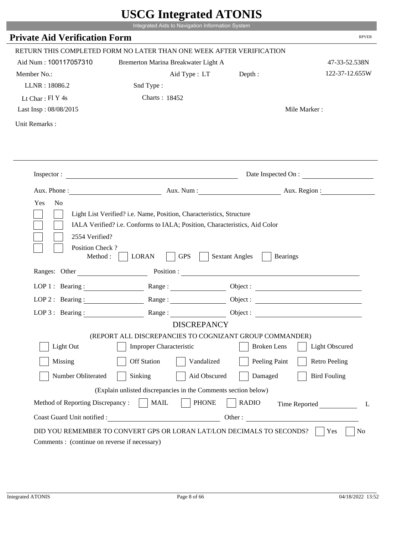|                                              | $\sim$<br>Integrated Aids to Navigation Information System                                                                                         |                       |                       |
|----------------------------------------------|----------------------------------------------------------------------------------------------------------------------------------------------------|-----------------------|-----------------------|
| <b>Private Aid Verification Form</b>         |                                                                                                                                                    |                       | <b>RPVER</b>          |
|                                              | RETURN THIS COMPLETED FORM NO LATER THAN ONE WEEK AFTER VERIFICATION                                                                               |                       |                       |
| Aid Num: 100117057310                        | Bremerton Marina Breakwater Light A                                                                                                                |                       | 47-33-52.538N         |
| Member No.:                                  | Aid Type: LT                                                                                                                                       | Depth:                | 122-37-12.655W        |
| LLNR: 18086.2                                | Snd Type:                                                                                                                                          |                       |                       |
| Lt Char: Fl Y 4s                             | Charts: 18452                                                                                                                                      |                       |                       |
| Last Insp: 08/08/2015                        |                                                                                                                                                    |                       | Mile Marker:          |
| Unit Remarks:                                |                                                                                                                                                    |                       |                       |
|                                              |                                                                                                                                                    |                       |                       |
|                                              | Inspector:                                                                                                                                         |                       | Date Inspected On :   |
|                                              | Aux. Phone : Aux. Num : Aux. Num : Aux. Aux. Region :                                                                                              |                       |                       |
| Yes<br>N <sub>o</sub><br>2554 Verified?      | Light List Verified? i.e. Name, Position, Characteristics, Structure<br>IALA Verified? i.e. Conforms to IALA; Position, Characteristics, Aid Color |                       |                       |
| Position Check?<br>Method :<br>Ranges: Other | <b>GPS</b><br><b>LORAN</b><br>Position :                                                                                                           | <b>Sextant Angles</b> | <b>Bearings</b>       |
|                                              | Range:                                                                                                                                             |                       |                       |
| LOP 1 : Bearing :                            |                                                                                                                                                    |                       |                       |
| $LOP$ 2 : Bearing :                          |                                                                                                                                                    |                       |                       |
|                                              | LOP 3: Bearing : $\qquad \qquad$ Range :<br><b>DISCREPANCY</b>                                                                                     |                       |                       |
|                                              | (REPORT ALL DISCREPANCIES TO COGNIZANT GROUP COMMANDER)                                                                                            |                       |                       |
| Light Out                                    | Improper Characteristic                                                                                                                            | <b>Broken</b> Lens    | <b>Light Obscured</b> |
| Missing                                      | <b>Off Station</b><br>Vandalized                                                                                                                   | Peeling Paint         | <b>Retro Peeling</b>  |
| Number Obliterated                           | Sinking<br>Aid Obscured                                                                                                                            | Damaged               | <b>Bird Fouling</b>   |
|                                              | (Explain unlisted discrepancies in the Comments section below)                                                                                     |                       |                       |
| Method of Reporting Discrepancy:             | <b>MAIL</b><br><b>PHONE</b>                                                                                                                        | <b>RADIO</b>          | Time Reported<br>L    |

p.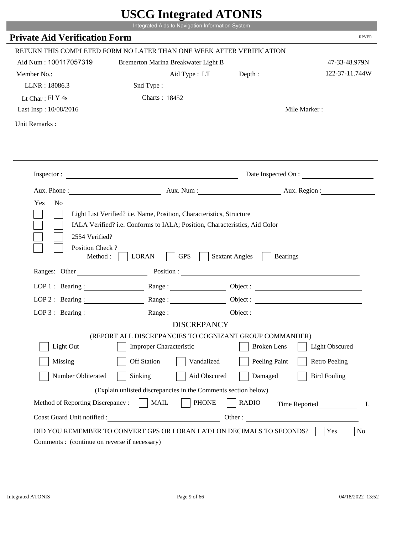|                                                                        | Integrated Aids to Navigation Information System                                                         |                                          |                       |
|------------------------------------------------------------------------|----------------------------------------------------------------------------------------------------------|------------------------------------------|-----------------------|
| <b>Private Aid Verification Form</b>                                   |                                                                                                          |                                          | <b>RPVER</b>          |
|                                                                        | RETURN THIS COMPLETED FORM NO LATER THAN ONE WEEK AFTER VERIFICATION                                     |                                          |                       |
| Aid Num: 100117057319                                                  | Bremerton Marina Breakwater Light B                                                                      |                                          | 47-33-48.979N         |
| Member No.:                                                            | Aid Type : LT                                                                                            | Depth :                                  | 122-37-11.744W        |
| LLNR: 18086.3                                                          | Snd Type:                                                                                                |                                          |                       |
| Lt Char: $FI$ Y 4s                                                     | Charts: 18452                                                                                            |                                          |                       |
| Last Insp: 10/08/2016                                                  |                                                                                                          |                                          | Mile Marker:          |
| Unit Remarks:                                                          |                                                                                                          |                                          |                       |
|                                                                        | Inspector:                                                                                               |                                          | Date Inspected On :   |
|                                                                        | Aux. Phone : Aux. Num : Aux. Num : Aux. Num : Aux. Region :                                              |                                          |                       |
| Yes<br>N <sub>o</sub>                                                  | Light List Verified? i.e. Name, Position, Characteristics, Structure                                     |                                          |                       |
| 2554 Verified?<br>Position Check?<br>Method : $\vert$<br>Ranges: Other | IALA Verified? i.e. Conforms to IALA; Position, Characteristics, Aid Color<br><b>GPS</b><br><b>LORAN</b> | <b>Sextant Angles</b><br><b>Bearings</b> |                       |
|                                                                        |                                                                                                          |                                          |                       |
|                                                                        | LOP 1: Bearing: Range:                                                                                   |                                          |                       |
| LOP 2: Bearing:                                                        | Range:                                                                                                   |                                          |                       |
|                                                                        | LOP 3: Bearing: Range: Range: Object:                                                                    |                                          |                       |
|                                                                        | <b>DISCREPANCY</b><br>(REPORT ALL DISCREPANCIES TO COGNIZANT GROUP COMMANDER)                            |                                          |                       |
| Light Out                                                              | Improper Characteristic                                                                                  | <b>Broken</b> Lens                       | <b>Light Obscured</b> |
| Missing                                                                | <b>Off Station</b><br>Vandalized                                                                         | Peeling Paint                            | <b>Retro Peeling</b>  |
| Number Obliterated                                                     | Sinking<br>Aid Obscured                                                                                  | Damaged                                  | <b>Bird Fouling</b>   |
|                                                                        |                                                                                                          |                                          |                       |
|                                                                        | (Explain unlisted discrepancies in the Comments section below)                                           |                                          |                       |
| Method of Reporting Discrepancy:<br>Coast Guard Unit notified :        | <b>MAIL</b><br><b>PHONE</b><br><u> 1989 - Johann Barbara, martxa eta politikar</u>                       | <b>RADIO</b><br>Other:                   | Time Reported<br>L    |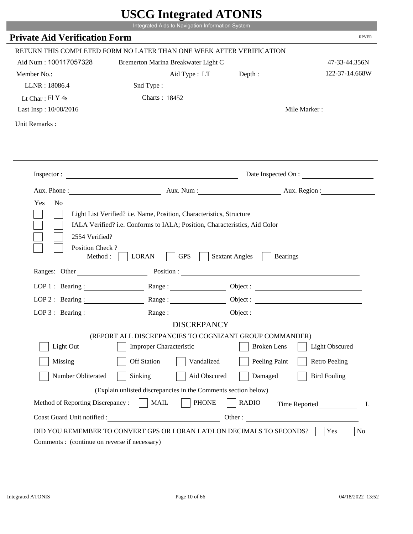|                                              | $\sim$<br>Integrated Aids to Navigation Information System                                                                                         |                       |                       |
|----------------------------------------------|----------------------------------------------------------------------------------------------------------------------------------------------------|-----------------------|-----------------------|
| <b>Private Aid Verification Form</b>         |                                                                                                                                                    |                       | <b>RPVER</b>          |
|                                              | RETURN THIS COMPLETED FORM NO LATER THAN ONE WEEK AFTER VERIFICATION                                                                               |                       |                       |
| Aid Num: 100117057328                        | Bremerton Marina Breakwater Light C                                                                                                                |                       | 47-33-44.356N         |
| Member No.:                                  | Aid Type: LT                                                                                                                                       | Depth:                | 122-37-14.668W        |
| LLNR: 18086.4                                | Snd Type:                                                                                                                                          |                       |                       |
| Lt Char: Fl Y 4s                             | Charts: 18452                                                                                                                                      |                       |                       |
| Last Insp: 10/08/2016                        |                                                                                                                                                    |                       | Mile Marker:          |
| Unit Remarks:                                |                                                                                                                                                    |                       |                       |
|                                              |                                                                                                                                                    |                       |                       |
|                                              | Inspector:                                                                                                                                         |                       | Date Inspected On :   |
|                                              | Aux. Phone : Aux. Num : Aux. Num : Aux. Aux. Region :                                                                                              |                       |                       |
| Yes<br>N <sub>o</sub><br>2554 Verified?      | Light List Verified? i.e. Name, Position, Characteristics, Structure<br>IALA Verified? i.e. Conforms to IALA; Position, Characteristics, Aid Color |                       |                       |
| Position Check?<br>Method :<br>Ranges: Other | <b>GPS</b><br><b>LORAN</b><br>Position :                                                                                                           | <b>Sextant Angles</b> | <b>Bearings</b>       |
|                                              | Range:                                                                                                                                             |                       |                       |
| LOP 1 : Bearing :<br>$LOP$ 2 : Bearing :     | Range:                                                                                                                                             |                       |                       |
|                                              |                                                                                                                                                    |                       |                       |
|                                              | LOP 3: Bearing : $\qquad \qquad$ Range :<br><b>DISCREPANCY</b>                                                                                     |                       |                       |
|                                              | (REPORT ALL DISCREPANCIES TO COGNIZANT GROUP COMMANDER)                                                                                            |                       |                       |
| Light Out                                    | Improper Characteristic                                                                                                                            | <b>Broken</b> Lens    | <b>Light Obscured</b> |
| Missing                                      | <b>Off Station</b><br>Vandalized                                                                                                                   | Peeling Paint         | <b>Retro Peeling</b>  |
| Number Obliterated                           | Sinking<br>Aid Obscured                                                                                                                            | Damaged               | <b>Bird Fouling</b>   |
|                                              | (Explain unlisted discrepancies in the Comments section below)                                                                                     |                       |                       |
| Method of Reporting Discrepancy:             | <b>MAIL</b><br><b>PHONE</b>                                                                                                                        | <b>RADIO</b>          | Time Reported<br>L    |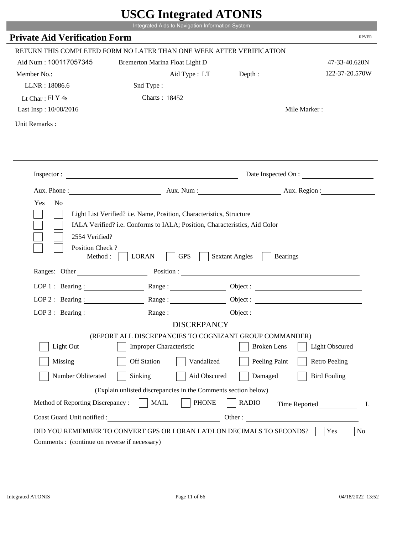|                                                                 | Integrated Aids to Navigation Information System                                                                                                   |                       |                              |
|-----------------------------------------------------------------|----------------------------------------------------------------------------------------------------------------------------------------------------|-----------------------|------------------------------|
| <b>Private Aid Verification Form</b>                            |                                                                                                                                                    |                       | <b>RPVER</b>                 |
|                                                                 | RETURN THIS COMPLETED FORM NO LATER THAN ONE WEEK AFTER VERIFICATION                                                                               |                       |                              |
| Aid Num: 100117057345                                           | Bremerton Marina Float Light D                                                                                                                     |                       | 47-33-40.620N                |
| Member No.:                                                     | Aid Type: LT                                                                                                                                       | Depth:                | 122-37-20.570W               |
| LLNR: 18086.6                                                   | Snd Type:                                                                                                                                          |                       |                              |
| Lt Char: $FI$ Y 4s                                              | Charts: 18452                                                                                                                                      |                       |                              |
| Last Insp: 10/08/2016                                           |                                                                                                                                                    |                       | Mile Marker:                 |
| Unit Remarks:                                                   |                                                                                                                                                    |                       |                              |
|                                                                 |                                                                                                                                                    |                       |                              |
|                                                                 | Inspector:                                                                                                                                         |                       | Date Inspected On :          |
|                                                                 | Aux. Phone : Aux. Num : Aux. Num : Aux. Aux. Region :                                                                                              |                       |                              |
| 2554 Verified?                                                  | Light List Verified? i.e. Name, Position, Characteristics, Structure<br>IALA Verified? i.e. Conforms to IALA; Position, Characteristics, Aid Color |                       |                              |
| Position Check?<br>Method :<br>Ranges: Other                    | <b>GPS</b><br><b>LORAN</b><br>Position :                                                                                                           | <b>Sextant Angles</b> | <b>Bearings</b>              |
|                                                                 | Range:                                                                                                                                             |                       |                              |
| LOP 1 : Bearing :                                               |                                                                                                                                                    |                       |                              |
| $LOP$ 2 : Bearing :                                             |                                                                                                                                                    |                       |                              |
|                                                                 | LOP 3: Bearing : $\qquad \qquad$ Range :<br><b>DISCREPANCY</b>                                                                                     |                       |                              |
|                                                                 | (REPORT ALL DISCREPANCIES TO COGNIZANT GROUP COMMANDER)                                                                                            |                       |                              |
| Light Out                                                       | Improper Characteristic                                                                                                                            | <b>Broken</b> Lens    | <b>Light Obscured</b>        |
| Missing                                                         | <b>Off Station</b><br>Vandalized                                                                                                                   | Peeling Paint         | <b>Retro Peeling</b>         |
| Number Obliterated                                              | Sinking<br>Aid Obscured                                                                                                                            | Damaged               | <b>Bird Fouling</b>          |
|                                                                 |                                                                                                                                                    |                       |                              |
|                                                                 | (Explain unlisted discrepancies in the Comments section below)                                                                                     |                       |                              |
| Method of Reporting Discrepancy:<br>Coast Guard Unit notified : | <b>MAIL</b><br><b>PHONE</b>                                                                                                                        | <b>RADIO</b>          | Time Reported<br>L<br>Other: |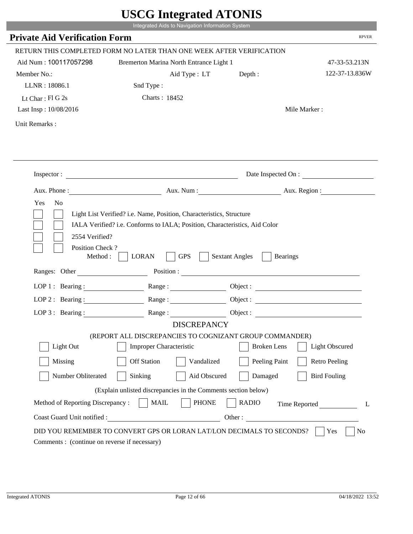|                                                                 | Integrated Aids to Navigation Information System                                                                                                   |                                          |                       |
|-----------------------------------------------------------------|----------------------------------------------------------------------------------------------------------------------------------------------------|------------------------------------------|-----------------------|
| <b>Private Aid Verification Form</b>                            |                                                                                                                                                    |                                          | <b>RPVER</b>          |
|                                                                 | RETURN THIS COMPLETED FORM NO LATER THAN ONE WEEK AFTER VERIFICATION                                                                               |                                          |                       |
| Aid Num: 100117057298                                           | Bremerton Marina North Entrance Light 1                                                                                                            |                                          | 47-33-53.213N         |
| Member No.:                                                     | Aid Type: LT                                                                                                                                       | Depth:                                   | 122-37-13.836W        |
| LLNR: 18086.1                                                   | Snd Type:                                                                                                                                          |                                          |                       |
| Lt Char: $FI$ G 2s                                              | Charts: 18452                                                                                                                                      |                                          |                       |
| Last Insp: 10/08/2016                                           |                                                                                                                                                    |                                          | Mile Marker:          |
| Unit Remarks:                                                   |                                                                                                                                                    |                                          |                       |
|                                                                 |                                                                                                                                                    |                                          |                       |
|                                                                 | Inspector:                                                                                                                                         |                                          | Date Inspected On :   |
|                                                                 | Aux. Phone : Aux. Num : Aux. Num : Aux. Aux. Region :                                                                                              |                                          |                       |
| Yes<br>N <sub>o</sub><br>2554 Verified?                         | Light List Verified? i.e. Name, Position, Characteristics, Structure<br>IALA Verified? i.e. Conforms to IALA; Position, Characteristics, Aid Color |                                          |                       |
| Position Check?<br>Method :<br>Ranges: Other                    | <b>GPS</b><br><b>LORAN</b><br>Position :                                                                                                           | <b>Sextant Angles</b><br><b>Bearings</b> |                       |
|                                                                 |                                                                                                                                                    |                                          |                       |
| LOP 1 : Bearing :                                               | Range:                                                                                                                                             |                                          |                       |
| $LOP$ 2 : Bearing :                                             |                                                                                                                                                    |                                          |                       |
|                                                                 | LOP 3: Bearing : $\qquad \qquad$ Range :                                                                                                           |                                          | Object:               |
|                                                                 | <b>DISCREPANCY</b><br>(REPORT ALL DISCREPANCIES TO COGNIZANT GROUP COMMANDER)                                                                      |                                          |                       |
| Light Out                                                       | Improper Characteristic                                                                                                                            | <b>Broken</b> Lens                       | <b>Light Obscured</b> |
| Missing                                                         | <b>Off Station</b><br>Vandalized                                                                                                                   | Peeling Paint                            | <b>Retro Peeling</b>  |
| Number Obliterated                                              | Sinking<br>Aid Obscured                                                                                                                            | Damaged                                  | <b>Bird Fouling</b>   |
|                                                                 |                                                                                                                                                    |                                          |                       |
|                                                                 | (Explain unlisted discrepancies in the Comments section below)<br><b>MAIL</b><br><b>PHONE</b>                                                      | <b>RADIO</b>                             |                       |
| Method of Reporting Discrepancy:<br>Coast Guard Unit notified : |                                                                                                                                                    | Other:                                   | Time Reported<br>L    |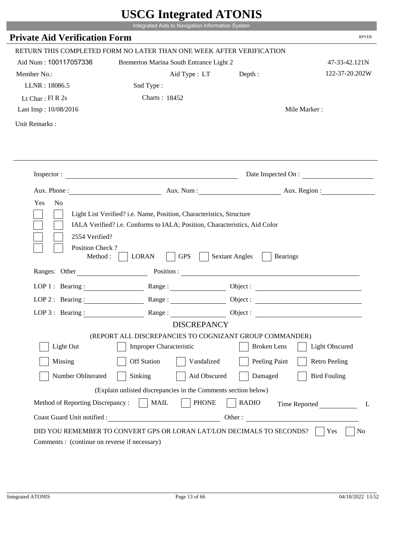|                                                      | Integrated Aids to Navigation Information System                                                                                                   | $\sim$                                   |                                                       |
|------------------------------------------------------|----------------------------------------------------------------------------------------------------------------------------------------------------|------------------------------------------|-------------------------------------------------------|
| <b>Private Aid Verification Form</b>                 |                                                                                                                                                    |                                          | <b>RPVER</b>                                          |
|                                                      | RETURN THIS COMPLETED FORM NO LATER THAN ONE WEEK AFTER VERIFICATION                                                                               |                                          |                                                       |
| Aid Num: 100117057336                                | Bremerton Marina South Entrance Light 2                                                                                                            |                                          | 47-33-42.121N                                         |
| Member No.:                                          | Aid Type: LT                                                                                                                                       | Depth:                                   | 122-37-20.202W                                        |
| LLNR: 18086.5                                        | Snd Type:                                                                                                                                          |                                          |                                                       |
| Lt Char: $FI R 2s$                                   | <b>Charts: 18452</b>                                                                                                                               |                                          |                                                       |
| Last Insp: 10/08/2016                                |                                                                                                                                                    |                                          | Mile Marker:                                          |
| Unit Remarks:                                        |                                                                                                                                                    |                                          |                                                       |
|                                                      |                                                                                                                                                    |                                          |                                                       |
|                                                      | Inspector:                                                                                                                                         |                                          | Date Inspected On :                                   |
|                                                      |                                                                                                                                                    |                                          | Aux. Phone : Aux. Num : Aux. Num : Aux. Aux. Region : |
| Yes<br>N <sub>o</sub><br>2554 Verified?              | Light List Verified? i.e. Name, Position, Characteristics, Structure<br>IALA Verified? i.e. Conforms to IALA; Position, Characteristics, Aid Color |                                          |                                                       |
| Position Check?<br>Method : $\vert$<br>Ranges: Other | <b>GPS</b><br><b>LORAN</b>                                                                                                                         | <b>Sextant Angles</b><br><b>Bearings</b> |                                                       |
|                                                      |                                                                                                                                                    |                                          |                                                       |
|                                                      | LOP 1: Bearing: Range:                                                                                                                             |                                          |                                                       |
| LOP 2: Bearing:                                      |                                                                                                                                                    |                                          |                                                       |
|                                                      | LOP 3: Bearing: Range: Range: Object:                                                                                                              |                                          |                                                       |
|                                                      | <b>DISCREPANCY</b><br>(REPORT ALL DISCREPANCIES TO COGNIZANT GROUP COMMANDER)                                                                      |                                          |                                                       |
| Light Out                                            | Improper Characteristic                                                                                                                            | <b>Broken</b> Lens                       | <b>Light Obscured</b>                                 |
|                                                      | <b>Off Station</b>                                                                                                                                 |                                          |                                                       |
| Missing                                              | Vandalized                                                                                                                                         | Peeling Paint                            | <b>Retro Peeling</b>                                  |
| Number Obliterated                                   | Sinking<br>Aid Obscured                                                                                                                            | Damaged                                  | <b>Bird Fouling</b>                                   |
|                                                      | (Explain unlisted discrepancies in the Comments section below)                                                                                     |                                          |                                                       |
| Method of Reporting Discrepancy:                     | <b>MAIL</b><br><b>PHONE</b>                                                                                                                        | <b>RADIO</b><br>Other:                   | Time Reported<br>L                                    |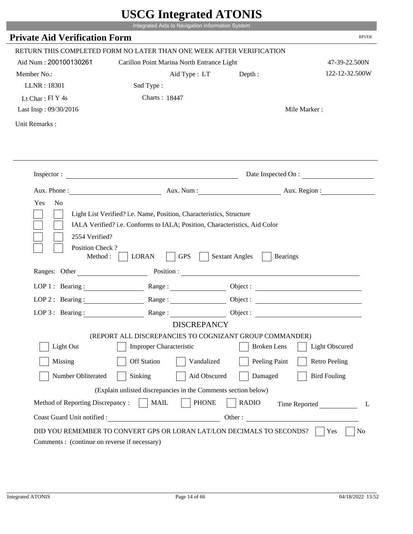|                                                                 | Integrated Aids to Navigation Information System                                                                                                   |                                                        |                       |
|-----------------------------------------------------------------|----------------------------------------------------------------------------------------------------------------------------------------------------|--------------------------------------------------------|-----------------------|
| <b>Private Aid Verification Form</b>                            |                                                                                                                                                    |                                                        | <b>RPVER</b>          |
|                                                                 | RETURN THIS COMPLETED FORM NO LATER THAN ONE WEEK AFTER VERIFICATION                                                                               |                                                        |                       |
| Aid Num: 200100130261                                           | Carillon Point Marina North Entrance Light                                                                                                         |                                                        | 47-39-22.500N         |
| Member No.:                                                     | Aid Type: LT                                                                                                                                       | Depth:                                                 | 122-12-32.500W        |
| LLNR: 18301                                                     | Snd Type:                                                                                                                                          |                                                        |                       |
| Lt Char: $FI Y 4s$                                              | Charts: 18447                                                                                                                                      |                                                        |                       |
| Last Insp: 09/30/2016                                           |                                                                                                                                                    |                                                        | Mile Marker:          |
| Unit Remarks:                                                   |                                                                                                                                                    |                                                        |                       |
|                                                                 |                                                                                                                                                    |                                                        |                       |
|                                                                 |                                                                                                                                                    |                                                        |                       |
|                                                                 | Inspector:                                                                                                                                         |                                                        | Date Inspected On :   |
| Aux. Phone :                                                    |                                                                                                                                                    | Aux. Num : Aux. Region :                               |                       |
| N <sub>o</sub><br>Yes<br>2554 Verified?                         | Light List Verified? i.e. Name, Position, Characteristics, Structure<br>IALA Verified? i.e. Conforms to IALA; Position, Characteristics, Aid Color |                                                        |                       |
| Position Check?<br>Method :<br>Ranges: Other                    | <b>GPS</b><br><b>LORAN</b>                                                                                                                         | <b>Sextant Angles</b><br><b>Bearings</b><br>Position : |                       |
|                                                                 |                                                                                                                                                    |                                                        |                       |
|                                                                 | LOP 1: Bearing : $\qquad \qquad$ Range :                                                                                                           |                                                        |                       |
|                                                                 | LOP 2: Bearing: Range:                                                                                                                             |                                                        |                       |
| LOP $3:$ Bearing :                                              | Range:                                                                                                                                             |                                                        | Object :              |
|                                                                 | <b>DISCREPANCY</b><br>(REPORT ALL DISCREPANCIES TO COGNIZANT GROUP COMMANDER)                                                                      |                                                        |                       |
| Light Out                                                       | Improper Characteristic                                                                                                                            | <b>Broken</b> Lens                                     | <b>Light Obscured</b> |
|                                                                 | <b>Off Station</b><br>Vandalized                                                                                                                   |                                                        | <b>Retro Peeling</b>  |
| Missing                                                         |                                                                                                                                                    | Peeling Paint                                          |                       |
| Number Obliterated                                              | Aid Obscured<br>Sinking                                                                                                                            | Damaged                                                | <b>Bird Fouling</b>   |
|                                                                 | (Explain unlisted discrepancies in the Comments section below)                                                                                     |                                                        |                       |
| Method of Reporting Discrepancy:<br>Coast Guard Unit notified : | <b>PHONE</b><br><b>MAIL</b><br>Other:                                                                                                              | <b>RADIO</b>                                           | Time Reported         |

r.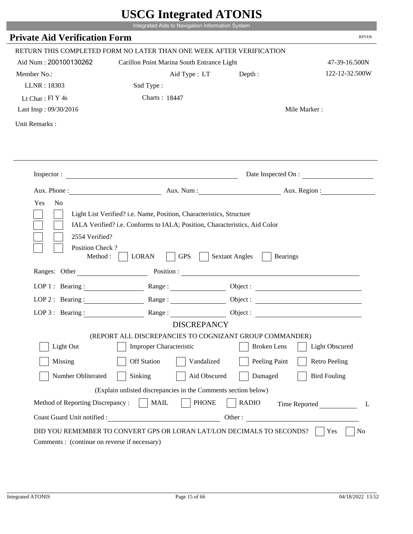| <b>Private Aid Verification Form</b>         | Integrated Aids to Navigation Information System                                                                                                   |                                                        | <b>RPVER</b>          |
|----------------------------------------------|----------------------------------------------------------------------------------------------------------------------------------------------------|--------------------------------------------------------|-----------------------|
|                                              | RETURN THIS COMPLETED FORM NO LATER THAN ONE WEEK AFTER VERIFICATION                                                                               |                                                        |                       |
| Aid Num: 200100130262                        | Carillon Point Marina South Entrance Light                                                                                                         |                                                        | 47-39-16.500N         |
| Member No.:                                  | Aid Type: LT                                                                                                                                       | Depth:                                                 | 122-12-32.500W        |
| LLNR: 18303                                  | Snd Type:                                                                                                                                          |                                                        |                       |
| Lt Char: $FI Y 4s$                           | Charts: 18447                                                                                                                                      |                                                        |                       |
| Last Insp: 09/30/2016                        |                                                                                                                                                    |                                                        | Mile Marker:          |
| Unit Remarks:                                |                                                                                                                                                    |                                                        |                       |
|                                              |                                                                                                                                                    |                                                        |                       |
|                                              | Inspector:                                                                                                                                         |                                                        | Date Inspected On :   |
| Aux. Phone :                                 |                                                                                                                                                    | Aux. Num : Aux. Region :                               |                       |
| 2554 Verified?                               | Light List Verified? i.e. Name, Position, Characteristics, Structure<br>IALA Verified? i.e. Conforms to IALA; Position, Characteristics, Aid Color |                                                        |                       |
| Position Check?<br>Method :<br>Ranges: Other | <b>GPS</b><br><b>LORAN</b>                                                                                                                         | <b>Sextant Angles</b><br><b>Bearings</b><br>Position : |                       |
|                                              |                                                                                                                                                    |                                                        |                       |
|                                              | LOP 1: Bearing : $\qquad \qquad$ Range :                                                                                                           |                                                        |                       |
|                                              | LOP 2: Bearing: Range:                                                                                                                             |                                                        |                       |
| LOP $3:$ Bearing :                           | Range:<br><b>DISCREPANCY</b>                                                                                                                       |                                                        | Object :              |
|                                              | (REPORT ALL DISCREPANCIES TO COGNIZANT GROUP COMMANDER)                                                                                            |                                                        |                       |
| Light Out                                    | Improper Characteristic                                                                                                                            | <b>Broken</b> Lens                                     | <b>Light Obscured</b> |
| Missing                                      | <b>Off Station</b><br>Vandalized                                                                                                                   | Peeling Paint                                          | <b>Retro Peeling</b>  |
| Number Obliterated                           | Aid Obscured<br>Sinking                                                                                                                            | Damaged                                                | <b>Bird Fouling</b>   |
|                                              | (Explain unlisted discrepancies in the Comments section below)                                                                                     |                                                        |                       |
| Method of Reporting Discrepancy:             | <b>PHONE</b><br><b>MAIL</b>                                                                                                                        | <b>RADIO</b>                                           |                       |
| Coast Guard Unit notified :                  | Other:                                                                                                                                             |                                                        | Time Reported         |

r.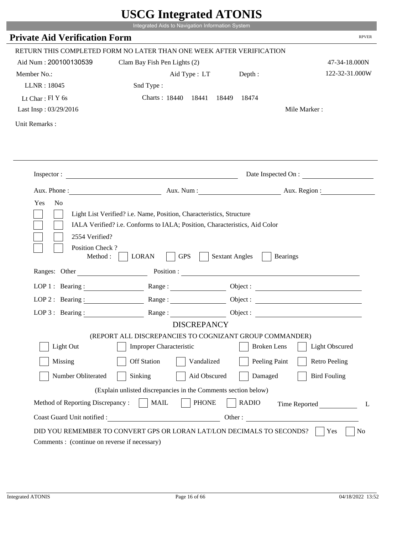|                                                            | UDUU IIIIU ARUU ATUNID<br>Integrated Aids to Navigation Information System                                                                         |                       |                        |
|------------------------------------------------------------|----------------------------------------------------------------------------------------------------------------------------------------------------|-----------------------|------------------------|
| <b>Private Aid Verification Form</b>                       |                                                                                                                                                    |                       | <b>RPVER</b>           |
|                                                            |                                                                                                                                                    |                       |                        |
|                                                            | RETURN THIS COMPLETED FORM NO LATER THAN ONE WEEK AFTER VERIFICATION                                                                               |                       |                        |
| Aid Num: 200100130539                                      | Clam Bay Fish Pen Lights (2)                                                                                                                       |                       | 47-34-18.000N          |
| Member No.:                                                | Aid Type : LT                                                                                                                                      | Depth:                | 122-32-31.000W         |
| LLNR: 18045                                                | Snd Type:                                                                                                                                          |                       |                        |
| Lt Char: Fl Y 6s                                           | Charts: 18440 18441                                                                                                                                | 18449 18474           |                        |
| Last Insp: 03/29/2016                                      |                                                                                                                                                    |                       | Mile Marker:           |
| Unit Remarks:                                              |                                                                                                                                                    |                       |                        |
|                                                            |                                                                                                                                                    |                       |                        |
|                                                            |                                                                                                                                                    |                       |                        |
|                                                            | Inspector:                                                                                                                                         |                       | Date Inspected On :    |
|                                                            |                                                                                                                                                    |                       | Aux. Num: Aux. Region: |
| Yes<br>N <sub>o</sub><br>2554 Verified?<br>Position Check? | Light List Verified? i.e. Name, Position, Characteristics, Structure<br>IALA Verified? i.e. Conforms to IALA; Position, Characteristics, Aid Color |                       |                        |
| Method :                                                   | <b>GPS</b><br><b>LORAN</b>                                                                                                                         | <b>Sextant Angles</b> | <b>Bearings</b>        |
| Ranges: Other                                              |                                                                                                                                                    | Position :            |                        |
| LOP 1 : Bearing :                                          |                                                                                                                                                    |                       | Object :               |
| LOP $2:$ Bearing :                                         |                                                                                                                                                    |                       | Object :               |
| $LOP$ 3 : Bearing :                                        | Range:                                                                                                                                             |                       | Object :               |
|                                                            | <b>DISCREPANCY</b>                                                                                                                                 |                       |                        |
|                                                            | (REPORT ALL DISCREPANCIES TO COGNIZANT GROUP COMMANDER)                                                                                            |                       |                        |
| Light Out                                                  | <b>Improper Characteristic</b>                                                                                                                     | <b>Broken</b> Lens    | <b>Light Obscured</b>  |
| Missing                                                    | <b>Off Station</b><br>Vandalized                                                                                                                   | Peeling Paint         | <b>Retro Peeling</b>   |
| Number Obliterated                                         | Aid Obscured<br>Sinking                                                                                                                            | Damaged               | <b>Bird Fouling</b>    |
|                                                            | (Explain unlisted discrepancies in the Comments section below)                                                                                     |                       |                        |
| Method of Reporting Discrepancy:                           | <b>PHONE</b><br><b>MAIL</b>                                                                                                                        | <b>RADIO</b>          | Time Reported<br>L     |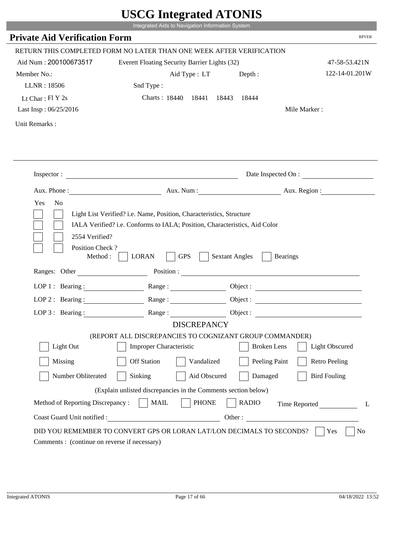|                                              | UDUU IIIIU ARUU ATUNID<br>Integrated Aids to Navigation Information System |                                                        |                       |
|----------------------------------------------|----------------------------------------------------------------------------|--------------------------------------------------------|-----------------------|
| <b>Private Aid Verification Form</b>         |                                                                            |                                                        | <b>RPVER</b>          |
|                                              | RETURN THIS COMPLETED FORM NO LATER THAN ONE WEEK AFTER VERIFICATION       |                                                        |                       |
| Aid Num: 200100673517                        | Everett Floating Security Barrier Lights (32)                              |                                                        | 47-58-53.421N         |
| Member No.:                                  | Aid Type : LT                                                              | Depth:                                                 | 122-14-01.201W        |
| LLNR: 18506                                  | Snd Type:                                                                  |                                                        |                       |
| Lt Char: $FI Y 2s$                           | Charts: 18440 18441                                                        | 18443<br>18444                                         |                       |
| Last Insp: 06/25/2016                        |                                                                            |                                                        | Mile Marker:          |
| Unit Remarks:                                |                                                                            |                                                        |                       |
|                                              |                                                                            |                                                        |                       |
|                                              | Inspector:                                                                 |                                                        | Date Inspected On :   |
|                                              |                                                                            | Aux. Num : Aux. Region :                               |                       |
| Position Check?<br>Method :<br>Ranges: Other | <b>GPS</b><br><b>LORAN</b>                                                 | <b>Sextant Angles</b><br><b>Bearings</b><br>Position : |                       |
| LOP 1 : Bearing :                            |                                                                            |                                                        |                       |
| LOP $2:$ Bearing :                           |                                                                            |                                                        | Object :              |
| $LOP$ 3 : Bearing :                          | Range:                                                                     |                                                        | Object :              |
|                                              | <b>DISCREPANCY</b>                                                         |                                                        |                       |
|                                              | (REPORT ALL DISCREPANCIES TO COGNIZANT GROUP COMMANDER)                    |                                                        |                       |
| Light Out                                    | <b>Improper Characteristic</b>                                             | <b>Broken</b> Lens                                     | <b>Light Obscured</b> |
| Missing                                      | <b>Off Station</b><br>Vandalized                                           | Peeling Paint                                          | <b>Retro Peeling</b>  |
| Number Obliterated                           | Aid Obscured<br>Sinking                                                    | Damaged                                                | <b>Bird Fouling</b>   |
|                                              | (Explain unlisted discrepancies in the Comments section below)             |                                                        |                       |
|                                              |                                                                            |                                                        |                       |
| Method of Reporting Discrepancy:             | <b>PHONE</b><br><b>MAIL</b>                                                | <b>RADIO</b>                                           | L                     |
| Coast Guard Unit notified :                  |                                                                            | Other:                                                 | Time Reported         |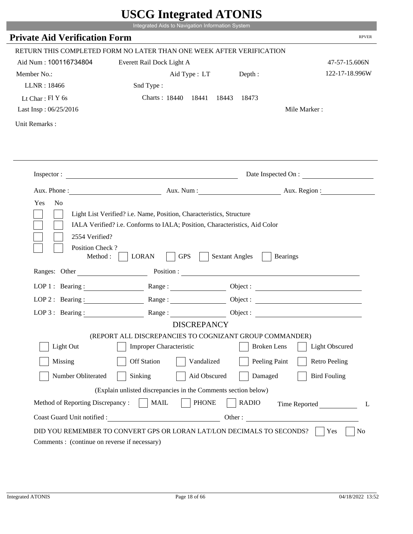|                                                                                                                                   | UDUU IIIItgi attu ATUNID<br>Integrated Aids to Navigation Information System                                                                       |                       |                        |
|-----------------------------------------------------------------------------------------------------------------------------------|----------------------------------------------------------------------------------------------------------------------------------------------------|-----------------------|------------------------|
| <b>Private Aid Verification Form</b>                                                                                              |                                                                                                                                                    |                       | <b>RPVER</b>           |
|                                                                                                                                   | RETURN THIS COMPLETED FORM NO LATER THAN ONE WEEK AFTER VERIFICATION                                                                               |                       |                        |
| Aid Num: 100116734804                                                                                                             | Everett Rail Dock Light A                                                                                                                          |                       | 47-57-15.606N          |
| Member No.:                                                                                                                       | Aid Type : LT Depth :                                                                                                                              |                       | 122-17-18.996W         |
| LLNR: 18466                                                                                                                       | Snd Type:                                                                                                                                          |                       |                        |
| Lt Char: $FIY$ 6s                                                                                                                 | Charts: 18440 18441 18443 18473                                                                                                                    |                       |                        |
| Last Insp: 06/25/2016                                                                                                             |                                                                                                                                                    |                       | Mile Marker:           |
| Unit Remarks:                                                                                                                     |                                                                                                                                                    |                       |                        |
|                                                                                                                                   |                                                                                                                                                    |                       |                        |
|                                                                                                                                   | Inspector:                                                                                                                                         |                       | Date Inspected On :    |
|                                                                                                                                   |                                                                                                                                                    |                       | Aux. Num: Aux. Region: |
| Yes<br>N <sub>0</sub><br>2554 Verified?                                                                                           | Light List Verified? i.e. Name, Position, Characteristics, Structure<br>IALA Verified? i.e. Conforms to IALA; Position, Characteristics, Aid Color |                       |                        |
| Position Check?<br>Method :                                                                                                       | <b>GPS</b><br><b>LORAN</b><br>Ranges: Other Position : Position :                                                                                  | <b>Sextant Angles</b> | <b>Bearings</b>        |
|                                                                                                                                   |                                                                                                                                                    |                       |                        |
| LOP 1 : Bearing : $\frac{1}{\sqrt{1-\frac{1}{2}} \cdot \frac{1}{\sqrt{1-\frac{1}{2}} \cdot \frac{1}{2}}}}$<br>$LOP$ 2 : Bearing : |                                                                                                                                                    |                       |                        |
|                                                                                                                                   |                                                                                                                                                    |                       |                        |
| LOP $3$ : Bearing :                                                                                                               | <b>DISCREPANCY</b>                                                                                                                                 | Object :              |                        |
|                                                                                                                                   | (REPORT ALL DISCREPANCIES TO COGNIZANT GROUP COMMANDER)                                                                                            |                       |                        |
| Light Out                                                                                                                         | <b>Improper Characteristic</b>                                                                                                                     | <b>Broken</b> Lens    | <b>Light Obscured</b>  |
| Missing                                                                                                                           | <b>Off Station</b><br>Vandalized                                                                                                                   | Peeling Paint         | <b>Retro Peeling</b>   |
| Number Obliterated                                                                                                                | Sinking<br>Aid Obscured                                                                                                                            | Damaged               | <b>Bird Fouling</b>    |
|                                                                                                                                   | (Explain unlisted discrepancies in the Comments section below)                                                                                     |                       |                        |
| Method of Reporting Discrepancy:                                                                                                  | <b>PHONE</b><br><b>MAIL</b>                                                                                                                        | <b>RADIO</b>          | Time Reported<br>L     |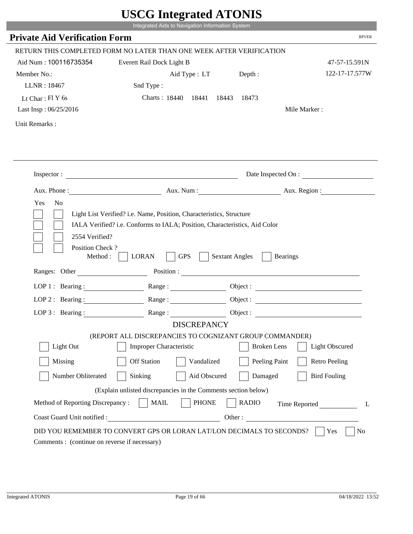|                                          | Integrated Aids to Navigation Information System                                                                                                                                                                               |                       |                          |
|------------------------------------------|--------------------------------------------------------------------------------------------------------------------------------------------------------------------------------------------------------------------------------|-----------------------|--------------------------|
| <b>Private Aid Verification Form</b>     |                                                                                                                                                                                                                                |                       | <b>RPVER</b>             |
|                                          | RETURN THIS COMPLETED FORM NO LATER THAN ONE WEEK AFTER VERIFICATION                                                                                                                                                           |                       |                          |
| Aid Num: 100116735354                    | Everett Rail Dock Light B                                                                                                                                                                                                      |                       | 47-57-15.591N            |
| Member No.:                              | Aid Type : LT                                                                                                                                                                                                                  | Depth:                | 122-17-17.577W           |
| LLNR: 18467                              | Snd Type:                                                                                                                                                                                                                      |                       |                          |
| Lt Char: $FIY$ 6s                        | Charts: 18440 18441                                                                                                                                                                                                            | 18443<br>18473        |                          |
| Last Insp: 06/25/2016                    |                                                                                                                                                                                                                                |                       | Mile Marker:             |
| Unit Remarks:                            |                                                                                                                                                                                                                                |                       |                          |
|                                          |                                                                                                                                                                                                                                |                       |                          |
|                                          | Inspector:                                                                                                                                                                                                                     |                       | Date Inspected On :      |
| Aux. Phone :                             |                                                                                                                                                                                                                                |                       | Aux. Num : Aux. Region : |
| 2554 Verified?<br>Position Check?        | IALA Verified? i.e. Conforms to IALA; Position, Characteristics, Aid Color                                                                                                                                                     |                       |                          |
| Method :<br>Ranges: Other                | <b>GPS</b><br><b>LORAN</b>                                                                                                                                                                                                     | <b>Sextant Angles</b> | <b>Bearings</b>          |
|                                          | Position : The Contract of the Contract of the Contract of the Contract of the Contract of the Contract of the Contract of the Contract of the Contract of the Contract of the Contract of the Contract of the Contract of the |                       |                          |
| LOP 1 : Bearing :<br>$LOP$ 2 : Bearing : |                                                                                                                                                                                                                                |                       |                          |
|                                          | Range :                                                                                                                                                                                                                        |                       |                          |
| LOP $3:$ Bearing :                       | Range:<br><b>DISCREPANCY</b>                                                                                                                                                                                                   |                       |                          |
|                                          | (REPORT ALL DISCREPANCIES TO COGNIZANT GROUP COMMANDER)                                                                                                                                                                        |                       |                          |
| Light Out                                | <b>Improper Characteristic</b>                                                                                                                                                                                                 | <b>Broken</b> Lens    | <b>Light Obscured</b>    |
| Missing                                  | <b>Off Station</b><br>Vandalized                                                                                                                                                                                               | Peeling Paint         | <b>Retro Peeling</b>     |
| Number Obliterated                       | Sinking<br>Aid Obscured                                                                                                                                                                                                        | Damaged               | <b>Bird Fouling</b>      |
|                                          | (Explain unlisted discrepancies in the Comments section below)                                                                                                                                                                 |                       |                          |
| Method of Reporting Discrepancy:         | <b>PHONE</b><br><b>MAIL</b>                                                                                                                                                                                                    | <b>RADIO</b>          |                          |
| Coast Guard Unit notified :              | <u> 1980 - Johann Barn, mars eta bainar eta i</u>                                                                                                                                                                              | Other:                | Time Reported<br>L       |

Т.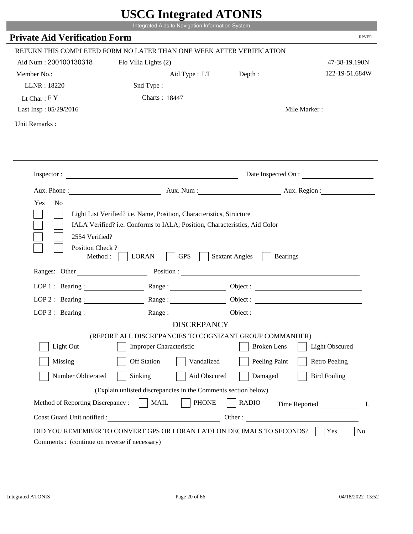|                                      | Integrated Aids to Navigation Information System                                                                                                   |                                          |                              |
|--------------------------------------|----------------------------------------------------------------------------------------------------------------------------------------------------|------------------------------------------|------------------------------|
| <b>Private Aid Verification Form</b> |                                                                                                                                                    |                                          | <b>RPVER</b>                 |
|                                      | RETURN THIS COMPLETED FORM NO LATER THAN ONE WEEK AFTER VERIFICATION                                                                               |                                          |                              |
| Aid Num: 200100130318                | Flo Villa Lights (2)                                                                                                                               |                                          | 47-38-19.190N                |
| Member No.:                          | Aid Type : LT Depth :                                                                                                                              |                                          | 122-19-51.684W               |
| LLNR: 18220                          | Snd Type:                                                                                                                                          |                                          |                              |
| Lt Char: $FY$                        | Charts: 18447                                                                                                                                      |                                          |                              |
| Last Insp: 05/29/2016                |                                                                                                                                                    |                                          | Mile Marker:                 |
| Unit Remarks:                        |                                                                                                                                                    |                                          |                              |
|                                      |                                                                                                                                                    |                                          |                              |
|                                      | Inspector:                                                                                                                                         |                                          | Date Inspected On :          |
|                                      |                                                                                                                                                    |                                          | Aux. Num: Aux. Region:       |
| Yes<br>2554 Verified?                | Light List Verified? i.e. Name, Position, Characteristics, Structure<br>IALA Verified? i.e. Conforms to IALA; Position, Characteristics, Aid Color |                                          |                              |
| Position Check?<br>Method:           | <b>GPS</b><br><b>LORAN</b>                                                                                                                         | <b>Sextant Angles</b><br><b>Bearings</b> |                              |
| Ranges: Other                        |                                                                                                                                                    | Position :                               |                              |
|                                      | LOP 1: Bearing: Range:                                                                                                                             |                                          | Object :                     |
| LOP $2:$ Bearing :                   | Range:                                                                                                                                             |                                          |                              |
|                                      | LOP 3: Bearing: Range: Name: Object:                                                                                                               |                                          |                              |
|                                      | <b>DISCREPANCY</b>                                                                                                                                 |                                          |                              |
|                                      | (REPORT ALL DISCREPANCIES TO COGNIZANT GROUP COMMANDER)                                                                                            |                                          |                              |
| Light Out                            | Improper Characteristic                                                                                                                            | <b>Broken</b> Lens                       | Light Obscured               |
| Missing                              | <b>Off Station</b><br>Vandalized                                                                                                                   | Peeling Paint                            | <b>Retro Peeling</b>         |
| Number Obliterated                   | Sinking<br>Aid Obscured                                                                                                                            | Damaged                                  | <b>Bird Fouling</b>          |
|                                      | (Explain unlisted discrepancies in the Comments section below)                                                                                     |                                          |                              |
| Method of Reporting Discrepancy:     | <b>PHONE</b><br><b>MAIL</b>                                                                                                                        | <b>RADIO</b>                             |                              |
| Coast Guard Unit notified :          | <u> 1980 - Johann Barbara, martin d</u>                                                                                                            |                                          | Time Reported<br>L<br>Other: |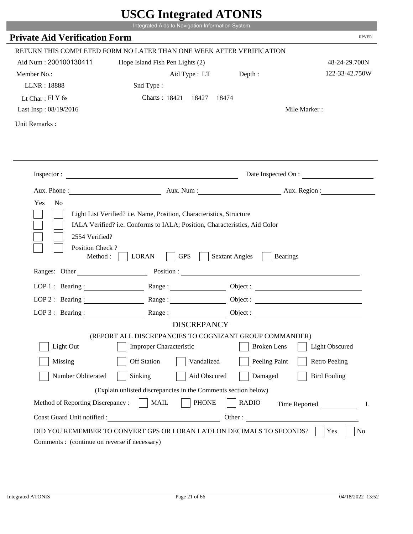|                                                                 | UDUU IIIIU ARUU ATUNID<br>Integrated Aids to Navigation Information System                                                                                                                                                     |                                          |                       |
|-----------------------------------------------------------------|--------------------------------------------------------------------------------------------------------------------------------------------------------------------------------------------------------------------------------|------------------------------------------|-----------------------|
| <b>Private Aid Verification Form</b>                            |                                                                                                                                                                                                                                |                                          | <b>RPVER</b>          |
|                                                                 |                                                                                                                                                                                                                                |                                          |                       |
|                                                                 | RETURN THIS COMPLETED FORM NO LATER THAN ONE WEEK AFTER VERIFICATION                                                                                                                                                           |                                          |                       |
| Aid Num: 200100130411                                           | Hope Island Fish Pen Lights (2)                                                                                                                                                                                                |                                          | 48-24-29.700N         |
| Member No.:                                                     | Aid Type : LT Depth :                                                                                                                                                                                                          |                                          | 122-33-42.750W        |
| LLNR: 18888                                                     | Snd Type:                                                                                                                                                                                                                      |                                          |                       |
| Lt Char: $FIY$ 6s                                               | Charts: 18421 18427<br>18474                                                                                                                                                                                                   |                                          |                       |
| Last Insp: 08/19/2016                                           |                                                                                                                                                                                                                                |                                          | Mile Marker:          |
| Unit Remarks:                                                   |                                                                                                                                                                                                                                |                                          |                       |
|                                                                 |                                                                                                                                                                                                                                |                                          |                       |
|                                                                 | Inspector:                                                                                                                                                                                                                     |                                          | Date Inspected On :   |
| Aux. Phone :                                                    |                                                                                                                                                                                                                                | Aux. Num: Aux. Region:                   |                       |
| Yes<br>N <sub>o</sub>                                           | Light List Verified? i.e. Name, Position, Characteristics, Structure<br>IALA Verified? i.e. Conforms to IALA; Position, Characteristics, Aid Color                                                                             |                                          |                       |
| 2554 Verified?<br>Position Check?<br>Method:                    | <b>GPS</b><br><b>LORAN</b>                                                                                                                                                                                                     | <b>Sextant Angles</b><br><b>Bearings</b> |                       |
| Ranges: Other                                                   | Position : The Contract of the Contract of the Contract of the Contract of the Contract of the Contract of the Contract of the Contract of the Contract of the Contract of the Contract of the Contract of the Contract of the |                                          |                       |
| LOP 1 : Bearing : $\qquad \qquad$                               |                                                                                                                                                                                                                                | Object :                                 |                       |
| $LOP$ 2 : Bearing :                                             | Range :                                                                                                                                                                                                                        |                                          |                       |
| LOP $3$ : Bearing :                                             | Range:                                                                                                                                                                                                                         |                                          |                       |
|                                                                 | <b>DISCREPANCY</b>                                                                                                                                                                                                             |                                          |                       |
| Light Out                                                       | (REPORT ALL DISCREPANCIES TO COGNIZANT GROUP COMMANDER)<br><b>Improper Characteristic</b>                                                                                                                                      | <b>Broken</b> Lens                       | <b>Light Obscured</b> |
|                                                                 |                                                                                                                                                                                                                                |                                          |                       |
| Missing                                                         | <b>Off Station</b><br>Vandalized                                                                                                                                                                                               | Peeling Paint                            | <b>Retro Peeling</b>  |
| Number Obliterated                                              | Sinking<br>Aid Obscured                                                                                                                                                                                                        | Damaged                                  | <b>Bird Fouling</b>   |
|                                                                 | (Explain unlisted discrepancies in the Comments section below)                                                                                                                                                                 |                                          |                       |
| Method of Reporting Discrepancy:<br>Coast Guard Unit notified : | <b>PHONE</b><br><b>MAIL</b>                                                                                                                                                                                                    | <b>RADIO</b><br>Other:                   | Time Reported<br>L    |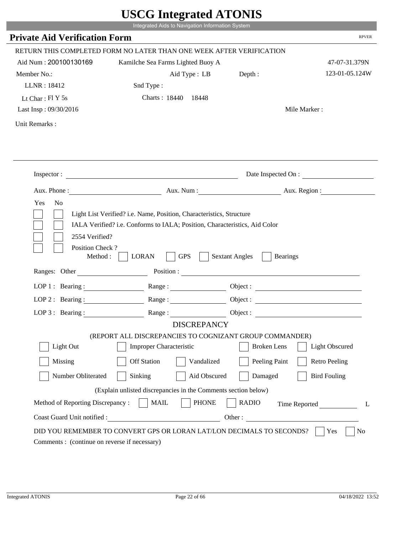|                                                               | CDCO mitcarattu ATUNID                                                                                                                             |                                          |                        |
|---------------------------------------------------------------|----------------------------------------------------------------------------------------------------------------------------------------------------|------------------------------------------|------------------------|
|                                                               | Integrated Aids to Navigation Information System                                                                                                   |                                          | <b>RPVER</b>           |
| <b>Private Aid Verification Form</b>                          |                                                                                                                                                    |                                          |                        |
|                                                               | RETURN THIS COMPLETED FORM NO LATER THAN ONE WEEK AFTER VERIFICATION                                                                               |                                          |                        |
| Aid Num: 200100130169                                         | Kamilche Sea Farms Lighted Buoy A                                                                                                                  |                                          | 47-07-31.379N          |
| Member No.:                                                   | Aid Type : LB Depth :                                                                                                                              |                                          | 123-01-05.124W         |
| LLNR: 18412                                                   | Snd Type:                                                                                                                                          |                                          |                        |
| Lt Char: $FI Y 5s$                                            | Charts: 18440 18448                                                                                                                                |                                          |                        |
| Last Insp: 09/30/2016                                         |                                                                                                                                                    |                                          | Mile Marker:           |
| Unit Remarks:                                                 |                                                                                                                                                    |                                          |                        |
|                                                               |                                                                                                                                                    |                                          |                        |
|                                                               | Inspector:                                                                                                                                         |                                          | Date Inspected On :    |
|                                                               |                                                                                                                                                    |                                          | Aux. Num: Aux. Region: |
| Yes<br>N <sub>o</sub>                                         | Light List Verified? i.e. Name, Position, Characteristics, Structure<br>IALA Verified? i.e. Conforms to IALA; Position, Characteristics, Aid Color |                                          |                        |
| 2554 Verified?<br>Position Check?<br>Method:<br>Ranges: Other | <b>GPS</b><br><b>LORAN</b>                                                                                                                         | <b>Sextant Angles</b><br><b>Bearings</b> |                        |
|                                                               | Position :                                                                                                                                         |                                          |                        |
|                                                               | LOP 1: Bearing : Range : Range :                                                                                                                   |                                          |                        |
| LOP $2:$ Bearing :                                            | Range:                                                                                                                                             |                                          |                        |
|                                                               | LOP 3: Bearing: Range: Name: Object:                                                                                                               |                                          |                        |
|                                                               | <b>DISCREPANCY</b>                                                                                                                                 |                                          |                        |
| Light Out                                                     | (REPORT ALL DISCREPANCIES TO COGNIZANT GROUP COMMANDER)<br>Improper Characteristic                                                                 | <b>Broken</b> Lens                       | Light Obscured         |
|                                                               |                                                                                                                                                    |                                          |                        |
| Missing                                                       | <b>Off Station</b><br>Vandalized                                                                                                                   | Peeling Paint                            | <b>Retro Peeling</b>   |
| Number Obliterated                                            | Sinking<br>Aid Obscured                                                                                                                            | Damaged                                  | <b>Bird Fouling</b>    |
|                                                               | (Explain unlisted discrepancies in the Comments section below)                                                                                     |                                          |                        |
| Method of Reporting Discrepancy:                              | <b>PHONE</b><br><b>MAIL</b>                                                                                                                        | <b>RADIO</b>                             | Time Reported<br>L     |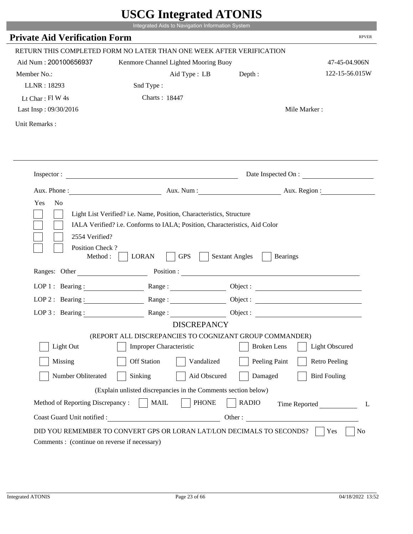|                                                                 | Integrated Aids to Navigation Information System                              |                              |                                             |
|-----------------------------------------------------------------|-------------------------------------------------------------------------------|------------------------------|---------------------------------------------|
| <b>Private Aid Verification Form</b>                            |                                                                               |                              | <b>RPVER</b>                                |
|                                                                 |                                                                               |                              |                                             |
| Aid Num: 200100656937                                           | RETURN THIS COMPLETED FORM NO LATER THAN ONE WEEK AFTER VERIFICATION          |                              |                                             |
| Member No.:                                                     | Kenmore Channel Lighted Mooring Buoy                                          |                              | 47-45-04.906N<br>122-15-56.015W             |
| LLNR: 18293                                                     | Aid Type : LB<br>Snd Type:                                                    | Depth:                       |                                             |
| Lt Char: $FlW 4s$                                               | Charts: 18447                                                                 |                              |                                             |
| Last Insp: 09/30/2016                                           |                                                                               |                              | Mile Marker:                                |
|                                                                 |                                                                               |                              |                                             |
| Unit Remarks:                                                   |                                                                               |                              |                                             |
|                                                                 |                                                                               |                              |                                             |
|                                                                 | Inspector:                                                                    |                              | Date Inspected On :                         |
| Aux. Phone :                                                    |                                                                               |                              | Aux. Num : Aux. Region :                    |
|                                                                 | IALA Verified? i.e. Conforms to IALA; Position, Characteristics, Aid Color    |                              |                                             |
| 2554 Verified?<br>Position Check?<br>Method :<br>Ranges: Other  | <b>GPS</b><br><b>LORAN</b>                                                    | <b>Sextant Angles</b>        | <b>Bearings</b><br>Position :               |
|                                                                 |                                                                               |                              |                                             |
|                                                                 | LOP 1: Bearing: $\qquad \qquad$ Range:                                        |                              |                                             |
|                                                                 | LOP 2: Bearing: Range:                                                        |                              |                                             |
| LOP $3:$ Bearing :                                              | Range:                                                                        |                              | Object :                                    |
|                                                                 | <b>DISCREPANCY</b><br>(REPORT ALL DISCREPANCIES TO COGNIZANT GROUP COMMANDER) |                              |                                             |
| Light Out                                                       | Improper Characteristic                                                       |                              | <b>Broken</b> Lens<br><b>Light Obscured</b> |
| Missing                                                         | <b>Off Station</b>                                                            | Vandalized                   | Peeling Paint<br><b>Retro Peeling</b>       |
| Number Obliterated                                              | Sinking                                                                       | Aid Obscured<br>Damaged      | <b>Bird Fouling</b>                         |
|                                                                 |                                                                               |                              |                                             |
|                                                                 | (Explain unlisted discrepancies in the Comments section below)                |                              |                                             |
| Method of Reporting Discrepancy:<br>Coast Guard Unit notified : | <b>MAIL</b><br>Other:                                                         | <b>PHONE</b><br><b>RADIO</b> | Time Reported<br>L                          |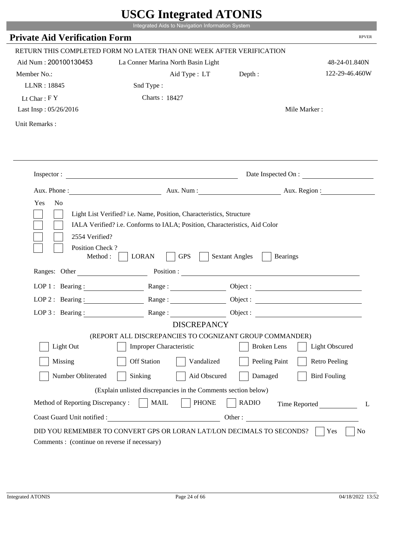|                                         | Integrated Aids to Navigation Information System                                                                                                   |                                          |                       |
|-----------------------------------------|----------------------------------------------------------------------------------------------------------------------------------------------------|------------------------------------------|-----------------------|
| <b>Private Aid Verification Form</b>    |                                                                                                                                                    |                                          | <b>RPVER</b>          |
|                                         | RETURN THIS COMPLETED FORM NO LATER THAN ONE WEEK AFTER VERIFICATION                                                                               |                                          |                       |
| Aid Num: 200100130453                   | La Conner Marina North Basin Light                                                                                                                 |                                          | 48-24-01.840N         |
| Member No.:                             | Aid Type : LT                                                                                                                                      | Depth:                                   | 122-29-46.460W        |
| LLNR: 18845                             | Snd Type:                                                                                                                                          |                                          |                       |
| Lt Char: $FY$                           | Charts: 18427                                                                                                                                      |                                          |                       |
| Last Insp: 05/26/2016                   |                                                                                                                                                    |                                          | Mile Marker:          |
| Unit Remarks:                           |                                                                                                                                                    |                                          |                       |
|                                         |                                                                                                                                                    |                                          |                       |
|                                         | Inspector:                                                                                                                                         |                                          | Date Inspected On :   |
|                                         | Aux. Phone: Aux. Num : Aux. Num : Aux. Region :                                                                                                    |                                          |                       |
| Yes<br>N <sub>o</sub><br>2554 Verified? | Light List Verified? i.e. Name, Position, Characteristics, Structure<br>IALA Verified? i.e. Conforms to IALA; Position, Characteristics, Aid Color |                                          |                       |
| Position Check?<br>Method : $\vert$     | <b>GPS</b><br><b>LORAN</b><br>$\sim$                                                                                                               | <b>Sextant Angles</b><br><b>Bearings</b> |                       |
| Ranges: Other                           | Position :                                                                                                                                         |                                          |                       |
|                                         | LOP 1: Bearing: Range:                                                                                                                             |                                          |                       |
|                                         | LOP 2: Bearing: $\qquad \qquad \text{Range} :$                                                                                                     |                                          |                       |
| LOP 3: Bearing :                        | Range:                                                                                                                                             |                                          | Object :              |
|                                         | <b>DISCREPANCY</b>                                                                                                                                 |                                          |                       |
| Light Out                               | (REPORT ALL DISCREPANCIES TO COGNIZANT GROUP COMMANDER)<br><b>Improper Characteristic</b>                                                          | <b>Broken</b> Lens                       | <b>Light Obscured</b> |
|                                         |                                                                                                                                                    |                                          |                       |
| Missing                                 | <b>Off Station</b><br>Vandalized                                                                                                                   | Peeling Paint                            | <b>Retro Peeling</b>  |
| Number Obliterated                      | Sinking<br>Aid Obscured                                                                                                                            | Damaged                                  | <b>Bird Fouling</b>   |
|                                         | (Explain unlisted discrepancies in the Comments section below)                                                                                     |                                          |                       |
| Method of Reporting Discrepancy:        | <b>PHONE</b><br><b>MAIL</b>                                                                                                                        | <b>RADIO</b>                             | Time Reported         |

T.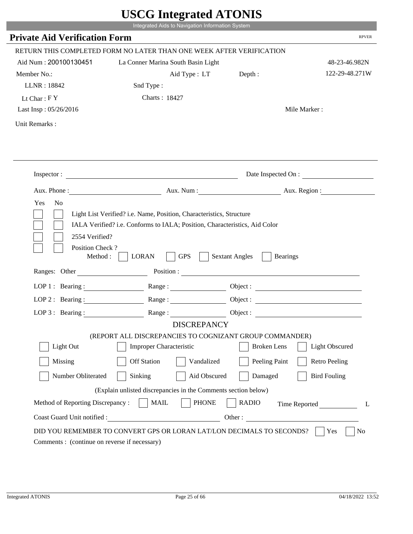|                                                                 | Integrated Aids to Navigation Information System                                                         |                                          |                       |
|-----------------------------------------------------------------|----------------------------------------------------------------------------------------------------------|------------------------------------------|-----------------------|
| <b>Private Aid Verification Form</b>                            |                                                                                                          |                                          | <b>RPVER</b>          |
|                                                                 | RETURN THIS COMPLETED FORM NO LATER THAN ONE WEEK AFTER VERIFICATION                                     |                                          |                       |
| Aid Num: 200100130451                                           | La Conner Marina South Basin Light                                                                       |                                          | 48-23-46.982N         |
| Member No.:                                                     |                                                                                                          |                                          | 122-29-48.271W        |
| LLNR: 18842                                                     | Aid Type: LT                                                                                             | Depth:                                   |                       |
|                                                                 | Snd Type:                                                                                                |                                          |                       |
| Lt Char: $FY$                                                   | Charts: 18427                                                                                            |                                          |                       |
| Last Insp: 05/26/2016                                           |                                                                                                          |                                          | Mile Marker:          |
| Unit Remarks:                                                   |                                                                                                          |                                          |                       |
|                                                                 |                                                                                                          |                                          |                       |
|                                                                 |                                                                                                          |                                          |                       |
|                                                                 | Inspector:                                                                                               |                                          | Date Inspected On :   |
|                                                                 | Aux. Phone : Aux. Num : Aux. Num : Aux. Aux. Region :                                                    |                                          |                       |
| Yes<br>N <sub>o</sub>                                           |                                                                                                          |                                          |                       |
|                                                                 | Light List Verified? i.e. Name, Position, Characteristics, Structure                                     |                                          |                       |
| 2554 Verified?<br>Position Check?<br>Method :                   | IALA Verified? i.e. Conforms to IALA; Position, Characteristics, Aid Color<br><b>GPS</b><br><b>LORAN</b> | <b>Sextant Angles</b><br><b>Bearings</b> |                       |
| Ranges: Other                                                   |                                                                                                          | Position :                               |                       |
| LOP 1 : Bearing :                                               | Range:                                                                                                   |                                          |                       |
| $LOP$ 2 : Bearing :                                             |                                                                                                          |                                          |                       |
|                                                                 | LOP 3: Bearing : $\qquad \qquad$ Range :                                                                 |                                          |                       |
|                                                                 | <b>DISCREPANCY</b>                                                                                       |                                          |                       |
|                                                                 | (REPORT ALL DISCREPANCIES TO COGNIZANT GROUP COMMANDER)                                                  |                                          |                       |
| Light Out                                                       | Improper Characteristic                                                                                  | <b>Broken</b> Lens                       | <b>Light Obscured</b> |
| Missing                                                         | <b>Off Station</b><br>Vandalized                                                                         | Peeling Paint                            | <b>Retro Peeling</b>  |
| Number Obliterated                                              | Sinking<br>Aid Obscured                                                                                  | Damaged                                  | <b>Bird Fouling</b>   |
|                                                                 |                                                                                                          |                                          |                       |
|                                                                 | (Explain unlisted discrepancies in the Comments section below)                                           |                                          |                       |
| Method of Reporting Discrepancy:<br>Coast Guard Unit notified : | <b>MAIL</b><br><b>PHONE</b>                                                                              | <b>RADIO</b><br>Other:                   | Time Reported<br>L    |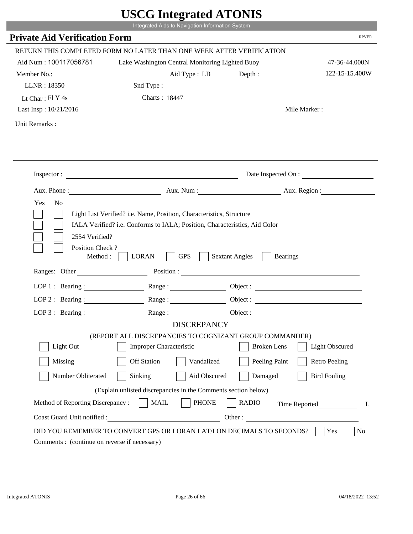|                                                       | Integrated Aids to Navigation Information System                                                                                                   |                                          |                       |
|-------------------------------------------------------|----------------------------------------------------------------------------------------------------------------------------------------------------|------------------------------------------|-----------------------|
| <b>Private Aid Verification Form</b>                  |                                                                                                                                                    |                                          | <b>RPVER</b>          |
|                                                       | RETURN THIS COMPLETED FORM NO LATER THAN ONE WEEK AFTER VERIFICATION                                                                               |                                          |                       |
| Aid Num: 100117056781                                 | Lake Washington Central Monitoring Lighted Buoy                                                                                                    |                                          | 47-36-44.000N         |
| Member No.:                                           | Aid Type: LB                                                                                                                                       | Depth:                                   | 122-15-15.400W        |
| LLNR: 18350                                           | Snd Type:                                                                                                                                          |                                          |                       |
| Lt Char: Fl Y 4s                                      | Charts: 18447                                                                                                                                      |                                          |                       |
| Last Insp: 10/21/2016                                 |                                                                                                                                                    |                                          | Mile Marker:          |
| Unit Remarks:                                         |                                                                                                                                                    |                                          |                       |
|                                                       |                                                                                                                                                    |                                          |                       |
|                                                       |                                                                                                                                                    |                                          |                       |
|                                                       |                                                                                                                                                    |                                          |                       |
|                                                       | Inspector:                                                                                                                                         |                                          | Date Inspected On :   |
|                                                       |                                                                                                                                                    |                                          |                       |
| Yes<br>N <sub>o</sub>                                 | Aux. Phone: Aux. Num : Aux. Num : Aux. Region :                                                                                                    |                                          |                       |
|                                                       | Light List Verified? i.e. Name, Position, Characteristics, Structure<br>IALA Verified? i.e. Conforms to IALA; Position, Characteristics, Aid Color |                                          |                       |
| 2554 Verified?<br>Position Check?<br>Method : $\vert$ | <b>GPS</b><br><b>LORAN</b>                                                                                                                         | <b>Sextant Angles</b><br><b>Bearings</b> |                       |
| Ranges: Other                                         |                                                                                                                                                    | Position :                               |                       |
|                                                       | LOP 1: Bearing: Range:                                                                                                                             |                                          |                       |
|                                                       | LOP 2: Bearing: $\qquad \qquad \text{Range} :$                                                                                                     |                                          |                       |
| LOP 3: Bearing :                                      | Range:                                                                                                                                             |                                          | Object :              |
|                                                       | <b>DISCREPANCY</b>                                                                                                                                 |                                          |                       |
| Light Out                                             | (REPORT ALL DISCREPANCIES TO COGNIZANT GROUP COMMANDER)<br><b>Improper Characteristic</b>                                                          | <b>Broken</b> Lens                       | <b>Light Obscured</b> |
| Missing                                               | <b>Off Station</b><br>Vandalized                                                                                                                   | Peeling Paint                            | <b>Retro Peeling</b>  |
| Number Obliterated                                    | Sinking<br>Aid Obscured                                                                                                                            | Damaged                                  | <b>Bird Fouling</b>   |
|                                                       | (Explain unlisted discrepancies in the Comments section below)                                                                                     |                                          |                       |
| Method of Reporting Discrepancy:                      | <b>PHONE</b><br><b>MAIL</b>                                                                                                                        | <b>RADIO</b>                             | L                     |
| Coast Guard Unit notified :                           |                                                                                                                                                    | Other:                                   | Time Reported         |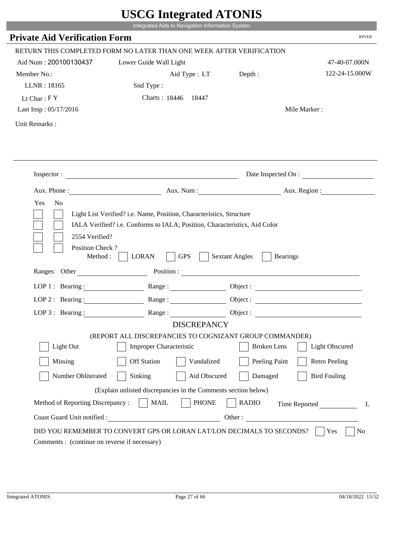|                                         | Integrated Aids to Navigation Information System                                                                                                   |                                          |                       |
|-----------------------------------------|----------------------------------------------------------------------------------------------------------------------------------------------------|------------------------------------------|-----------------------|
| <b>Private Aid Verification Form</b>    |                                                                                                                                                    |                                          | <b>RPVER</b>          |
|                                         | RETURN THIS COMPLETED FORM NO LATER THAN ONE WEEK AFTER VERIFICATION                                                                               |                                          |                       |
| Aid Num: 200100130437                   | Lower Guide Wall Light                                                                                                                             |                                          | 47-40-07.000N         |
| Member No.:                             | Aid Type : LT Depth :                                                                                                                              |                                          | 122-24-15.000W        |
| LLNR: 18165                             | Snd Type:                                                                                                                                          |                                          |                       |
| Lt Char: $FY$                           | Charts: 18446 18447                                                                                                                                |                                          |                       |
| Last Insp: 05/17/2016                   |                                                                                                                                                    |                                          | Mile Marker:          |
| Unit Remarks:                           |                                                                                                                                                    |                                          |                       |
|                                         |                                                                                                                                                    |                                          |                       |
|                                         | Inspector: $\qquad \qquad$                                                                                                                         |                                          | Date Inspected On :   |
|                                         | Aux. Phone : Aux. Num : Aux. Num : Aux. Num : Aux. Region :                                                                                        |                                          |                       |
| N <sub>o</sub><br>Yes<br>2554 Verified? | Light List Verified? i.e. Name, Position, Characteristics, Structure<br>IALA Verified? i.e. Conforms to IALA; Position, Characteristics, Aid Color |                                          |                       |
| Position Check?<br>Method:              | <b>GPS</b><br><b>LORAN</b>                                                                                                                         | <b>Sextant Angles</b><br><b>Bearings</b> |                       |
| Ranges: Other                           |                                                                                                                                                    | Position :                               |                       |
| LOP 1 : Bearing : $\qquad \qquad$       | $Range: \underline{\qquad \qquad }$                                                                                                                |                                          |                       |
| $LOP$ 2 : Bearing :                     | $\mathbf{Range} : \underline{\hspace{1cm}} \qquad \qquad \qquad \qquad$                                                                            |                                          |                       |
| LOP $3:$ Bearing :                      | Range:                                                                                                                                             | Object :                                 |                       |
|                                         | <b>DISCREPANCY</b><br>(REPORT ALL DISCREPANCIES TO COGNIZANT GROUP COMMANDER)                                                                      |                                          |                       |
| Light Out                               | <b>Improper Characteristic</b>                                                                                                                     | <b>Broken</b> Lens                       | <b>Light Obscured</b> |
| Missing                                 | <b>Off Station</b><br>Vandalized                                                                                                                   | Peeling Paint                            | <b>Retro Peeling</b>  |
| Number Obliterated                      | Sinking<br>Aid Obscured                                                                                                                            | Damaged                                  | <b>Bird Fouling</b>   |
|                                         | (Explain unlisted discrepancies in the Comments section below)                                                                                     |                                          |                       |
| Method of Reporting Discrepancy:        | <b>PHONE</b><br><b>MAIL</b>                                                                                                                        | <b>RADIO</b>                             |                       |
| Coast Guard Unit notified :             | <u> 1990 - Johann Barbara, martin a</u>                                                                                                            | Other:                                   | Time Reported<br>L    |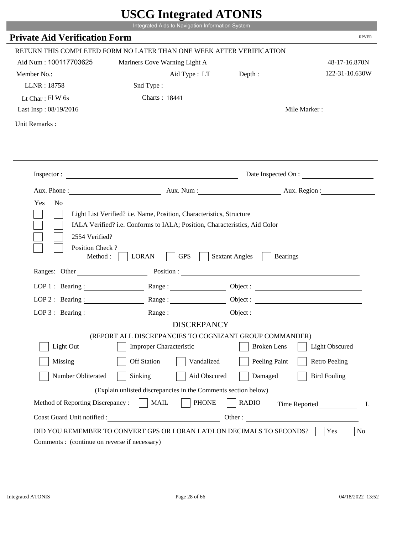|                                                                 | Integrated Aids to Navigation Information System                                                                                                   |                                                        |                      |
|-----------------------------------------------------------------|----------------------------------------------------------------------------------------------------------------------------------------------------|--------------------------------------------------------|----------------------|
| <b>Private Aid Verification Form</b>                            |                                                                                                                                                    |                                                        | <b>RPVER</b>         |
|                                                                 | RETURN THIS COMPLETED FORM NO LATER THAN ONE WEEK AFTER VERIFICATION                                                                               |                                                        |                      |
| Aid Num: 100117703625                                           | Mariners Cove Warning Light A                                                                                                                      |                                                        | 48-17-16.870N        |
| Member No.:                                                     | Aid Type: LT                                                                                                                                       | Depth:                                                 | 122-31-10.630W       |
| LLNR: 18758                                                     | Snd Type:                                                                                                                                          |                                                        |                      |
| Lt Char: $FI$ W 6s                                              | Charts: 18441                                                                                                                                      |                                                        |                      |
| Last Insp: 08/19/2016                                           |                                                                                                                                                    |                                                        | Mile Marker:         |
| Unit Remarks:                                                   |                                                                                                                                                    |                                                        |                      |
|                                                                 | Inspector:                                                                                                                                         |                                                        | Date Inspected On :  |
|                                                                 |                                                                                                                                                    |                                                        |                      |
| Aux. Phone :                                                    |                                                                                                                                                    | Aux. Num: Aux. Region:                                 |                      |
| N <sub>o</sub><br>Yes<br>2554 Verified?                         | Light List Verified? i.e. Name, Position, Characteristics, Structure<br>IALA Verified? i.e. Conforms to IALA; Position, Characteristics, Aid Color |                                                        |                      |
| Position Check?<br>Method :<br>Ranges: Other                    | <b>GPS</b><br><b>LORAN</b>                                                                                                                         | <b>Sextant Angles</b><br><b>Bearings</b><br>Position : |                      |
|                                                                 |                                                                                                                                                    |                                                        |                      |
|                                                                 | LOP 1: Bearing: $\qquad \qquad$ Range:                                                                                                             |                                                        |                      |
|                                                                 | LOP 2: Bearing: Range:                                                                                                                             |                                                        |                      |
| $LOP 3:$ Bearing :                                              | Range:                                                                                                                                             |                                                        | Object:              |
|                                                                 | <b>DISCREPANCY</b><br>(REPORT ALL DISCREPANCIES TO COGNIZANT GROUP COMMANDER)                                                                      |                                                        |                      |
| Light Out                                                       | Improper Characteristic                                                                                                                            | <b>Broken</b> Lens                                     | Light Obscured       |
|                                                                 | <b>Off Station</b><br>Vandalized                                                                                                                   |                                                        |                      |
| Missing                                                         |                                                                                                                                                    | Peeling Paint                                          | <b>Retro Peeling</b> |
| Number Obliterated                                              | Aid Obscured<br>Sinking                                                                                                                            | Damaged                                                | <b>Bird Fouling</b>  |
|                                                                 | (Explain unlisted discrepancies in the Comments section below)                                                                                     |                                                        |                      |
| Method of Reporting Discrepancy:<br>Coast Guard Unit notified : | <b>PHONE</b><br><b>MAIL</b><br>Other:                                                                                                              | <b>RADIO</b>                                           | Time Reported        |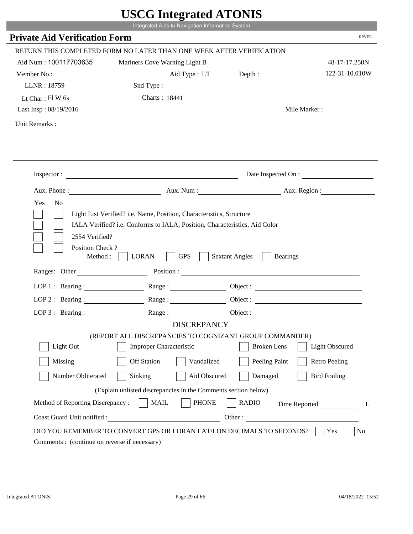|                                                                 | Integrated Aids to Navigation Information System                                                                                                   |                                                        |                      |
|-----------------------------------------------------------------|----------------------------------------------------------------------------------------------------------------------------------------------------|--------------------------------------------------------|----------------------|
| <b>Private Aid Verification Form</b>                            |                                                                                                                                                    |                                                        | <b>RPVER</b>         |
|                                                                 | RETURN THIS COMPLETED FORM NO LATER THAN ONE WEEK AFTER VERIFICATION                                                                               |                                                        |                      |
| Aid Num: 100117703635                                           | Mariners Cove Warning Light B                                                                                                                      |                                                        | 48-17-17.250N        |
| Member No.:                                                     | Aid Type: LT                                                                                                                                       | Depth:                                                 | 122-31-10.010W       |
| LLNR: 18759                                                     | Snd Type:                                                                                                                                          |                                                        |                      |
| Lt Char: $FI$ W 6s                                              | Charts: 18441                                                                                                                                      |                                                        |                      |
| Last Insp: 08/19/2016                                           |                                                                                                                                                    |                                                        | Mile Marker:         |
| Unit Remarks:                                                   |                                                                                                                                                    |                                                        |                      |
|                                                                 |                                                                                                                                                    |                                                        |                      |
|                                                                 | Inspector:                                                                                                                                         |                                                        | Date Inspected On :  |
| Aux. Phone :                                                    |                                                                                                                                                    | Aux. Num : Aux. Region :                               |                      |
| N <sub>o</sub><br>Yes<br>2554 Verified?                         | Light List Verified? i.e. Name, Position, Characteristics, Structure<br>IALA Verified? i.e. Conforms to IALA; Position, Characteristics, Aid Color |                                                        |                      |
| Position Check?<br>Method :<br>Ranges: Other                    | <b>GPS</b><br><b>LORAN</b>                                                                                                                         | <b>Sextant Angles</b><br><b>Bearings</b><br>Position : |                      |
|                                                                 |                                                                                                                                                    |                                                        |                      |
|                                                                 | LOP 1: Bearing: $\qquad \qquad$ Range:                                                                                                             |                                                        |                      |
|                                                                 | LOP 2: Bearing: Range:                                                                                                                             |                                                        |                      |
| $LOP 3:$ Bearing :                                              | Range:<br><b>DISCREPANCY</b>                                                                                                                       |                                                        | Object:              |
|                                                                 | (REPORT ALL DISCREPANCIES TO COGNIZANT GROUP COMMANDER)                                                                                            |                                                        |                      |
| Light Out                                                       | Improper Characteristic                                                                                                                            | <b>Broken</b> Lens                                     | Light Obscured       |
| Missing                                                         | <b>Off Station</b><br>Vandalized                                                                                                                   | Peeling Paint                                          | <b>Retro Peeling</b> |
|                                                                 | Aid Obscured                                                                                                                                       | Damaged                                                |                      |
| Number Obliterated                                              | Sinking                                                                                                                                            |                                                        | <b>Bird Fouling</b>  |
|                                                                 | (Explain unlisted discrepancies in the Comments section below)                                                                                     |                                                        |                      |
| Method of Reporting Discrepancy:<br>Coast Guard Unit notified : | <b>PHONE</b><br><b>MAIL</b><br>Other:                                                                                                              | <b>RADIO</b>                                           | Time Reported        |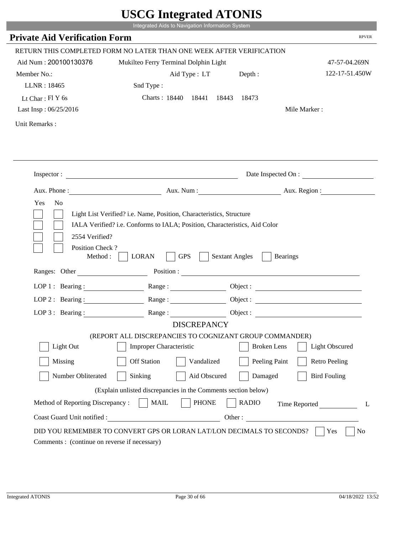|                                               | UDUU IIIIU ARUU ATUNID<br>Integrated Aids to Navigation Information System    |                                                        |                          |
|-----------------------------------------------|-------------------------------------------------------------------------------|--------------------------------------------------------|--------------------------|
| <b>Private Aid Verification Form</b>          |                                                                               |                                                        | <b>RPVER</b>             |
|                                               |                                                                               |                                                        |                          |
|                                               | RETURN THIS COMPLETED FORM NO LATER THAN ONE WEEK AFTER VERIFICATION          |                                                        |                          |
| Aid Num: 200100130376                         | Mukilteo Ferry Terminal Dolphin Light                                         |                                                        | 47-57-04.269N            |
| Member No.:                                   |                                                                               | Aid Type : LT Depth :                                  | 122-17-51.450W           |
| LLNR: 18465                                   | Snd Type:                                                                     |                                                        |                          |
| Lt Char: $FIY$ 6s                             | Charts: 18440 18441                                                           | 18443<br>18473                                         |                          |
| Last Insp: 06/25/2016                         |                                                                               |                                                        | Mile Marker:             |
| Unit Remarks:                                 |                                                                               |                                                        |                          |
|                                               |                                                                               |                                                        |                          |
|                                               | Inspector:                                                                    |                                                        | Date Inspected On :      |
|                                               |                                                                               |                                                        | Aux. Num : Aux. Region : |
| Position Check?<br>Method :<br>Ranges: Other  | <b>GPS</b><br><b>LORAN</b>                                                    | <b>Sextant Angles</b><br><b>Bearings</b><br>Position : |                          |
| LOP 1 : Bearing :                             |                                                                               |                                                        |                          |
| LOP $2:$ Bearing :                            |                                                                               |                                                        |                          |
|                                               |                                                                               |                                                        | Object :                 |
| $LOP 3:$ Bearing :                            | Range:                                                                        |                                                        | Object :                 |
|                                               | <b>DISCREPANCY</b><br>(REPORT ALL DISCREPANCIES TO COGNIZANT GROUP COMMANDER) |                                                        |                          |
| Light Out                                     | <b>Improper Characteristic</b>                                                | <b>Broken</b> Lens                                     | <b>Light Obscured</b>    |
| Missing                                       | <b>Off Station</b><br>Vandalized                                              | Peeling Paint                                          | <b>Retro Peeling</b>     |
| Number Obliterated                            | Aid Obscured<br>Sinking                                                       | Damaged                                                | <b>Bird Fouling</b>      |
|                                               | (Explain unlisted discrepancies in the Comments section below)                |                                                        |                          |
| Method of Reporting Discrepancy:              | <b>PHONE</b><br><b>MAIL</b>                                                   | <b>RADIO</b>                                           | Time Reported<br>L       |
| Coast Guard Unit notified :                   |                                                                               |                                                        | Other:                   |
| Comments : (continue on reverse if necessary) | DID YOU REMEMBER TO CONVERT GPS OR LORAN LAT/LON DECIMALS TO SECONDS?         |                                                        | No<br>Yes                |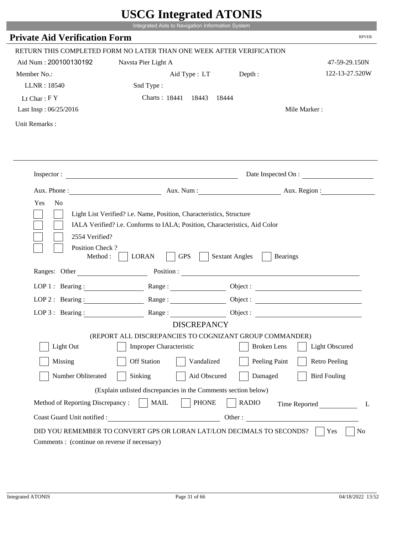|                                      | Integrated Aids to Navigation Information System                              | USUU IIItegrateu ATUNIS                  |                       |
|--------------------------------------|-------------------------------------------------------------------------------|------------------------------------------|-----------------------|
| <b>Private Aid Verification Form</b> |                                                                               |                                          | <b>RPVER</b>          |
|                                      | RETURN THIS COMPLETED FORM NO LATER THAN ONE WEEK AFTER VERIFICATION          |                                          |                       |
| Aid Num: 200100130192                | Navsta Pier Light A                                                           |                                          | 47-59-29.150N         |
| Member No.:                          |                                                                               | Aid Type : LT Depth :                    | 122-13-27.520W        |
| LLNR: 18540                          | Snd Type:                                                                     |                                          |                       |
| Lt Char: $FY$                        | Charts: 18441 18443 18444                                                     |                                          |                       |
| Last Insp: 06/25/2016                |                                                                               |                                          | Mile Marker:          |
| Unit Remarks:                        |                                                                               |                                          |                       |
|                                      |                                                                               |                                          |                       |
|                                      | Inspector: $\qquad \qquad$                                                    |                                          | Date Inspected On :   |
|                                      |                                                                               |                                          |                       |
|                                      | Aux. Phone : Aux. Num : Aux. Num : Aux. Num : Aux. Region :                   |                                          |                       |
|                                      |                                                                               |                                          |                       |
| Position Check?<br>Method:           | <b>LORAN</b><br><b>GPS</b>                                                    | <b>Sextant Angles</b><br><b>Bearings</b> |                       |
| Ranges: Other                        |                                                                               | Position :                               |                       |
| LOP 1 : Bearing : $\qquad \qquad$    |                                                                               |                                          |                       |
| $LOP$ 2 : Bearing :                  | $\mathbf{Range} : \underline{\hspace{1cm}} \qquad \qquad \qquad \qquad$       |                                          |                       |
| $LOP 3:$ Bearing:                    | Range:                                                                        | Object :                                 |                       |
|                                      | <b>DISCREPANCY</b><br>(REPORT ALL DISCREPANCIES TO COGNIZANT GROUP COMMANDER) |                                          |                       |
| Light Out                            | <b>Improper Characteristic</b>                                                | <b>Broken</b> Lens                       | <b>Light Obscured</b> |
| Missing                              | <b>Off Station</b><br>Vandalized                                              | Peeling Paint                            | <b>Retro Peeling</b>  |
| Number Obliterated                   | Sinking<br>Aid Obscured                                                       | Damaged                                  | <b>Bird Fouling</b>   |
|                                      | (Explain unlisted discrepancies in the Comments section below)                |                                          |                       |
| Method of Reporting Discrepancy:     | <b>PHONE</b><br><b>MAIL</b>                                                   | <b>RADIO</b>                             |                       |
| Coast Guard Unit notified :          | <u> 1990 - Johann Barbara, martin a</u>                                       | Other:                                   | Time Reported<br>L    |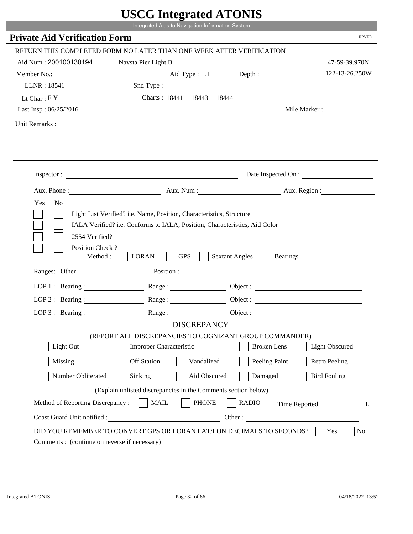|                                             | UDUU MIULIUU ATUTID                                                                                                                                                                                                                                                                                                                                            |                                          |                        |
|---------------------------------------------|----------------------------------------------------------------------------------------------------------------------------------------------------------------------------------------------------------------------------------------------------------------------------------------------------------------------------------------------------------------|------------------------------------------|------------------------|
|                                             | Integrated Aids to Navigation Information System                                                                                                                                                                                                                                                                                                               |                                          |                        |
| <b>Private Aid Verification Form</b>        |                                                                                                                                                                                                                                                                                                                                                                |                                          | <b>RPVER</b>           |
|                                             | RETURN THIS COMPLETED FORM NO LATER THAN ONE WEEK AFTER VERIFICATION                                                                                                                                                                                                                                                                                           |                                          |                        |
| Aid Num: 200100130194                       | Navsta Pier Light B                                                                                                                                                                                                                                                                                                                                            |                                          | 47-59-39.970N          |
| Member No.:                                 | Aid Type : LT Depth :                                                                                                                                                                                                                                                                                                                                          |                                          | 122-13-26.250W         |
| LLNR: 18541                                 | Snd Type:                                                                                                                                                                                                                                                                                                                                                      |                                          |                        |
| Lt Char: $FY$                               | Charts: 18441 18443 18444                                                                                                                                                                                                                                                                                                                                      |                                          |                        |
| Last Insp: 06/25/2016                       |                                                                                                                                                                                                                                                                                                                                                                |                                          | Mile Marker:           |
| Unit Remarks:                               |                                                                                                                                                                                                                                                                                                                                                                |                                          |                        |
|                                             |                                                                                                                                                                                                                                                                                                                                                                |                                          |                        |
|                                             |                                                                                                                                                                                                                                                                                                                                                                |                                          |                        |
|                                             | Inspector:                                                                                                                                                                                                                                                                                                                                                     |                                          | Date Inspected On :    |
|                                             |                                                                                                                                                                                                                                                                                                                                                                |                                          | Aux. Num: Aux. Region: |
| Yes<br>N <sub>o</sub><br>2554 Verified?     | Light List Verified? i.e. Name, Position, Characteristics, Structure<br>IALA Verified? i.e. Conforms to IALA; Position, Characteristics, Aid Color                                                                                                                                                                                                             |                                          |                        |
| Position Check?<br>Method:<br>Ranges: Other | <b>GPS</b><br><b>LORAN</b>                                                                                                                                                                                                                                                                                                                                     | <b>Sextant Angles</b><br><b>Bearings</b> |                        |
|                                             | Position :                                                                                                                                                                                                                                                                                                                                                     |                                          |                        |
|                                             | LOP 1: Bearing : $\qquad \qquad$ Range :                                                                                                                                                                                                                                                                                                                       |                                          |                        |
| LOP $2:$ Bearing :                          | $Range: \begin{tabular}{ c c c } \hline \rule{0.3cm}{.03cm} \rule{0.3cm}{.03cm} \rule{0.3cm}{.03cm} \rule{0.3cm}{.03cm} \rule{0.3cm}{.03cm} \rule{0.3cm}{.03cm} \rule{0.3cm}{.03cm} \rule{0.3cm}{.03cm} \rule{0.3cm}{.03cm} \rule{0.3cm}{.03cm} \rule{0.3cm}{.03cm} \rule{0.3cm}{.03cm} \rule{0.3cm}{.03cm} \rule{0.3cm}{.03cm} \rule{0.3cm}{.03cm} \rule{0.3$ |                                          |                        |
|                                             | LOP 3: Bearing: Range: Object:                                                                                                                                                                                                                                                                                                                                 |                                          |                        |
|                                             | <b>DISCREPANCY</b>                                                                                                                                                                                                                                                                                                                                             |                                          |                        |
| Light Out                                   | (REPORT ALL DISCREPANCIES TO COGNIZANT GROUP COMMANDER)<br>Improper Characteristic                                                                                                                                                                                                                                                                             | <b>Broken</b> Lens                       | Light Obscured         |
|                                             |                                                                                                                                                                                                                                                                                                                                                                |                                          |                        |
| Missing                                     | <b>Off Station</b><br>Vandalized                                                                                                                                                                                                                                                                                                                               | Peeling Paint                            | <b>Retro Peeling</b>   |
| Number Obliterated                          | Sinking<br>Aid Obscured                                                                                                                                                                                                                                                                                                                                        | Damaged                                  | <b>Bird Fouling</b>    |
|                                             | (Explain unlisted discrepancies in the Comments section below)                                                                                                                                                                                                                                                                                                 |                                          |                        |
| Method of Reporting Discrepancy:            | <b>PHONE</b><br><b>MAIL</b>                                                                                                                                                                                                                                                                                                                                    | <b>RADIO</b>                             | Time Reported<br>L     |

Т.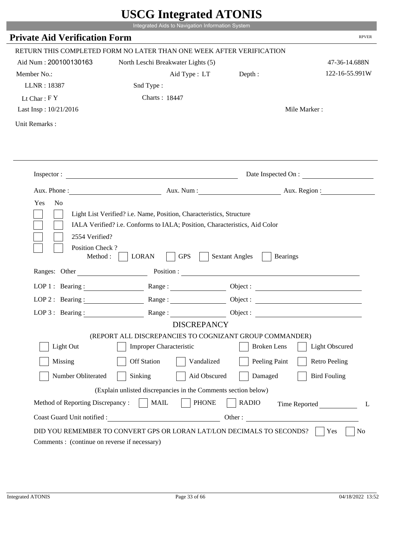|                                                                        | Integrated Aids to Navigation Information System                                                                                                   | $\sim$                                   |                       |
|------------------------------------------------------------------------|----------------------------------------------------------------------------------------------------------------------------------------------------|------------------------------------------|-----------------------|
| <b>Private Aid Verification Form</b>                                   |                                                                                                                                                    |                                          | <b>RPVER</b>          |
|                                                                        | RETURN THIS COMPLETED FORM NO LATER THAN ONE WEEK AFTER VERIFICATION                                                                               |                                          |                       |
| Aid Num: 200100130163                                                  | North Leschi Breakwater Lights (5)                                                                                                                 |                                          | 47-36-14.688N         |
| Member No.:                                                            | Aid Type : LT Depth :                                                                                                                              |                                          | 122-16-55.991W        |
| LLNR: 18387                                                            | Snd Type:                                                                                                                                          |                                          |                       |
| Lt Char: $FY$                                                          | Charts: 18447                                                                                                                                      |                                          |                       |
| Last Insp: 10/21/2016                                                  |                                                                                                                                                    |                                          | Mile Marker:          |
| Unit Remarks:                                                          |                                                                                                                                                    |                                          |                       |
|                                                                        |                                                                                                                                                    |                                          | Date Inspected On :   |
|                                                                        | Aux. Phone : Aux. Num : Aux. Num : Aux. Num : Aux. Region :                                                                                        |                                          |                       |
| Yes<br>N <sub>o</sub>                                                  | Light List Verified? i.e. Name, Position, Characteristics, Structure<br>IALA Verified? i.e. Conforms to IALA; Position, Characteristics, Aid Color |                                          |                       |
| 2554 Verified?<br>Position Check?<br>Method : $\vert$<br>Ranges: Other | <b>GPS</b><br><b>LORAN</b>                                                                                                                         | <b>Sextant Angles</b><br><b>Bearings</b> |                       |
|                                                                        |                                                                                                                                                    |                                          |                       |
|                                                                        | LOP 1: Bearing: Range:                                                                                                                             |                                          |                       |
| LOP 2 : Bearing :                                                      |                                                                                                                                                    |                                          |                       |
|                                                                        | LOP 3: Bearing: Range: Range: Object:                                                                                                              |                                          |                       |
|                                                                        | <b>DISCREPANCY</b><br>(REPORT ALL DISCREPANCIES TO COGNIZANT GROUP COMMANDER)                                                                      |                                          |                       |
| Light Out                                                              | Improper Characteristic                                                                                                                            | <b>Broken</b> Lens                       | <b>Light Obscured</b> |
| Missing                                                                | <b>Off Station</b><br>Vandalized                                                                                                                   |                                          | <b>Retro Peeling</b>  |
|                                                                        |                                                                                                                                                    | Peeling Paint                            |                       |
| Number Obliterated                                                     | Sinking<br>Aid Obscured                                                                                                                            | Damaged                                  | <b>Bird Fouling</b>   |
|                                                                        | (Explain unlisted discrepancies in the Comments section below)                                                                                     |                                          |                       |
| Method of Reporting Discrepancy:<br>Coast Guard Unit notified :        | <b>MAIL</b><br><b>PHONE</b><br><u> 1980 - Johann Barbara, martxa eta politikar</u>                                                                 | <b>RADIO</b><br>Other:                   | Time Reported<br>L    |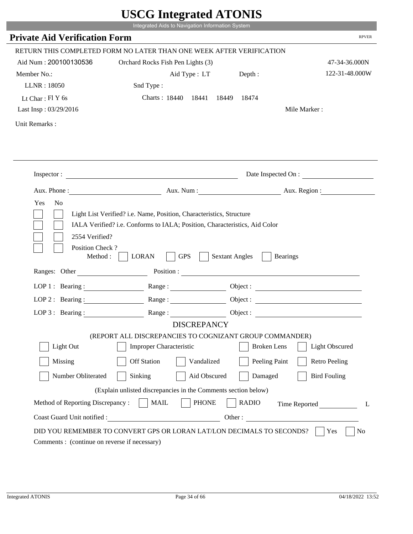|                                              | UDUU IIIIU ARUU ATUNID<br>Integrated Aids to Navigation Information System                                                                                                                                                     |                       |                                 |
|----------------------------------------------|--------------------------------------------------------------------------------------------------------------------------------------------------------------------------------------------------------------------------------|-----------------------|---------------------------------|
| <b>Private Aid Verification Form</b>         |                                                                                                                                                                                                                                |                       | <b>RPVER</b>                    |
|                                              |                                                                                                                                                                                                                                |                       |                                 |
|                                              | RETURN THIS COMPLETED FORM NO LATER THAN ONE WEEK AFTER VERIFICATION                                                                                                                                                           |                       |                                 |
| Aid Num: 200100130536                        | Orchard Rocks Fish Pen Lights (3)                                                                                                                                                                                              |                       | 47-34-36.000N<br>122-31-48.000W |
| Member No.:                                  | Aid Type : LT                                                                                                                                                                                                                  | Depth:                |                                 |
| LLNR: 18050                                  | Snd Type:                                                                                                                                                                                                                      |                       |                                 |
| Lt Char: $FIY$ 6s                            | Charts: 18440 18441                                                                                                                                                                                                            | 18449<br>18474        | Mile Marker:                    |
| Last Insp: 03/29/2016                        |                                                                                                                                                                                                                                |                       |                                 |
| Unit Remarks:                                |                                                                                                                                                                                                                                |                       |                                 |
|                                              |                                                                                                                                                                                                                                |                       |                                 |
|                                              | Inspector:                                                                                                                                                                                                                     |                       | Date Inspected On :             |
| Aux. Phone :                                 |                                                                                                                                                                                                                                |                       | Aux. Num : Aux. Region :        |
| Yes<br>N <sub>o</sub>                        | Light List Verified? i.e. Name, Position, Characteristics, Structure<br>IALA Verified? i.e. Conforms to IALA; Position, Characteristics, Aid Color                                                                             |                       |                                 |
| 2554 Verified?<br>Position Check?<br>Method: | <b>GPS</b><br><b>LORAN</b>                                                                                                                                                                                                     | <b>Sextant Angles</b> | <b>Bearings</b>                 |
| Ranges: Other                                | Position : The Contract of the Contract of the Contract of the Contract of the Contract of the Contract of the Contract of the Contract of the Contract of the Contract of the Contract of the Contract of the Contract of the |                       |                                 |
| LOP 1 : Bearing :                            |                                                                                                                                                                                                                                |                       | Object :                        |
| $LOP$ 2 : Bearing :                          | Range :                                                                                                                                                                                                                        |                       |                                 |
| LOP $3:$ Bearing :                           | Range:                                                                                                                                                                                                                         |                       |                                 |
|                                              | <b>DISCREPANCY</b>                                                                                                                                                                                                             |                       |                                 |
|                                              | (REPORT ALL DISCREPANCIES TO COGNIZANT GROUP COMMANDER)                                                                                                                                                                        |                       |                                 |
| Light Out                                    | <b>Improper Characteristic</b>                                                                                                                                                                                                 | <b>Broken</b> Lens    | <b>Light Obscured</b>           |
| Missing                                      | <b>Off Station</b><br>Vandalized                                                                                                                                                                                               | Peeling Paint         | <b>Retro Peeling</b>            |
| Number Obliterated                           | Sinking<br>Aid Obscured                                                                                                                                                                                                        | Damaged               | <b>Bird Fouling</b>             |
|                                              | (Explain unlisted discrepancies in the Comments section below)                                                                                                                                                                 |                       |                                 |
| Method of Reporting Discrepancy:             | <b>PHONE</b><br><b>MAIL</b>                                                                                                                                                                                                    | <b>RADIO</b>          | Time Reported<br>L              |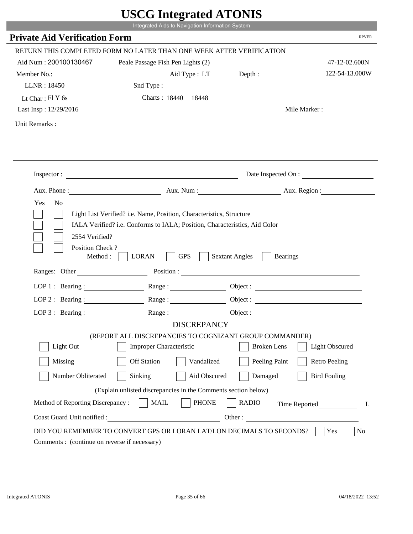|                                             | UDUU IIIItgi altu ATUNID                                                                                                                           |                                          |                          |
|---------------------------------------------|----------------------------------------------------------------------------------------------------------------------------------------------------|------------------------------------------|--------------------------|
|                                             | Integrated Aids to Navigation Information System                                                                                                   |                                          |                          |
| <b>Private Aid Verification Form</b>        |                                                                                                                                                    |                                          | <b>RPVER</b>             |
|                                             | RETURN THIS COMPLETED FORM NO LATER THAN ONE WEEK AFTER VERIFICATION                                                                               |                                          |                          |
| Aid Num: 200100130467                       | Peale Passage Fish Pen Lights (2)                                                                                                                  |                                          | 47-12-02.600N            |
| Member No.:                                 | Aid Type : LT                                                                                                                                      | Depth:                                   | 122-54-13.000W           |
| LLNR: 18450                                 | Snd Type:                                                                                                                                          |                                          |                          |
| Lt Char: $FIY$ 6s                           | Charts: 18440 18448                                                                                                                                |                                          |                          |
| Last Insp: 12/29/2016                       |                                                                                                                                                    |                                          | Mile Marker:             |
| Unit Remarks:                               |                                                                                                                                                    |                                          |                          |
|                                             |                                                                                                                                                    |                                          |                          |
|                                             |                                                                                                                                                    |                                          |                          |
|                                             | Inspector: $\qquad \qquad$                                                                                                                         |                                          | Date Inspected On :      |
|                                             |                                                                                                                                                    |                                          | Aux. Num : Aux. Region : |
| Yes<br>N <sub>o</sub><br>2554 Verified?     | Light List Verified? i.e. Name, Position, Characteristics, Structure<br>IALA Verified? i.e. Conforms to IALA; Position, Characteristics, Aid Color |                                          |                          |
| Position Check?<br>Method:<br>Ranges: Other | <b>GPS</b><br><b>LORAN</b>                                                                                                                         | <b>Sextant Angles</b><br><b>Bearings</b> |                          |
|                                             |                                                                                                                                                    | Position :                               |                          |
| LOP 1 : Bearing :                           |                                                                                                                                                    |                                          | Object :                 |
| LOP $2:$ Bearing :                          | Range:                                                                                                                                             |                                          |                          |
| $LOP$ 3 : Bearing :                         | Range:                                                                                                                                             |                                          | Object :                 |
|                                             | <b>DISCREPANCY</b>                                                                                                                                 |                                          |                          |
| Light Out                                   | (REPORT ALL DISCREPANCIES TO COGNIZANT GROUP COMMANDER)<br><b>Improper Characteristic</b>                                                          | <b>Broken</b> Lens                       | <b>Light Obscured</b>    |
|                                             |                                                                                                                                                    |                                          |                          |
| Missing                                     | <b>Off Station</b><br>Vandalized                                                                                                                   | Peeling Paint                            | <b>Retro Peeling</b>     |
| Number Obliterated                          | Aid Obscured<br>Sinking                                                                                                                            | Damaged                                  | <b>Bird Fouling</b>      |
|                                             | (Explain unlisted discrepancies in the Comments section below)                                                                                     |                                          |                          |
| Method of Reporting Discrepancy:            | <b>PHONE</b><br><b>MAIL</b>                                                                                                                        | <b>RADIO</b>                             | Time Reported<br>L       |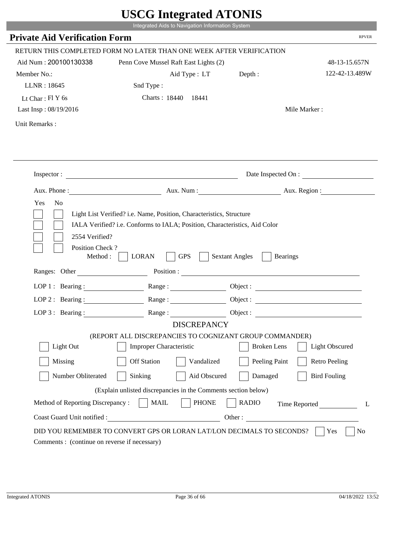|                                                               | UDUU IIIIU ARUU ATUNID<br>Integrated Aids to Navigation Information System                |                                                                                                                                                                                                                                                                            |                |
|---------------------------------------------------------------|-------------------------------------------------------------------------------------------|----------------------------------------------------------------------------------------------------------------------------------------------------------------------------------------------------------------------------------------------------------------------------|----------------|
|                                                               |                                                                                           |                                                                                                                                                                                                                                                                            | <b>RPVER</b>   |
| <b>Private Aid Verification Form</b>                          |                                                                                           |                                                                                                                                                                                                                                                                            |                |
|                                                               | RETURN THIS COMPLETED FORM NO LATER THAN ONE WEEK AFTER VERIFICATION                      |                                                                                                                                                                                                                                                                            |                |
| Aid Num: 200100130338                                         | Penn Cove Mussel Raft East Lights (2)                                                     |                                                                                                                                                                                                                                                                            | 48-13-15.657N  |
| Member No.:                                                   | Aid Type : LT Depth :                                                                     |                                                                                                                                                                                                                                                                            | 122-42-13.489W |
| LLNR: 18645                                                   | Snd Type:                                                                                 |                                                                                                                                                                                                                                                                            |                |
| Lt Char: $FIY$ 6s                                             | Charts: 18440 18441                                                                       |                                                                                                                                                                                                                                                                            |                |
| Last Insp: 08/19/2016                                         |                                                                                           | Mile Marker:                                                                                                                                                                                                                                                               |                |
| Unit Remarks:                                                 |                                                                                           |                                                                                                                                                                                                                                                                            |                |
|                                                               |                                                                                           |                                                                                                                                                                                                                                                                            |                |
|                                                               | Inspector:                                                                                | Date Inspected On :                                                                                                                                                                                                                                                        |                |
| Aux. Phone :                                                  |                                                                                           | Aux. Num: Aux. Region:                                                                                                                                                                                                                                                     |                |
| 2554 Verified?<br>Position Check?<br>Method:<br>Ranges: Other | <b>GPS</b><br><b>LORAN</b>                                                                | <b>Sextant Angles</b><br><b>Bearings</b><br>Position : The Contract of the Contract of the Contract of the Contract of the Contract of the Contract of the Contract of the Contract of the Contract of the Contract of the Contract of the Contract of the Contract of the |                |
| LOP 1 : Bearing :                                             |                                                                                           |                                                                                                                                                                                                                                                                            |                |
|                                                               |                                                                                           |                                                                                                                                                                                                                                                                            |                |
| $LOP$ 2 : Bearing :                                           | Range:                                                                                    |                                                                                                                                                                                                                                                                            |                |
| LOP $3$ : Bearing :                                           | Range:                                                                                    |                                                                                                                                                                                                                                                                            |                |
|                                                               | <b>DISCREPANCY</b>                                                                        |                                                                                                                                                                                                                                                                            |                |
| Light Out                                                     | (REPORT ALL DISCREPANCIES TO COGNIZANT GROUP COMMANDER)<br><b>Improper Characteristic</b> | <b>Broken</b> Lens<br><b>Light Obscured</b>                                                                                                                                                                                                                                |                |
|                                                               |                                                                                           |                                                                                                                                                                                                                                                                            |                |
| Missing                                                       | <b>Off Station</b><br>Vandalized                                                          | Peeling Paint<br><b>Retro Peeling</b>                                                                                                                                                                                                                                      |                |
| Number Obliterated                                            | Sinking<br>Aid Obscured                                                                   | Damaged<br><b>Bird Fouling</b>                                                                                                                                                                                                                                             |                |
|                                                               | (Explain unlisted discrepancies in the Comments section below)                            |                                                                                                                                                                                                                                                                            |                |
| Method of Reporting Discrepancy:                              | <b>PHONE</b><br><b>MAIL</b>                                                               | <b>RADIO</b><br>Time Reported                                                                                                                                                                                                                                              | L              |
| Coast Guard Unit notified :                                   | <u> 1980 - Johann Barbara, martin d</u>                                                   | Other:                                                                                                                                                                                                                                                                     |                |
| Comments : (continue on reverse if necessary)                 | DID YOU REMEMBER TO CONVERT GPS OR LORAN LAT/LON DECIMALS TO SECONDS?                     | Yes                                                                                                                                                                                                                                                                        | N <sub>0</sub> |

p.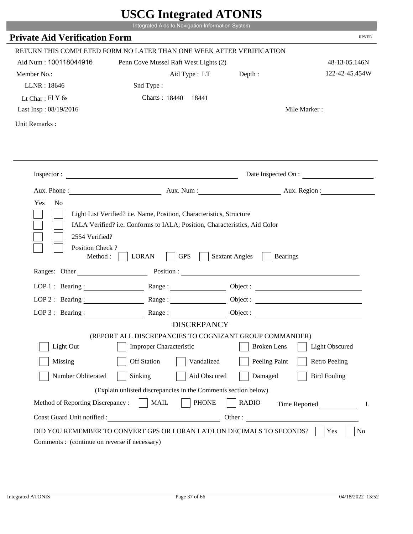|                                              | Integrated Aids to Navigation Information System                                                                                                   |                                          |                       |
|----------------------------------------------|----------------------------------------------------------------------------------------------------------------------------------------------------|------------------------------------------|-----------------------|
| <b>Private Aid Verification Form</b>         |                                                                                                                                                    |                                          | <b>RPVER</b>          |
|                                              | RETURN THIS COMPLETED FORM NO LATER THAN ONE WEEK AFTER VERIFICATION                                                                               |                                          |                       |
| Aid Num: 100118044916                        | Penn Cove Mussel Raft West Lights (2)                                                                                                              |                                          | 48-13-05.146N         |
| Member No.:                                  | Aid Type : LT                                                                                                                                      | Depth :                                  | 122-42-45.454W        |
| LLNR: 18646                                  | Snd Type:                                                                                                                                          |                                          |                       |
| Lt Char: $FIY$ 6s                            | Charts: 18440 18441                                                                                                                                |                                          |                       |
| Last Insp: 08/19/2016                        |                                                                                                                                                    |                                          | Mile Marker:          |
| Unit Remarks:                                |                                                                                                                                                    |                                          |                       |
|                                              |                                                                                                                                                    |                                          |                       |
|                                              | Inspector:                                                                                                                                         |                                          | Date Inspected On :   |
|                                              | Aux. Phone: Aux. Aux. Num : Aux. Aux. Region :                                                                                                     |                                          |                       |
| 2554 Verified?                               | Light List Verified? i.e. Name, Position, Characteristics, Structure<br>IALA Verified? i.e. Conforms to IALA; Position, Characteristics, Aid Color |                                          |                       |
| Position Check?<br>Method :<br>Ranges: Other | <b>GPS</b><br><b>LORAN</b>                                                                                                                         | <b>Sextant Angles</b><br><b>Bearings</b> |                       |
|                                              |                                                                                                                                                    |                                          |                       |
|                                              | LOP 1: Bearing : Range :                                                                                                                           |                                          | Object:               |
| LOP 2 : Bearing :                            |                                                                                                                                                    |                                          |                       |
|                                              | LOP 3: Bearing: Range: Object:<br><b>DISCREPANCY</b>                                                                                               |                                          |                       |
|                                              | (REPORT ALL DISCREPANCIES TO COGNIZANT GROUP COMMANDER)                                                                                            |                                          |                       |
| Light Out                                    | Improper Characteristic                                                                                                                            | <b>Broken</b> Lens                       | <b>Light Obscured</b> |
| Missing                                      | <b>Off Station</b><br>Vandalized                                                                                                                   | Peeling Paint                            | <b>Retro Peeling</b>  |
| Number Obliterated                           | Sinking<br>Aid Obscured                                                                                                                            | Damaged                                  | <b>Bird Fouling</b>   |
|                                              | (Explain unlisted discrepancies in the Comments section below)                                                                                     |                                          |                       |
| Method of Reporting Discrepancy:             | <b>PHONE</b><br><b>MAIL</b>                                                                                                                        | <b>RADIO</b>                             |                       |
| Coast Guard Unit notified :                  | <u> 1989 - Johann Barbara, martxa alemaniar a</u>                                                                                                  | Other:                                   | Time Reported<br>L    |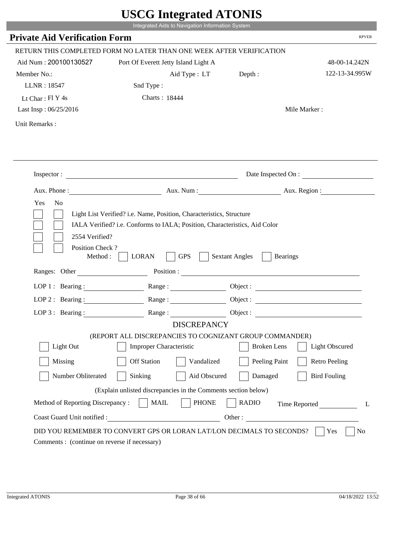|                                                                 | Integrated Aids to Navigation Information System                                                                                                   |                                          |                      |
|-----------------------------------------------------------------|----------------------------------------------------------------------------------------------------------------------------------------------------|------------------------------------------|----------------------|
| <b>Private Aid Verification Form</b>                            |                                                                                                                                                    |                                          | <b>RPVER</b>         |
|                                                                 | RETURN THIS COMPLETED FORM NO LATER THAN ONE WEEK AFTER VERIFICATION                                                                               |                                          |                      |
| Aid Num: 200100130527                                           |                                                                                                                                                    |                                          | 48-00-14.242N        |
| Member No.:                                                     | Port Of Everett Jetty Island Light A                                                                                                               |                                          | 122-13-34.995W       |
| LLNR: 18547                                                     | Aid Type : LT                                                                                                                                      | Depth:                                   |                      |
|                                                                 | Snd Type:                                                                                                                                          |                                          |                      |
| Lt Char: Fl Y 4s                                                | Charts: 18444                                                                                                                                      |                                          |                      |
| Last Insp: 06/25/2016                                           |                                                                                                                                                    |                                          | Mile Marker:         |
| Unit Remarks:                                                   |                                                                                                                                                    |                                          |                      |
|                                                                 |                                                                                                                                                    |                                          |                      |
|                                                                 | Inspector:                                                                                                                                         |                                          | Date Inspected On :  |
|                                                                 | Aux. Phone : Aux. Num : Aux. Num : Aux. Aux. Region :                                                                                              |                                          |                      |
|                                                                 | Light List Verified? i.e. Name, Position, Characteristics, Structure<br>IALA Verified? i.e. Conforms to IALA; Position, Characteristics, Aid Color |                                          |                      |
| 2554 Verified?<br>Position Check?<br>Method :                   | <b>GPS</b><br><b>LORAN</b>                                                                                                                         | <b>Sextant Angles</b><br><b>Bearings</b> |                      |
| Ranges: Other                                                   |                                                                                                                                                    | Position :                               |                      |
| LOP 1 : Bearing :                                               | Range:                                                                                                                                             |                                          |                      |
| $LOP$ 2 : Bearing :                                             |                                                                                                                                                    |                                          |                      |
|                                                                 | LOP 3: Bearing : $\qquad \qquad$ Range :                                                                                                           |                                          |                      |
|                                                                 | <b>DISCREPANCY</b>                                                                                                                                 |                                          |                      |
| Light Out                                                       | (REPORT ALL DISCREPANCIES TO COGNIZANT GROUP COMMANDER)<br>Improper Characteristic                                                                 | <b>Broken</b> Lens                       | Light Obscured       |
| Missing                                                         | <b>Off Station</b><br>Vandalized                                                                                                                   | Peeling Paint                            | <b>Retro Peeling</b> |
| Number Obliterated                                              | Sinking<br>Aid Obscured                                                                                                                            | Damaged                                  | <b>Bird Fouling</b>  |
|                                                                 |                                                                                                                                                    |                                          |                      |
|                                                                 | (Explain unlisted discrepancies in the Comments section below)                                                                                     |                                          |                      |
| Method of Reporting Discrepancy:<br>Coast Guard Unit notified : | <b>MAIL</b><br><b>PHONE</b>                                                                                                                        | <b>RADIO</b><br>Other:                   | Time Reported<br>L   |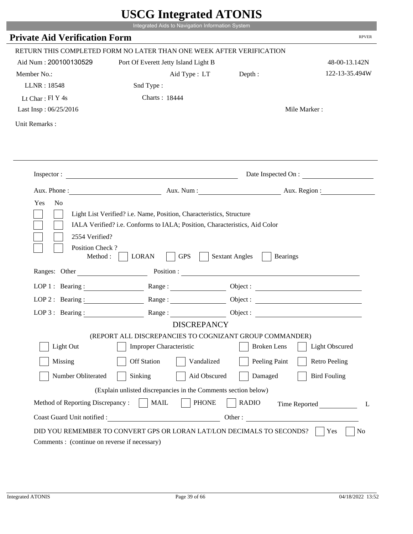|                                                    | Integrated Aids to Navigation Information System                                                                             |                                          |                       |
|----------------------------------------------------|------------------------------------------------------------------------------------------------------------------------------|------------------------------------------|-----------------------|
| <b>Private Aid Verification Form</b>               |                                                                                                                              |                                          | <b>RPVER</b>          |
|                                                    | RETURN THIS COMPLETED FORM NO LATER THAN ONE WEEK AFTER VERIFICATION                                                         |                                          |                       |
| Aid Num: 200100130529                              | Port Of Everett Jetty Island Light B                                                                                         |                                          | 48-00-13.142N         |
| Member No.:                                        | Aid Type : LT Depth :                                                                                                        |                                          | 122-13-35.494W        |
| LLNR: 18548                                        | Snd Type:                                                                                                                    |                                          |                       |
| Lt Char: $FI$ Y 4s                                 | Charts: 18444                                                                                                                |                                          |                       |
| Last Insp: 06/25/2016                              |                                                                                                                              |                                          | Mile Marker:          |
| Unit Remarks:                                      |                                                                                                                              |                                          |                       |
|                                                    |                                                                                                                              |                                          |                       |
|                                                    |                                                                                                                              |                                          | Date Inspected On :   |
|                                                    | Aux. Phone: Aux. Num : Aux. Num : Aux. Region :                                                                              |                                          |                       |
|                                                    | Light List Verified? i.e. Name, Position, Characteristics, Structure                                                         |                                          |                       |
| 2554 Verified?<br>Position Check?<br>Ranges: Other | IALA Verified? i.e. Conforms to IALA; Position, Characteristics, Aid Color<br><b>LORAN</b><br><b>GPS</b><br>Method : $\vert$ | <b>Sextant Angles</b><br><b>Bearings</b> |                       |
|                                                    |                                                                                                                              |                                          |                       |
|                                                    | LOP 1: Bearing: Range:                                                                                                       |                                          |                       |
| LOP 2: Bearing:                                    | Range:                                                                                                                       |                                          |                       |
|                                                    | LOP 3: Bearing: Range: Range: Object:                                                                                        |                                          |                       |
|                                                    | <b>DISCREPANCY</b>                                                                                                           |                                          |                       |
| Light Out                                          | (REPORT ALL DISCREPANCIES TO COGNIZANT GROUP COMMANDER)<br>Improper Characteristic                                           | <b>Broken</b> Lens                       | <b>Light Obscured</b> |
| Missing                                            | <b>Off Station</b><br>Vandalized                                                                                             | Peeling Paint                            | <b>Retro Peeling</b>  |
| Number Obliterated                                 | Sinking<br>Aid Obscured                                                                                                      | Damaged                                  | <b>Bird Fouling</b>   |
|                                                    | (Explain unlisted discrepancies in the Comments section below)                                                               |                                          |                       |
| Method of Reporting Discrepancy:                   | <b>MAIL</b><br><b>PHONE</b>                                                                                                  | <b>RADIO</b>                             |                       |
| Coast Guard Unit notified :                        | <u> 1989 - Johann Barbara, martxa eta politikar</u>                                                                          | Other:                                   | Time Reported<br>L    |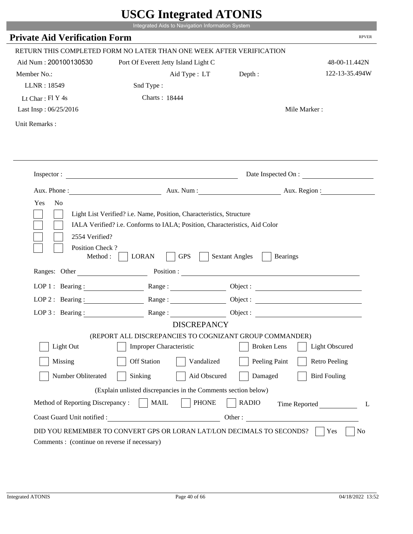|                                              | Integrated Aids to Navigation Information System                                                                                                   |                                                        |                      |
|----------------------------------------------|----------------------------------------------------------------------------------------------------------------------------------------------------|--------------------------------------------------------|----------------------|
| <b>Private Aid Verification Form</b>         |                                                                                                                                                    |                                                        | <b>RPVER</b>         |
|                                              | RETURN THIS COMPLETED FORM NO LATER THAN ONE WEEK AFTER VERIFICATION                                                                               |                                                        |                      |
| Aid Num: 200100130530                        | Port Of Everett Jetty Island Light C                                                                                                               |                                                        | 48-00-11.442N        |
| Member No.:                                  | Aid Type : LT                                                                                                                                      | Depth:                                                 | 122-13-35.494W       |
| LLNR: 18549                                  | Snd Type:                                                                                                                                          |                                                        |                      |
| Lt Char: $FI Y 4s$                           | Charts: 18444                                                                                                                                      |                                                        |                      |
| Last Insp: 06/25/2016                        |                                                                                                                                                    |                                                        | Mile Marker:         |
| Unit Remarks:                                |                                                                                                                                                    |                                                        |                      |
|                                              | Inspector:                                                                                                                                         |                                                        | Date Inspected On :  |
|                                              |                                                                                                                                                    |                                                        |                      |
| Aux. Phone :                                 |                                                                                                                                                    | Aux. Num : Aux. Region :                               |                      |
| N <sub>o</sub><br>Yes<br>2554 Verified?      | Light List Verified? i.e. Name, Position, Characteristics, Structure<br>IALA Verified? i.e. Conforms to IALA; Position, Characteristics, Aid Color |                                                        |                      |
| Position Check?<br>Method :<br>Ranges: Other | <b>GPS</b><br><b>LORAN</b>                                                                                                                         | <b>Sextant Angles</b><br><b>Bearings</b><br>Position : |                      |
|                                              |                                                                                                                                                    |                                                        |                      |
|                                              | LOP 1: Bearing: $\qquad \qquad$ Range:                                                                                                             |                                                        |                      |
|                                              | LOP 2 : Bearing : $\qquad \qquad$ Range :                                                                                                          |                                                        |                      |
| LOP $3:$ Bearing :                           | Range:                                                                                                                                             |                                                        | Object:              |
|                                              | <b>DISCREPANCY</b><br>(REPORT ALL DISCREPANCIES TO COGNIZANT GROUP COMMANDER)                                                                      |                                                        |                      |
| Light Out                                    | Improper Characteristic                                                                                                                            | <b>Broken</b> Lens                                     | Light Obscured       |
|                                              |                                                                                                                                                    |                                                        |                      |
| Missing                                      | <b>Off Station</b><br>Vandalized                                                                                                                   | Peeling Paint                                          | <b>Retro Peeling</b> |
| Number Obliterated                           | Aid Obscured<br>Sinking                                                                                                                            | Damaged                                                | <b>Bird Fouling</b>  |
|                                              | (Explain unlisted discrepancies in the Comments section below)                                                                                     |                                                        |                      |
| Method of Reporting Discrepancy:             | <b>PHONE</b><br><b>MAIL</b>                                                                                                                        | <b>RADIO</b>                                           | Time Reported        |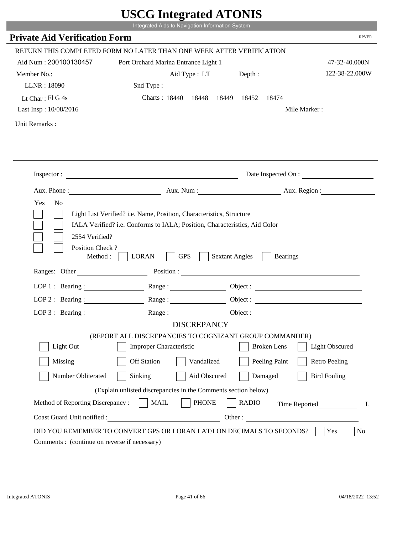|                                                      | Integrated Aids to Navigation Information System                                                                                                                                                                                                                                                                                                                 |                       |                    |                       |
|------------------------------------------------------|------------------------------------------------------------------------------------------------------------------------------------------------------------------------------------------------------------------------------------------------------------------------------------------------------------------------------------------------------------------|-----------------------|--------------------|-----------------------|
| <b>Private Aid Verification Form</b>                 |                                                                                                                                                                                                                                                                                                                                                                  |                       |                    | <b>RPVER</b>          |
|                                                      | RETURN THIS COMPLETED FORM NO LATER THAN ONE WEEK AFTER VERIFICATION                                                                                                                                                                                                                                                                                             |                       |                    |                       |
| Aid Num: 200100130457                                | Port Orchard Marina Entrance Light 1                                                                                                                                                                                                                                                                                                                             |                       |                    | 47-32-40.000N         |
| Member No.:                                          |                                                                                                                                                                                                                                                                                                                                                                  | Aid Type : LT Depth : |                    | 122-38-22.000W        |
| LLNR: 18090                                          | Snd Type:                                                                                                                                                                                                                                                                                                                                                        |                       |                    |                       |
| Lt Char: $FIG4s$                                     | Charts: 18440 18448 18449 18452 18474                                                                                                                                                                                                                                                                                                                            |                       |                    |                       |
| Last Insp: 10/08/2016                                |                                                                                                                                                                                                                                                                                                                                                                  |                       |                    | Mile Marker:          |
| Unit Remarks:                                        |                                                                                                                                                                                                                                                                                                                                                                  |                       |                    |                       |
|                                                      |                                                                                                                                                                                                                                                                                                                                                                  |                       |                    |                       |
|                                                      | Inspector:                                                                                                                                                                                                                                                                                                                                                       |                       |                    | Date Inspected On :   |
|                                                      | Aux. Phone: Aux. Aux. Num : Aux. Aux. Region :                                                                                                                                                                                                                                                                                                                   |                       |                    |                       |
| Yes<br>N <sub>o</sub><br>2554 Verified?              | Light List Verified? i.e. Name, Position, Characteristics, Structure<br>IALA Verified? i.e. Conforms to IALA; Position, Characteristics, Aid Color                                                                                                                                                                                                               |                       |                    |                       |
| Position Check?<br>Method : $\vert$<br>Ranges: Other | <b>GPS</b><br><b>LORAN</b>                                                                                                                                                                                                                                                                                                                                       | <b>Sextant Angles</b> | <b>Bearings</b>    |                       |
|                                                      |                                                                                                                                                                                                                                                                                                                                                                  |                       |                    |                       |
|                                                      | LOP 1 : Bearing : Range :                                                                                                                                                                                                                                                                                                                                        |                       |                    | Object:               |
| LOP $2:$ Bearing :                                   | $Range: \begin{tabular}{ c c } \hline \rule{0.3cm}{.04cm} \rule{0.3cm}{.04cm} \rule{0.3cm}{.04cm} \rule{0.3cm}{.04cm} \rule{0.3cm}{.04cm} \rule{0.3cm}{.04cm} \rule{0.3cm}{.04cm} \rule{0.3cm}{.04cm} \rule{0.3cm}{.04cm} \rule{0.3cm}{.04cm} \rule{0.3cm}{.04cm} \rule{0.3cm}{.04cm} \rule{0.3cm}{.04cm} \rule{0.3cm}{.04cm} \rule{0.3cm}{.04cm} \rule{0.3cm}{$ |                       |                    |                       |
|                                                      | LOP 3: Bearing: Range: Range: Object:                                                                                                                                                                                                                                                                                                                            |                       |                    |                       |
|                                                      | <b>DISCREPANCY</b>                                                                                                                                                                                                                                                                                                                                               |                       |                    |                       |
| Light Out                                            | (REPORT ALL DISCREPANCIES TO COGNIZANT GROUP COMMANDER)<br>Improper Characteristic                                                                                                                                                                                                                                                                               |                       | <b>Broken</b> Lens | <b>Light Obscured</b> |
|                                                      |                                                                                                                                                                                                                                                                                                                                                                  |                       |                    |                       |
| Missing                                              | <b>Off Station</b><br>Vandalized                                                                                                                                                                                                                                                                                                                                 |                       | Peeling Paint      | <b>Retro Peeling</b>  |
| Number Obliterated                                   | Sinking<br>Aid Obscured                                                                                                                                                                                                                                                                                                                                          |                       | Damaged            | <b>Bird Fouling</b>   |
|                                                      | (Explain unlisted discrepancies in the Comments section below)                                                                                                                                                                                                                                                                                                   |                       |                    |                       |
| Method of Reporting Discrepancy:                     | <b>PHONE</b><br><b>MAIL</b>                                                                                                                                                                                                                                                                                                                                      | <b>RADIO</b>          |                    | Time Reported         |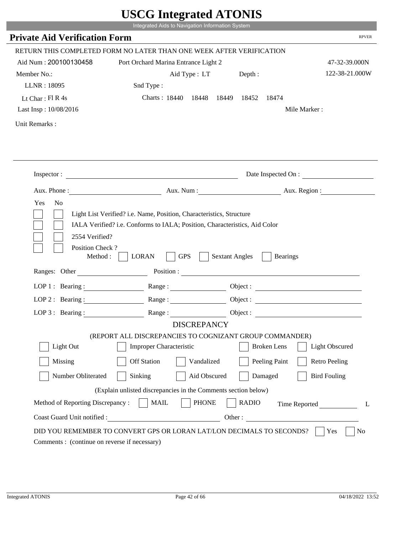| Integrated Aids to Navigation Information System<br><b>Private Aid Verification Form</b><br>RETURN THIS COMPLETED FORM NO LATER THAN ONE WEEK AFTER VERIFICATION<br>Aid Num: 200100130458<br>Port Orchard Marina Entrance Light 2<br>47-32-39.000N<br>122-38-21.000W<br>Member No.:<br>Aid Type : LT Depth :<br>LLNR: 18095<br>Snd Type:<br>Charts: 18440 18448 18449 18452<br>Lt Char: $FI R 4s$<br>18474<br>Last Insp: 10/08/2016<br>Mile Marker:<br>Unit Remarks:<br>Inspector:<br>Date Inspected On :<br>Aux. Num: Aux. Region:<br>Yes<br>N <sub>o</sub><br>Light List Verified? i.e. Name, Position, Characteristics, Structure<br>IALA Verified? i.e. Conforms to IALA; Position, Characteristics, Aid Color<br>2554 Verified?<br>Position Check?<br><b>GPS</b><br>Method:<br><b>LORAN</b><br><b>Sextant Angles</b><br><b>Bearings</b><br>Position :<br>Ranges: Other<br>LOP 1: Bearing : $\qquad \qquad$ Range :<br>LOP $2:$ Bearing :<br>$Range: \begin{tabular}{ c c c } \hline \rule{0.3cm}{.03cm} \rule{0.3cm}{.03cm} \rule{0.3cm}{.03cm} \rule{0.3cm}{.03cm} \rule{0.3cm}{.03cm} \rule{0.3cm}{.03cm} \rule{0.3cm}{.03cm} \rule{0.3cm}{.03cm} \rule{0.3cm}{.03cm} \rule{0.3cm}{.03cm} \rule{0.3cm}{.03cm} \rule{0.3cm}{.03cm} \rule{0.3cm}{.03cm} \rule{0.3cm}{.03cm} \rule{0.3cm}{.03cm} \rule{0.3$<br>LOP 3: Bearing: Range: Name: Object: |              |
|---------------------------------------------------------------------------------------------------------------------------------------------------------------------------------------------------------------------------------------------------------------------------------------------------------------------------------------------------------------------------------------------------------------------------------------------------------------------------------------------------------------------------------------------------------------------------------------------------------------------------------------------------------------------------------------------------------------------------------------------------------------------------------------------------------------------------------------------------------------------------------------------------------------------------------------------------------------------------------------------------------------------------------------------------------------------------------------------------------------------------------------------------------------------------------------------------------------------------------------------------------------------------------------------------------------------------------------------------------|--------------|
|                                                                                                                                                                                                                                                                                                                                                                                                                                                                                                                                                                                                                                                                                                                                                                                                                                                                                                                                                                                                                                                                                                                                                                                                                                                                                                                                                         | <b>RPVER</b> |
|                                                                                                                                                                                                                                                                                                                                                                                                                                                                                                                                                                                                                                                                                                                                                                                                                                                                                                                                                                                                                                                                                                                                                                                                                                                                                                                                                         |              |
|                                                                                                                                                                                                                                                                                                                                                                                                                                                                                                                                                                                                                                                                                                                                                                                                                                                                                                                                                                                                                                                                                                                                                                                                                                                                                                                                                         |              |
|                                                                                                                                                                                                                                                                                                                                                                                                                                                                                                                                                                                                                                                                                                                                                                                                                                                                                                                                                                                                                                                                                                                                                                                                                                                                                                                                                         |              |
|                                                                                                                                                                                                                                                                                                                                                                                                                                                                                                                                                                                                                                                                                                                                                                                                                                                                                                                                                                                                                                                                                                                                                                                                                                                                                                                                                         |              |
|                                                                                                                                                                                                                                                                                                                                                                                                                                                                                                                                                                                                                                                                                                                                                                                                                                                                                                                                                                                                                                                                                                                                                                                                                                                                                                                                                         |              |
|                                                                                                                                                                                                                                                                                                                                                                                                                                                                                                                                                                                                                                                                                                                                                                                                                                                                                                                                                                                                                                                                                                                                                                                                                                                                                                                                                         |              |
|                                                                                                                                                                                                                                                                                                                                                                                                                                                                                                                                                                                                                                                                                                                                                                                                                                                                                                                                                                                                                                                                                                                                                                                                                                                                                                                                                         |              |
|                                                                                                                                                                                                                                                                                                                                                                                                                                                                                                                                                                                                                                                                                                                                                                                                                                                                                                                                                                                                                                                                                                                                                                                                                                                                                                                                                         |              |
|                                                                                                                                                                                                                                                                                                                                                                                                                                                                                                                                                                                                                                                                                                                                                                                                                                                                                                                                                                                                                                                                                                                                                                                                                                                                                                                                                         |              |
|                                                                                                                                                                                                                                                                                                                                                                                                                                                                                                                                                                                                                                                                                                                                                                                                                                                                                                                                                                                                                                                                                                                                                                                                                                                                                                                                                         |              |
|                                                                                                                                                                                                                                                                                                                                                                                                                                                                                                                                                                                                                                                                                                                                                                                                                                                                                                                                                                                                                                                                                                                                                                                                                                                                                                                                                         |              |
|                                                                                                                                                                                                                                                                                                                                                                                                                                                                                                                                                                                                                                                                                                                                                                                                                                                                                                                                                                                                                                                                                                                                                                                                                                                                                                                                                         |              |
|                                                                                                                                                                                                                                                                                                                                                                                                                                                                                                                                                                                                                                                                                                                                                                                                                                                                                                                                                                                                                                                                                                                                                                                                                                                                                                                                                         |              |
|                                                                                                                                                                                                                                                                                                                                                                                                                                                                                                                                                                                                                                                                                                                                                                                                                                                                                                                                                                                                                                                                                                                                                                                                                                                                                                                                                         |              |
| <b>DISCREPANCY</b>                                                                                                                                                                                                                                                                                                                                                                                                                                                                                                                                                                                                                                                                                                                                                                                                                                                                                                                                                                                                                                                                                                                                                                                                                                                                                                                                      |              |
| (REPORT ALL DISCREPANCIES TO COGNIZANT GROUP COMMANDER)                                                                                                                                                                                                                                                                                                                                                                                                                                                                                                                                                                                                                                                                                                                                                                                                                                                                                                                                                                                                                                                                                                                                                                                                                                                                                                 |              |
| Light Out<br>Light Obscured<br>Improper Characteristic<br><b>Broken</b> Lens                                                                                                                                                                                                                                                                                                                                                                                                                                                                                                                                                                                                                                                                                                                                                                                                                                                                                                                                                                                                                                                                                                                                                                                                                                                                            |              |
| Missing<br><b>Off Station</b><br>Peeling Paint<br><b>Retro Peeling</b><br>Vandalized                                                                                                                                                                                                                                                                                                                                                                                                                                                                                                                                                                                                                                                                                                                                                                                                                                                                                                                                                                                                                                                                                                                                                                                                                                                                    |              |
| Sinking<br>Aid Obscured<br><b>Bird Fouling</b><br>Number Obliterated<br>Damaged                                                                                                                                                                                                                                                                                                                                                                                                                                                                                                                                                                                                                                                                                                                                                                                                                                                                                                                                                                                                                                                                                                                                                                                                                                                                         |              |
| (Explain unlisted discrepancies in the Comments section below)                                                                                                                                                                                                                                                                                                                                                                                                                                                                                                                                                                                                                                                                                                                                                                                                                                                                                                                                                                                                                                                                                                                                                                                                                                                                                          |              |
| <b>PHONE</b><br>Method of Reporting Discrepancy:<br><b>MAIL</b><br><b>RADIO</b><br>Time Reported                                                                                                                                                                                                                                                                                                                                                                                                                                                                                                                                                                                                                                                                                                                                                                                                                                                                                                                                                                                                                                                                                                                                                                                                                                                        |              |
| Coast Guard Unit notified :<br>Other:<br><u> 1980 - Johann Barbara, martin d</u>                                                                                                                                                                                                                                                                                                                                                                                                                                                                                                                                                                                                                                                                                                                                                                                                                                                                                                                                                                                                                                                                                                                                                                                                                                                                        | L            |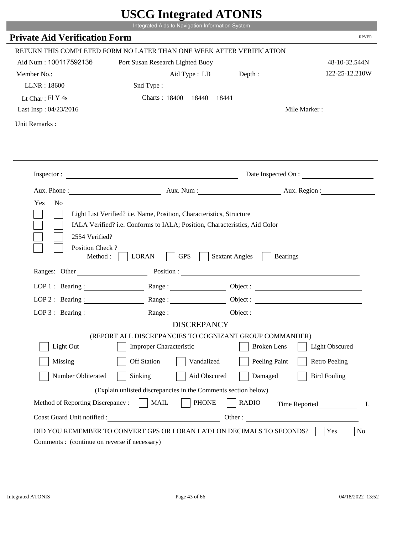|                                              | UDUU IIIItgi altu ATUNID                                                                                                                           |                                          |                              |
|----------------------------------------------|----------------------------------------------------------------------------------------------------------------------------------------------------|------------------------------------------|------------------------------|
|                                              | Integrated Aids to Navigation Information System                                                                                                   |                                          |                              |
| <b>Private Aid Verification Form</b>         |                                                                                                                                                    |                                          | <b>RPVER</b>                 |
|                                              | RETURN THIS COMPLETED FORM NO LATER THAN ONE WEEK AFTER VERIFICATION                                                                               |                                          |                              |
| Aid Num: 100117592136                        | Port Susan Research Lighted Buoy                                                                                                                   |                                          | 48-10-32.544N                |
| Member No.:                                  | Aid Type : LB Depth :                                                                                                                              |                                          | 122-25-12.210W               |
| LLNR: 18600                                  | Snd Type:                                                                                                                                          |                                          |                              |
| Lt Char: Fl Y 4s                             | Charts: 18400 18440                                                                                                                                | 18441                                    |                              |
| Last Insp: 04/23/2016                        |                                                                                                                                                    |                                          | Mile Marker:                 |
| Unit Remarks:                                |                                                                                                                                                    |                                          |                              |
|                                              |                                                                                                                                                    |                                          |                              |
|                                              | Inspector:                                                                                                                                         |                                          | Date Inspected On :          |
|                                              |                                                                                                                                                    |                                          | Aux. Num : Aux. Region :     |
| Yes<br>N <sub>o</sub>                        | Light List Verified? i.e. Name, Position, Characteristics, Structure<br>IALA Verified? i.e. Conforms to IALA; Position, Characteristics, Aid Color |                                          |                              |
| 2554 Verified?<br>Position Check?<br>Method: | <b>GPS</b><br><b>LORAN</b>                                                                                                                         | <b>Sextant Angles</b><br><b>Bearings</b> |                              |
| Ranges: Other                                | Position :                                                                                                                                         |                                          |                              |
| LOP 1 : Bearing :                            |                                                                                                                                                    |                                          |                              |
| LOP $2:$ Bearing :                           | Range:                                                                                                                                             |                                          | Object :                     |
| $LOP$ 3 : Bearing :                          | Range:                                                                                                                                             |                                          | Object :                     |
|                                              | <b>DISCREPANCY</b>                                                                                                                                 |                                          |                              |
|                                              | (REPORT ALL DISCREPANCIES TO COGNIZANT GROUP COMMANDER)                                                                                            |                                          |                              |
| Light Out                                    | <b>Improper Characteristic</b>                                                                                                                     | <b>Broken</b> Lens                       | <b>Light Obscured</b>        |
| Missing                                      | <b>Off Station</b><br>Vandalized                                                                                                                   | Peeling Paint                            | <b>Retro Peeling</b>         |
| Number Obliterated                           | Aid Obscured<br>Sinking                                                                                                                            | Damaged                                  | <b>Bird Fouling</b>          |
|                                              | (Explain unlisted discrepancies in the Comments section below)                                                                                     |                                          |                              |
| Method of Reporting Discrepancy:             | <b>PHONE</b><br><b>MAIL</b>                                                                                                                        | <b>RADIO</b>                             |                              |
| Coast Guard Unit notified :                  |                                                                                                                                                    |                                          | Time Reported<br>L<br>Other: |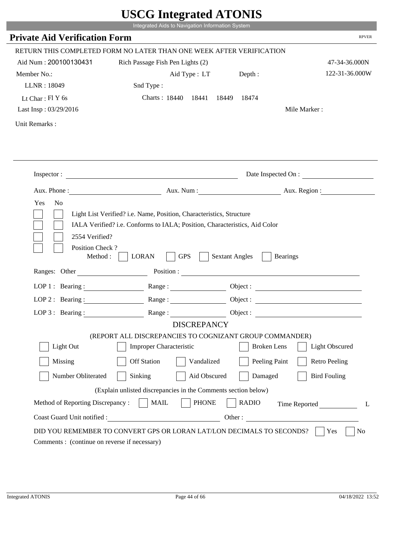|                                             | UDUU IIIIU ARUU ATUNID<br>Integrated Aids to Navigation Information System                                                                                                                                                     |                                          |                        |
|---------------------------------------------|--------------------------------------------------------------------------------------------------------------------------------------------------------------------------------------------------------------------------------|------------------------------------------|------------------------|
|                                             |                                                                                                                                                                                                                                |                                          | <b>RPVER</b>           |
| <b>Private Aid Verification Form</b>        |                                                                                                                                                                                                                                |                                          |                        |
|                                             | RETURN THIS COMPLETED FORM NO LATER THAN ONE WEEK AFTER VERIFICATION                                                                                                                                                           |                                          |                        |
| Aid Num: 200100130431                       | Rich Passage Fish Pen Lights (2)                                                                                                                                                                                               |                                          | 47-34-36.000N          |
| Member No.:                                 | Aid Type : LT                                                                                                                                                                                                                  | Depth:                                   | 122-31-36.000W         |
| LLNR: 18049                                 | Snd Type:                                                                                                                                                                                                                      |                                          |                        |
| Lt Char: $FIY$ 6s                           | Charts: 18440 18441                                                                                                                                                                                                            | 18449<br>18474                           |                        |
| Last Insp: 03/29/2016                       |                                                                                                                                                                                                                                |                                          | Mile Marker:           |
| Unit Remarks:                               |                                                                                                                                                                                                                                |                                          |                        |
|                                             |                                                                                                                                                                                                                                |                                          |                        |
|                                             | Inspector:                                                                                                                                                                                                                     |                                          | Date Inspected On :    |
| Aux. Phone :                                |                                                                                                                                                                                                                                |                                          | Aux. Num: Aux. Region: |
| Yes<br>N <sub>o</sub><br>2554 Verified?     | Light List Verified? i.e. Name, Position, Characteristics, Structure<br>IALA Verified? i.e. Conforms to IALA; Position, Characteristics, Aid Color                                                                             |                                          |                        |
| Position Check?<br>Method:<br>Ranges: Other | <b>GPS</b><br><b>LORAN</b>                                                                                                                                                                                                     | <b>Sextant Angles</b><br><b>Bearings</b> |                        |
|                                             | Position : The Contract of the Contract of the Contract of the Contract of the Contract of the Contract of the Contract of the Contract of the Contract of the Contract of the Contract of the Contract of the Contract of the |                                          |                        |
| LOP 1 : Bearing :                           |                                                                                                                                                                                                                                |                                          | Object :               |
| $LOP$ 2 : Bearing :                         | Range:                                                                                                                                                                                                                         |                                          |                        |
| LOP $3:$ Bearing :                          | Range:                                                                                                                                                                                                                         |                                          |                        |
|                                             | <b>DISCREPANCY</b>                                                                                                                                                                                                             |                                          |                        |
|                                             | (REPORT ALL DISCREPANCIES TO COGNIZANT GROUP COMMANDER)                                                                                                                                                                        |                                          |                        |
| Light Out                                   | <b>Improper Characteristic</b>                                                                                                                                                                                                 | <b>Broken</b> Lens                       | <b>Light Obscured</b>  |
| Missing                                     | <b>Off Station</b><br>Vandalized                                                                                                                                                                                               | Peeling Paint                            | <b>Retro Peeling</b>   |
| Number Obliterated                          | Sinking<br>Aid Obscured                                                                                                                                                                                                        | Damaged                                  | <b>Bird Fouling</b>    |
|                                             | (Explain unlisted discrepancies in the Comments section below)                                                                                                                                                                 |                                          |                        |
| Method of Reporting Discrepancy:            | <b>PHONE</b><br><b>MAIL</b>                                                                                                                                                                                                    | <b>RADIO</b>                             | Time Reported<br>L     |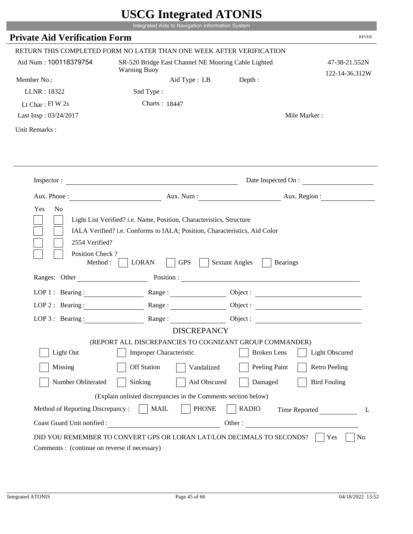|                                              | Integrated Aids to Navigation Information System                                                                                                                                                                                                                                                                                                                                           |                                          |                                 |
|----------------------------------------------|--------------------------------------------------------------------------------------------------------------------------------------------------------------------------------------------------------------------------------------------------------------------------------------------------------------------------------------------------------------------------------------------|------------------------------------------|---------------------------------|
| <b>Private Aid Verification Form</b>         |                                                                                                                                                                                                                                                                                                                                                                                            |                                          | <b>RPVER</b>                    |
|                                              | RETURN THIS COMPLETED FORM NO LATER THAN ONE WEEK AFTER VERIFICATION                                                                                                                                                                                                                                                                                                                       |                                          |                                 |
| Aid Num: 100118379754                        | SR-520 Bridge East Channel NE Mooring Cable Lighted<br><b>Warning Buoy</b>                                                                                                                                                                                                                                                                                                                 |                                          | 47-38-21.552N<br>122-14-36.312W |
| Member No.:                                  | Aid Type : LB                                                                                                                                                                                                                                                                                                                                                                              | Depth:                                   |                                 |
| LLNR: 18322                                  | Snd Type:                                                                                                                                                                                                                                                                                                                                                                                  |                                          |                                 |
| Lt Char: Fl W 2s                             | Charts: 18447                                                                                                                                                                                                                                                                                                                                                                              |                                          |                                 |
| Last Insp: 03/24/2017                        |                                                                                                                                                                                                                                                                                                                                                                                            |                                          | Mile Marker:                    |
| Unit Remarks:                                |                                                                                                                                                                                                                                                                                                                                                                                            |                                          |                                 |
|                                              |                                                                                                                                                                                                                                                                                                                                                                                            |                                          | Date Inspected On :             |
|                                              |                                                                                                                                                                                                                                                                                                                                                                                            |                                          |                                 |
| Yes<br>N <sub>o</sub>                        | Aux. Phone : <u>Aux. Num : Aux. Num : Aux. Region : Aux. Region : Aux. Region : Aux. Region : Aux. Region : Aux. Region : Aux. Region : Aux. Region : Aux. Region : Aux. Region : Aux. Region : Aux. Region : Aux. Region : Aux.</u><br>Light List Verified? i.e. Name, Position, Characteristics, Structure<br>IALA Verified? i.e. Conforms to IALA; Position, Characteristics, Aid Color |                                          |                                 |
| 2554 Verified?<br>Position Check?<br>Method: | <b>GPS</b><br><b>LORAN</b>                                                                                                                                                                                                                                                                                                                                                                 | <b>Sextant Angles</b><br><b>Bearings</b> |                                 |
| Ranges: Other                                |                                                                                                                                                                                                                                                                                                                                                                                            | Position :                               |                                 |
|                                              | LOP 1: Bearing: Range:                                                                                                                                                                                                                                                                                                                                                                     |                                          | Object :                        |
| $LOP$ 2 : Bearing :                          |                                                                                                                                                                                                                                                                                                                                                                                            |                                          | Object :                        |
| LOP $3$ : Bearing:                           | Range:                                                                                                                                                                                                                                                                                                                                                                                     | Object:                                  |                                 |
|                                              | <b>DISCREPANCY</b>                                                                                                                                                                                                                                                                                                                                                                         |                                          |                                 |
|                                              | (REPORT ALL DISCREPANCIES TO COGNIZANT GROUP COMMANDER)                                                                                                                                                                                                                                                                                                                                    |                                          |                                 |
| Light Out                                    | <b>Improper Characteristic</b>                                                                                                                                                                                                                                                                                                                                                             | <b>Broken</b> Lens                       | <b>Light Obscured</b>           |
| Missing                                      | <b>Off Station</b>                                                                                                                                                                                                                                                                                                                                                                         | Peeling Paint<br>Vandalized              | <b>Retro Peeling</b>            |
| Number Obliterated                           | Sinking                                                                                                                                                                                                                                                                                                                                                                                    | Aid Obscured<br>Damaged                  | <b>Bird Fouling</b>             |
|                                              | (Explain unlisted discrepancies in the Comments section below)                                                                                                                                                                                                                                                                                                                             |                                          |                                 |
| Method of Reporting Discrepancy:             | <b>MAIL</b>                                                                                                                                                                                                                                                                                                                                                                                | <b>PHONE</b><br><b>RADIO</b>             | Time Reported<br>L              |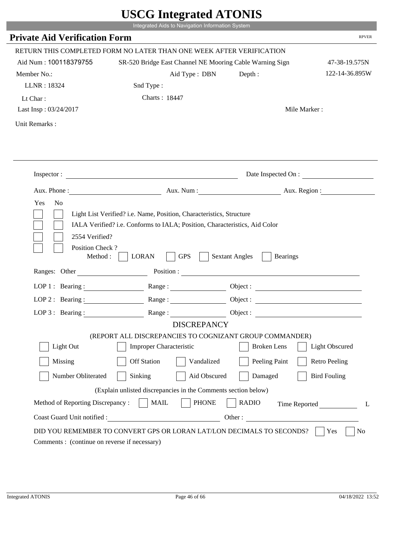|                                                                 | Integrated Aids to Navigation Information System                                                                                                   |                                                        |                       |
|-----------------------------------------------------------------|----------------------------------------------------------------------------------------------------------------------------------------------------|--------------------------------------------------------|-----------------------|
| <b>Private Aid Verification Form</b>                            |                                                                                                                                                    |                                                        | <b>RPVER</b>          |
|                                                                 | RETURN THIS COMPLETED FORM NO LATER THAN ONE WEEK AFTER VERIFICATION                                                                               |                                                        |                       |
| Aid Num: 100118379755                                           | SR-520 Bridge East Channel NE Mooring Cable Warning Sign                                                                                           |                                                        | 47-38-19.575N         |
| Member No.:                                                     | Aid Type : DBN                                                                                                                                     | Depth:                                                 | 122-14-36.895W        |
| LLNR: 18324                                                     | Snd Type:                                                                                                                                          |                                                        |                       |
| Lt Char:                                                        | Charts: 18447                                                                                                                                      |                                                        |                       |
| Last Insp: 03/24/2017                                           |                                                                                                                                                    |                                                        | Mile Marker:          |
| Unit Remarks:                                                   |                                                                                                                                                    |                                                        |                       |
|                                                                 |                                                                                                                                                    |                                                        |                       |
|                                                                 |                                                                                                                                                    |                                                        | Date Inspected On :   |
|                                                                 | Aux. Phone: Aux. Num : Aux. Num : Aux. Region :                                                                                                    |                                                        |                       |
| 2554 Verified?                                                  | Light List Verified? i.e. Name, Position, Characteristics, Structure<br>IALA Verified? i.e. Conforms to IALA; Position, Characteristics, Aid Color |                                                        |                       |
| Position Check?<br>Method : $\vert$<br>Ranges: Other            | <b>GPS</b><br><b>LORAN</b>                                                                                                                         | <b>Sextant Angles</b><br><b>Bearings</b><br>Position : |                       |
|                                                                 |                                                                                                                                                    |                                                        |                       |
|                                                                 | LOP 1: Bearing: Range:                                                                                                                             |                                                        |                       |
|                                                                 | LOP 2: Bearing: $\qquad \qquad \text{Range} :$                                                                                                     |                                                        |                       |
| LOP $3:$ Bearing :                                              | Range:                                                                                                                                             |                                                        | Object :              |
|                                                                 | <b>DISCREPANCY</b><br>(REPORT ALL DISCREPANCIES TO COGNIZANT GROUP COMMANDER)                                                                      |                                                        |                       |
| Light Out                                                       | <b>Improper Characteristic</b>                                                                                                                     | <b>Broken</b> Lens                                     | <b>Light Obscured</b> |
| Missing                                                         | <b>Off Station</b><br>Vandalized                                                                                                                   | Peeling Paint                                          | <b>Retro Peeling</b>  |
|                                                                 | Aid Obscured                                                                                                                                       |                                                        |                       |
| Number Obliterated                                              | Sinking                                                                                                                                            | Damaged                                                | <b>Bird Fouling</b>   |
|                                                                 | (Explain unlisted discrepancies in the Comments section below)                                                                                     |                                                        |                       |
| Method of Reporting Discrepancy:<br>Coast Guard Unit notified : | <b>PHONE</b><br><b>MAIL</b>                                                                                                                        | <b>RADIO</b><br>Other:                                 | Time Reported         |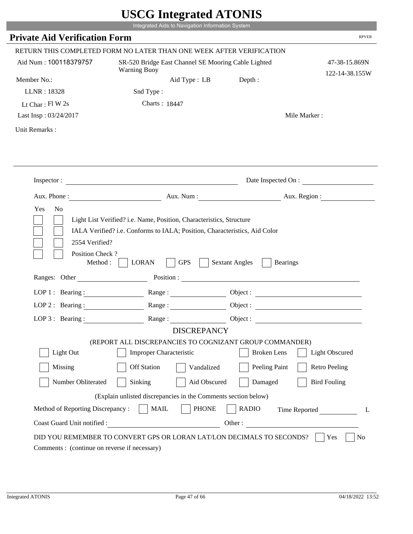|                                                                      |                                                                                                                      | Integrated Aids to Navigation Information System    |                                                                       |                                                                                                                                                                                                                                      |
|----------------------------------------------------------------------|----------------------------------------------------------------------------------------------------------------------|-----------------------------------------------------|-----------------------------------------------------------------------|--------------------------------------------------------------------------------------------------------------------------------------------------------------------------------------------------------------------------------------|
| <b>Private Aid Verification Form</b>                                 |                                                                                                                      |                                                     |                                                                       | <b>RPVER</b>                                                                                                                                                                                                                         |
| RETURN THIS COMPLETED FORM NO LATER THAN ONE WEEK AFTER VERIFICATION |                                                                                                                      |                                                     |                                                                       |                                                                                                                                                                                                                                      |
| Aid Num: 100118379757                                                | <b>Warning Buoy</b>                                                                                                  | SR-520 Bridge East Channel SE Mooring Cable Lighted |                                                                       | 47-38-15.869N<br>122-14-38.155W                                                                                                                                                                                                      |
| Member No.:                                                          |                                                                                                                      | Aid Type : LB                                       | Depth:                                                                |                                                                                                                                                                                                                                      |
| LLNR: 18328                                                          | Snd Type:                                                                                                            |                                                     |                                                                       |                                                                                                                                                                                                                                      |
| Lt Char: $FI$ W 2s                                                   | Charts: 18447                                                                                                        |                                                     |                                                                       |                                                                                                                                                                                                                                      |
| Last Insp: 03/24/2017                                                |                                                                                                                      |                                                     |                                                                       | Mile Marker:                                                                                                                                                                                                                         |
| Unit Remarks:                                                        |                                                                                                                      |                                                     |                                                                       |                                                                                                                                                                                                                                      |
|                                                                      |                                                                                                                      |                                                     |                                                                       |                                                                                                                                                                                                                                      |
| Inspector :                                                          | <u> 1989 - Johann Barbara, martin da basar a shekara 1980 - An tsa a tsara 1980 - An tsa a tsara 1980 - An tsa a</u> |                                                     |                                                                       | Date Inspected On :                                                                                                                                                                                                                  |
|                                                                      |                                                                                                                      |                                                     |                                                                       | Aux. Phone : <u>Aux. Num : Aux. Num : Aux. Aux. Region : Aux. Region : Aux. Region : Aux. Region : Aux. Region : Aux. Region : Aux. Region : Aux. Region : Aux. Region : Aux. Region : Aux. Region : Aux. Region : Aux. Region :</u> |
| 2554 Verified?<br>Position Check?<br>Method:<br>Ranges: Other        | IALA Verified? i.e. Conforms to IALA; Position, Characteristics, Aid Color<br><b>LORAN</b>                           | <b>GPS</b>                                          | <b>Sextant Angles</b><br><b>Bearings</b>                              |                                                                                                                                                                                                                                      |
| LOP 1 : Bearing :                                                    |                                                                                                                      |                                                     | Object :                                                              |                                                                                                                                                                                                                                      |
| LOP $2:$ Bearing :                                                   |                                                                                                                      | Range:                                              | Object :                                                              |                                                                                                                                                                                                                                      |
| LOP $3$ : Bearing:                                                   | Range:                                                                                                               |                                                     | Object :                                                              |                                                                                                                                                                                                                                      |
|                                                                      |                                                                                                                      | <b>DISCREPANCY</b>                                  |                                                                       |                                                                                                                                                                                                                                      |
|                                                                      |                                                                                                                      |                                                     | (REPORT ALL DISCREPANCIES TO COGNIZANT GROUP COMMANDER)               |                                                                                                                                                                                                                                      |
| Light Out                                                            | <b>Improper Characteristic</b>                                                                                       |                                                     | <b>Broken</b> Lens                                                    | <b>Light Obscured</b>                                                                                                                                                                                                                |
| Missing                                                              | Off Station                                                                                                          | Vandalized                                          | Peeling Paint                                                         | <b>Retro Peeling</b>                                                                                                                                                                                                                 |
| Number Obliterated                                                   | Sinking                                                                                                              | Aid Obscured                                        | Damaged                                                               | <b>Bird Fouling</b>                                                                                                                                                                                                                  |
|                                                                      | (Explain unlisted discrepancies in the Comments section below)                                                       |                                                     |                                                                       |                                                                                                                                                                                                                                      |
| Method of Reporting Discrepancy:                                     | <b>MAIL</b>                                                                                                          | <b>PHONE</b>                                        | <b>RADIO</b>                                                          | Time Reported<br>L                                                                                                                                                                                                                   |
| Coast Guard Unit notified :                                          |                                                                                                                      |                                                     | Other:                                                                |                                                                                                                                                                                                                                      |
| Comments : (continue on reverse if necessary)                        |                                                                                                                      |                                                     | DID YOU REMEMBER TO CONVERT GPS OR LORAN LAT/LON DECIMALS TO SECONDS? | Yes<br>No                                                                                                                                                                                                                            |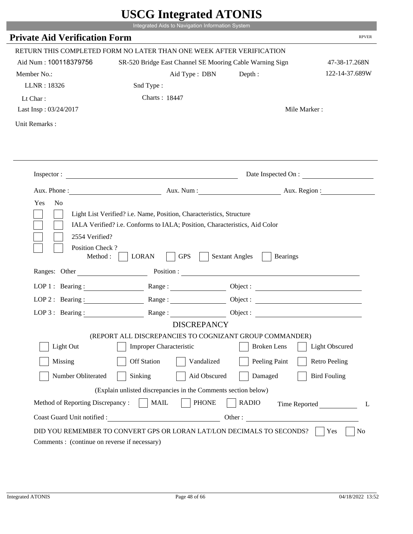|                                             | Integrated Aids to Navigation Information System                                                                                                   |                                          |                                                          |
|---------------------------------------------|----------------------------------------------------------------------------------------------------------------------------------------------------|------------------------------------------|----------------------------------------------------------|
| <b>Private Aid Verification Form</b>        |                                                                                                                                                    |                                          | <b>RPVER</b>                                             |
|                                             | RETURN THIS COMPLETED FORM NO LATER THAN ONE WEEK AFTER VERIFICATION                                                                               |                                          |                                                          |
| Aid Num: 100118379756                       | SR-520 Bridge East Channel SE Mooring Cable Warning Sign                                                                                           |                                          | 47-38-17.268N                                            |
| Member No.:                                 | Aid Type : DBN                                                                                                                                     | Depth:                                   | 122-14-37.689W                                           |
| LLNR: 18326                                 | Snd Type:                                                                                                                                          |                                          |                                                          |
| Lt Char:                                    | Charts: 18447                                                                                                                                      |                                          |                                                          |
| Last Insp: 03/24/2017                       |                                                                                                                                                    |                                          | Mile Marker:                                             |
| Unit Remarks:                               |                                                                                                                                                    |                                          |                                                          |
|                                             |                                                                                                                                                    |                                          |                                                          |
|                                             |                                                                                                                                                    |                                          |                                                          |
|                                             | Inspector:                                                                                                                                         |                                          | Date Inspected On :                                      |
| Aux. Phone :                                |                                                                                                                                                    |                                          | Aux. Num : Aux. Region :                                 |
| Yes<br>N <sub>o</sub><br>2554 Verified?     | Light List Verified? i.e. Name, Position, Characteristics, Structure<br>IALA Verified? i.e. Conforms to IALA; Position, Characteristics, Aid Color |                                          |                                                          |
| Position Check?<br>Method:<br>Ranges: Other | <b>LORAN</b><br><b>GPS</b>                                                                                                                         | <b>Sextant Angles</b><br><b>Bearings</b> |                                                          |
|                                             |                                                                                                                                                    |                                          |                                                          |
| $LOP1:$ Bearing:                            | Range :                                                                                                                                            |                                          |                                                          |
| $LOP$ 2 : Bearing :                         | Range:                                                                                                                                             |                                          | Object :                                                 |
| LOP $3:$ Bearing :                          | Range:                                                                                                                                             | Object :                                 | <u> 1989 - Johann Stein, mars an de Francisco (f. 19</u> |
|                                             | <b>DISCREPANCY</b><br>(REPORT ALL DISCREPANCIES TO COGNIZANT GROUP COMMANDER)                                                                      |                                          |                                                          |
| Light Out                                   | <b>Improper Characteristic</b>                                                                                                                     | <b>Broken</b> Lens                       | <b>Light Obscured</b>                                    |
| Missing                                     | <b>Off Station</b><br>Vandalized                                                                                                                   | Peeling Paint                            | <b>Retro Peeling</b>                                     |
| Number Obliterated                          | Sinking<br>Aid Obscured                                                                                                                            | Damaged                                  | <b>Bird Fouling</b>                                      |
|                                             | (Explain unlisted discrepancies in the Comments section below)                                                                                     |                                          |                                                          |
| Method of Reporting Discrepancy:            | <b>PHONE</b><br><b>MAIL</b>                                                                                                                        | <b>RADIO</b>                             | Time Reported<br>L                                       |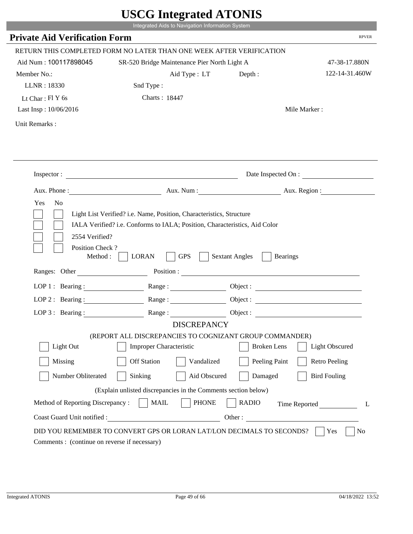|                                                                 | Integrated Aids to Navigation Information System                                                                                                   |                                                        |                       |
|-----------------------------------------------------------------|----------------------------------------------------------------------------------------------------------------------------------------------------|--------------------------------------------------------|-----------------------|
| <b>Private Aid Verification Form</b>                            |                                                                                                                                                    |                                                        | <b>RPVER</b>          |
|                                                                 | RETURN THIS COMPLETED FORM NO LATER THAN ONE WEEK AFTER VERIFICATION                                                                               |                                                        |                       |
| Aid Num: 100117898045                                           | SR-520 Bridge Maintenance Pier North Light A                                                                                                       |                                                        | 47-38-17.880N         |
| Member No.:                                                     | Aid Type: LT                                                                                                                                       | Depth:                                                 | 122-14-31.460W        |
| LLNR: 18330                                                     | Snd Type:                                                                                                                                          |                                                        |                       |
| Lt Char: $FIY$ 6s                                               | Charts: 18447                                                                                                                                      |                                                        |                       |
| Last Insp: 10/06/2016                                           |                                                                                                                                                    |                                                        | Mile Marker:          |
| Unit Remarks:                                                   |                                                                                                                                                    |                                                        |                       |
|                                                                 |                                                                                                                                                    |                                                        |                       |
|                                                                 | Inspector:                                                                                                                                         |                                                        | Date Inspected On :   |
| Aux. Phone :                                                    |                                                                                                                                                    | Aux. Num : Aux. Region :                               |                       |
| 2554 Verified?                                                  | Light List Verified? i.e. Name, Position, Characteristics, Structure<br>IALA Verified? i.e. Conforms to IALA; Position, Characteristics, Aid Color |                                                        |                       |
| Position Check?<br>Method :<br>Ranges: Other                    | <b>GPS</b><br><b>LORAN</b>                                                                                                                         | <b>Sextant Angles</b><br><b>Bearings</b><br>Position : |                       |
|                                                                 | LOP 1: Bearing: $\qquad \qquad$ Range:                                                                                                             |                                                        |                       |
|                                                                 | LOP 2: Bearing: Range:                                                                                                                             |                                                        |                       |
|                                                                 |                                                                                                                                                    |                                                        |                       |
| $LOP 3:$ Bearing :                                              | Range:<br><b>DISCREPANCY</b>                                                                                                                       |                                                        | Object :              |
|                                                                 | (REPORT ALL DISCREPANCIES TO COGNIZANT GROUP COMMANDER)                                                                                            |                                                        |                       |
| Light Out                                                       | Improper Characteristic                                                                                                                            | <b>Broken</b> Lens                                     | <b>Light Obscured</b> |
| Missing                                                         | <b>Off Station</b><br>Vandalized                                                                                                                   | Peeling Paint                                          | <b>Retro Peeling</b>  |
| Number Obliterated                                              | Aid Obscured<br>Sinking                                                                                                                            | Damaged                                                | <b>Bird Fouling</b>   |
|                                                                 |                                                                                                                                                    |                                                        |                       |
|                                                                 | (Explain unlisted discrepancies in the Comments section below)                                                                                     |                                                        |                       |
| Method of Reporting Discrepancy:<br>Coast Guard Unit notified : | <b>PHONE</b><br><b>MAIL</b><br>Other:                                                                                                              | <b>RADIO</b>                                           | Time Reported         |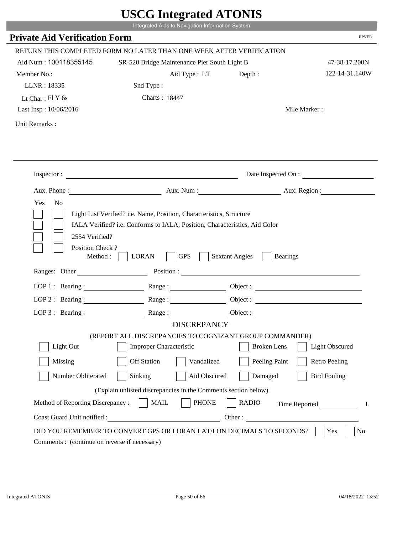|                                                                 | Integrated Aids to Navigation Information System                                                                                                   |                                                        |                       |
|-----------------------------------------------------------------|----------------------------------------------------------------------------------------------------------------------------------------------------|--------------------------------------------------------|-----------------------|
| <b>Private Aid Verification Form</b>                            |                                                                                                                                                    |                                                        | <b>RPVER</b>          |
|                                                                 | RETURN THIS COMPLETED FORM NO LATER THAN ONE WEEK AFTER VERIFICATION                                                                               |                                                        |                       |
| Aid Num: 100118355145                                           | SR-520 Bridge Maintenance Pier South Light B                                                                                                       |                                                        | 47-38-17.200N         |
| Member No.:                                                     | Aid Type: LT                                                                                                                                       | Depth :                                                | 122-14-31.140W        |
| LLNR: 18335                                                     | Snd Type:                                                                                                                                          |                                                        |                       |
| Lt Char: $FIY$ 6s                                               | Charts: 18447                                                                                                                                      |                                                        |                       |
| Last Insp: 10/06/2016                                           |                                                                                                                                                    |                                                        | Mile Marker:          |
| Unit Remarks:                                                   |                                                                                                                                                    |                                                        |                       |
|                                                                 |                                                                                                                                                    |                                                        |                       |
|                                                                 | Inspector:                                                                                                                                         |                                                        | Date Inspected On :   |
| Aux. Phone :                                                    |                                                                                                                                                    | Aux. Num : Aux. Region :                               |                       |
| 2554 Verified?                                                  | Light List Verified? i.e. Name, Position, Characteristics, Structure<br>IALA Verified? i.e. Conforms to IALA; Position, Characteristics, Aid Color |                                                        |                       |
| Position Check?<br>Method :<br>Ranges: Other                    | <b>GPS</b><br><b>LORAN</b>                                                                                                                         | <b>Sextant Angles</b><br><b>Bearings</b><br>Position : |                       |
|                                                                 | LOP 1: Bearing: $\qquad \qquad$ Range:                                                                                                             |                                                        |                       |
|                                                                 | LOP 2: Bearing: Range:                                                                                                                             |                                                        |                       |
|                                                                 |                                                                                                                                                    |                                                        |                       |
| $LOP 3:$ Bearing :                                              | Range:<br><b>DISCREPANCY</b>                                                                                                                       | Object :                                               |                       |
|                                                                 | (REPORT ALL DISCREPANCIES TO COGNIZANT GROUP COMMANDER)                                                                                            |                                                        |                       |
| Light Out                                                       | Improper Characteristic                                                                                                                            | <b>Broken</b> Lens                                     | <b>Light Obscured</b> |
| Missing                                                         | <b>Off Station</b><br>Vandalized                                                                                                                   | Peeling Paint                                          | <b>Retro Peeling</b>  |
| Number Obliterated                                              | Aid Obscured<br>Sinking                                                                                                                            | Damaged                                                | <b>Bird Fouling</b>   |
|                                                                 |                                                                                                                                                    |                                                        |                       |
|                                                                 | (Explain unlisted discrepancies in the Comments section below)                                                                                     |                                                        |                       |
| Method of Reporting Discrepancy:<br>Coast Guard Unit notified : | <b>PHONE</b><br><b>MAIL</b><br>Other:                                                                                                              | <b>RADIO</b>                                           | Time Reported         |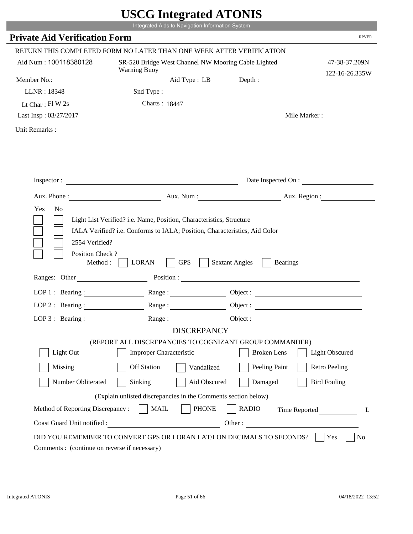| <b>Private Aid Verification Form</b>      |                                                                                                                                                                                                                                                                                                                                                                | Integrated Aids to Navigation Information System                     |                                 |
|-------------------------------------------|----------------------------------------------------------------------------------------------------------------------------------------------------------------------------------------------------------------------------------------------------------------------------------------------------------------------------------------------------------------|----------------------------------------------------------------------|---------------------------------|
|                                           |                                                                                                                                                                                                                                                                                                                                                                |                                                                      | <b>RPVER</b>                    |
|                                           | RETURN THIS COMPLETED FORM NO LATER THAN ONE WEEK AFTER VERIFICATION                                                                                                                                                                                                                                                                                           |                                                                      |                                 |
| Aid Num: 100118380128                     | SR-520 Bridge West Channel NW Mooring Cable Lighted<br><b>Warning Buoy</b>                                                                                                                                                                                                                                                                                     |                                                                      | 47-38-37.209N<br>122-16-26.335W |
| Member No.:                               | Aid Type : LB                                                                                                                                                                                                                                                                                                                                                  | Depth:                                                               |                                 |
| LLNR: 18348                               | Snd Type:                                                                                                                                                                                                                                                                                                                                                      |                                                                      |                                 |
| Lt Char: $FI$ W 2s                        | Charts: 18447                                                                                                                                                                                                                                                                                                                                                  |                                                                      |                                 |
| Last Insp: 03/27/2017                     |                                                                                                                                                                                                                                                                                                                                                                |                                                                      | Mile Marker:                    |
| Unit Remarks:                             |                                                                                                                                                                                                                                                                                                                                                                |                                                                      |                                 |
|                                           |                                                                                                                                                                                                                                                                                                                                                                |                                                                      |                                 |
| Inspector:                                | <u> 1989 - Johann Barbara, martin da basar a shekara 1989 - An tsara 1989 - An tsara 1989 - An tsara 1989 - An tsa</u>                                                                                                                                                                                                                                         |                                                                      | Date Inspected On :             |
|                                           | Aux. Phone : <u>Aux. Num : Aux. Num : Aux. Aux. Region : Aux. Region : Aux. Region : Aux. Region : Aux. Region : Aux. Region : Aux. Region : Aux. Region : Aux. Region : Aux. Region : Aux. Region : Aux. Region : Aux. Region :</u>                                                                                                                           |                                                                      |                                 |
| 2554 Verified?                            | IALA Verified? i.e. Conforms to IALA; Position, Characteristics, Aid Color                                                                                                                                                                                                                                                                                     | Light List Verified? i.e. Name, Position, Characteristics, Structure |                                 |
| Position Check?<br>Method:                | <b>GPS</b><br><b>LORAN</b>                                                                                                                                                                                                                                                                                                                                     | <b>Sextant Angles</b><br><b>Bearings</b>                             |                                 |
| Ranges: Other                             |                                                                                                                                                                                                                                                                                                                                                                | Position :                                                           |                                 |
| LOP $1:$ Bearing :<br>$LOP$ 2 : Bearing : | $Range: \begin{tabular}{ c c c } \hline \rule{0.3cm}{.01cm} \rule{0.3cm}{.01cm} \rule{0.3cm}{.01cm} \rule{0.3cm}{.01cm} \rule{0.3cm}{.01cm} \rule{0.3cm}{.01cm} \rule{0.3cm}{.01cm} \rule{0.3cm}{.01cm} \rule{0.3cm}{.01cm} \rule{0.3cm}{.01cm} \rule{0.3cm}{.01cm} \rule{0.3cm}{.01cm} \rule{0.3cm}{.01cm} \rule{0.3cm}{.01cm} \rule{0.3cm}{.01cm} \rule{0.3$ | Object :                                                             |                                 |
|                                           | Range:                                                                                                                                                                                                                                                                                                                                                         | Object :                                                             |                                 |
| LOP $3$ : Bearing:                        | Range:<br><b>DISCREPANCY</b>                                                                                                                                                                                                                                                                                                                                   | Object:                                                              |                                 |
|                                           | (REPORT ALL DISCREPANCIES TO COGNIZANT GROUP COMMANDER)                                                                                                                                                                                                                                                                                                        |                                                                      |                                 |
| Light Out                                 | <b>Improper Characteristic</b>                                                                                                                                                                                                                                                                                                                                 | <b>Broken</b> Lens                                                   | <b>Light Obscured</b>           |
| Missing                                   | <b>Off Station</b><br>Vandalized                                                                                                                                                                                                                                                                                                                               | Peeling Paint                                                        | <b>Retro Peeling</b>            |
| Number Obliterated                        | Sinking<br>Aid Obscured                                                                                                                                                                                                                                                                                                                                        | Damaged                                                              | <b>Bird Fouling</b>             |
|                                           | (Explain unlisted discrepancies in the Comments section below)                                                                                                                                                                                                                                                                                                 |                                                                      |                                 |
| Method of Reporting Discrepancy:          | $\vert$ MAIL<br><b>PHONE</b>                                                                                                                                                                                                                                                                                                                                   | <b>RADIO</b>                                                         | Time Reported<br>L              |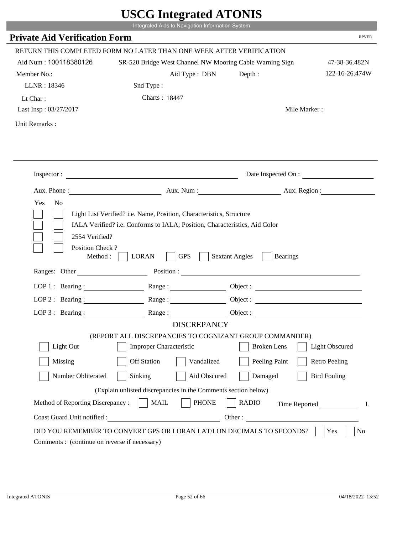|                                                                | Integrated Aids to Navigation Information System                      |                                                          |                       |
|----------------------------------------------------------------|-----------------------------------------------------------------------|----------------------------------------------------------|-----------------------|
| <b>Private Aid Verification Form</b>                           |                                                                       |                                                          | <b>RPVER</b>          |
|                                                                | RETURN THIS COMPLETED FORM NO LATER THAN ONE WEEK AFTER VERIFICATION  |                                                          |                       |
| Aid Num: 100118380126                                          |                                                                       | SR-520 Bridge West Channel NW Mooring Cable Warning Sign | 47-38-36.482N         |
| Member No.:                                                    | Aid Type : DBN                                                        | Depth :                                                  | 122-16-26.474W        |
| LLNR: 18346                                                    | Snd Type:                                                             |                                                          |                       |
| Lt Char:                                                       | Charts: 18447                                                         |                                                          |                       |
| Last Insp: 03/27/2017                                          |                                                                       |                                                          | Mile Marker:          |
| Unit Remarks:                                                  |                                                                       |                                                          |                       |
|                                                                |                                                                       |                                                          |                       |
|                                                                | Inspector:                                                            |                                                          | Date Inspected On :   |
|                                                                | Aux. Phone : Aux. Num : Aux. Num : Aux. Num : Aux. Region :           |                                                          |                       |
| 2554 Verified?<br>Position Check?<br>Method :<br>Ranges: Other | <b>LORAN</b><br><b>GPS</b>                                            | <b>Sextant Angles</b><br><b>Bearings</b>                 |                       |
|                                                                | LOP 1: Bearing: Range:                                                |                                                          |                       |
|                                                                | LOP 2: Bearing: Range:                                                |                                                          |                       |
| LOP $3:$ Bearing :                                             | Range:                                                                | Object :                                                 |                       |
|                                                                | <b>DISCREPANCY</b>                                                    |                                                          |                       |
|                                                                | (REPORT ALL DISCREPANCIES TO COGNIZANT GROUP COMMANDER)               |                                                          |                       |
| Light Out                                                      | <b>Improper Characteristic</b>                                        | <b>Broken</b> Lens                                       | <b>Light Obscured</b> |
| Missing                                                        | <b>Off Station</b><br>Vandalized                                      | Peeling Paint                                            | <b>Retro Peeling</b>  |
| Number Obliterated                                             | Sinking                                                               | Aid Obscured<br>Damaged                                  | <b>Bird Fouling</b>   |
|                                                                | (Explain unlisted discrepancies in the Comments section below)        |                                                          |                       |
| Method of Reporting Discrepancy:                               | <b>PHONE</b><br><b>MAIL</b>                                           | <b>RADIO</b>                                             | Time Reported<br>L    |
| Coast Guard Unit notified :                                    | <u> 1990 - Johann Barbara, martxa eta politikar</u>                   | Other:                                                   |                       |
| Comments : (continue on reverse if necessary)                  | DID YOU REMEMBER TO CONVERT GPS OR LORAN LAT/LON DECIMALS TO SECONDS? |                                                          | Yes<br>N <sub>0</sub> |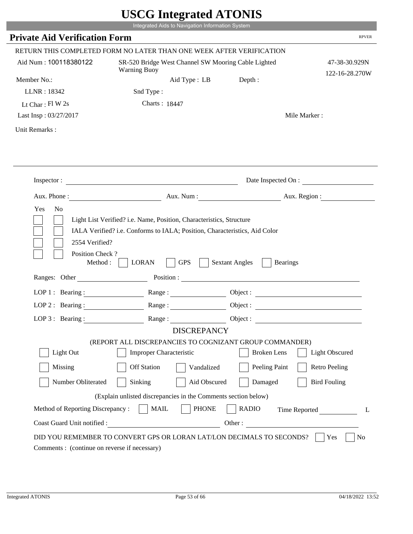|                                              | Integrated Aids to Navigation Information System                                                                                                                                                                                     |                                          |                                 |
|----------------------------------------------|--------------------------------------------------------------------------------------------------------------------------------------------------------------------------------------------------------------------------------------|------------------------------------------|---------------------------------|
| <b>Private Aid Verification Form</b>         |                                                                                                                                                                                                                                      |                                          | <b>RPVER</b>                    |
|                                              | RETURN THIS COMPLETED FORM NO LATER THAN ONE WEEK AFTER VERIFICATION                                                                                                                                                                 |                                          |                                 |
| Aid Num: 100118380122                        | SR-520 Bridge West Channel SW Mooring Cable Lighted<br><b>Warning Buoy</b>                                                                                                                                                           |                                          | 47-38-30.929N<br>122-16-28.270W |
| Member No.:                                  |                                                                                                                                                                                                                                      | Depth:<br>Aid Type : LB                  |                                 |
| LLNR: 18342                                  | Snd Type:                                                                                                                                                                                                                            |                                          |                                 |
| Lt Char: $FI$ W 2s                           | Charts: 18447                                                                                                                                                                                                                        |                                          |                                 |
| Last Insp: 03/27/2017                        |                                                                                                                                                                                                                                      |                                          | Mile Marker:                    |
| Unit Remarks:                                |                                                                                                                                                                                                                                      |                                          |                                 |
|                                              |                                                                                                                                                                                                                                      |                                          |                                 |
|                                              |                                                                                                                                                                                                                                      |                                          |                                 |
|                                              | Inspector:                                                                                                                                                                                                                           |                                          | Date Inspected On :             |
|                                              | Aux. Phone : <u>Aux. Num : Aux. Num : Aux. Aux. Region : Aux. Region : Aux. Region : Aux. Region : Aux. Region : Aux. Region : Aux. Region : Aux. Region : Aux. Region : Aux. Region : Aux. Region : Aux. Region : Aux. Region :</u> |                                          |                                 |
| Yes<br>No                                    | Light List Verified? i.e. Name, Position, Characteristics, Structure<br>IALA Verified? i.e. Conforms to IALA; Position, Characteristics, Aid Color                                                                                   |                                          |                                 |
| 2554 Verified?<br>Position Check?<br>Method: | <b>GPS</b><br><b>LORAN</b>                                                                                                                                                                                                           | <b>Sextant Angles</b><br><b>Bearings</b> |                                 |
| Ranges: Other                                |                                                                                                                                                                                                                                      | Position :                               |                                 |
|                                              | LOP 1: Bearing: Range:                                                                                                                                                                                                               |                                          | Object :                        |
| $LOP$ 2 : Bearing :                          | Range:                                                                                                                                                                                                                               |                                          | Object :                        |
| LOP $3$ : Bearing:                           | Range:                                                                                                                                                                                                                               | Object:                                  |                                 |
|                                              | (REPORT ALL DISCREPANCIES TO COGNIZANT GROUP COMMANDER)                                                                                                                                                                              | <b>DISCREPANCY</b>                       |                                 |
| Light Out                                    | <b>Improper Characteristic</b>                                                                                                                                                                                                       | <b>Broken</b> Lens                       | <b>Light Obscured</b>           |
| Missing                                      | <b>Off Station</b>                                                                                                                                                                                                                   | Peeling Paint<br>Vandalized              | <b>Retro Peeling</b>            |
| Number Obliterated                           | Sinking                                                                                                                                                                                                                              | Aid Obscured<br>Damaged                  | <b>Bird Fouling</b>             |
|                                              | (Explain unlisted discrepancies in the Comments section below)                                                                                                                                                                       |                                          |                                 |
| Method of Reporting Discrepancy:             | <b>MAIL</b>                                                                                                                                                                                                                          | <b>PHONE</b><br><b>RADIO</b>             | Time Reported<br>L              |

r.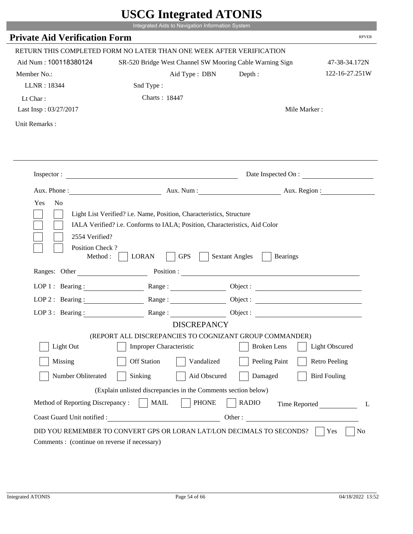|                                              | Integrated Aids to Navigation Information System                                                                                                   |                       |                       |              |
|----------------------------------------------|----------------------------------------------------------------------------------------------------------------------------------------------------|-----------------------|-----------------------|--------------|
| <b>Private Aid Verification Form</b>         |                                                                                                                                                    |                       |                       | <b>RPVER</b> |
|                                              | RETURN THIS COMPLETED FORM NO LATER THAN ONE WEEK AFTER VERIFICATION                                                                               |                       |                       |              |
| Aid Num: 100118380124                        | SR-520 Bridge West Channel SW Mooring Cable Warning Sign                                                                                           |                       | 47-38-34.172N         |              |
| Member No.:                                  | Aid Type : DBN                                                                                                                                     | Depth :               | 122-16-27.251W        |              |
| LLNR: 18344                                  | Snd Type:                                                                                                                                          |                       |                       |              |
| Lt Char:                                     | Charts: 18447                                                                                                                                      |                       |                       |              |
| Last Insp: 03/27/2017                        |                                                                                                                                                    |                       | Mile Marker:          |              |
| Unit Remarks:                                |                                                                                                                                                    |                       |                       |              |
|                                              |                                                                                                                                                    |                       |                       |              |
|                                              | Inspector:                                                                                                                                         |                       | Date Inspected On :   |              |
|                                              | Aux. Phone : Aux. Num : Aux. Num : Aux. Num : Aux. Region :                                                                                        |                       |                       |              |
| Yes<br>N <sub>o</sub><br>2554 Verified?      | Light List Verified? i.e. Name, Position, Characteristics, Structure<br>IALA Verified? i.e. Conforms to IALA; Position, Characteristics, Aid Color |                       |                       |              |
| Position Check?<br>Method :<br>Ranges: Other | <b>LORAN</b><br><b>GPS</b>                                                                                                                         | <b>Sextant Angles</b> | <b>Bearings</b>       |              |
|                                              |                                                                                                                                                    |                       |                       |              |
|                                              | LOP 1: Bearing: Range:                                                                                                                             |                       |                       |              |
|                                              | LOP 2: Bearing: Range:                                                                                                                             |                       |                       |              |
| LOP $3:$ Bearing :                           | Range:<br><b>DISCREPANCY</b>                                                                                                                       |                       | Object :              |              |
|                                              | (REPORT ALL DISCREPANCIES TO COGNIZANT GROUP COMMANDER)                                                                                            |                       |                       |              |
| Light Out                                    | <b>Improper Characteristic</b>                                                                                                                     | <b>Broken</b> Lens    | <b>Light Obscured</b> |              |
| Missing                                      | <b>Off Station</b><br>Vandalized                                                                                                                   | Peeling Paint         | <b>Retro Peeling</b>  |              |
| Number Obliterated                           | Aid Obscured<br>Sinking                                                                                                                            | Damaged               | <b>Bird Fouling</b>   |              |
|                                              | (Explain unlisted discrepancies in the Comments section below)                                                                                     |                       |                       |              |
| Method of Reporting Discrepancy:             | <b>PHONE</b><br><b>MAIL</b>                                                                                                                        | <b>RADIO</b>          | Time Reported         |              |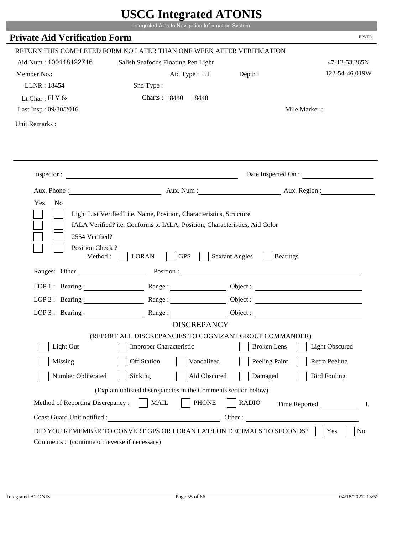|                                             | UDUU IIIItgi altu ATUNID                                                                                                                           |                                          |                          |
|---------------------------------------------|----------------------------------------------------------------------------------------------------------------------------------------------------|------------------------------------------|--------------------------|
|                                             | Integrated Aids to Navigation Information System                                                                                                   |                                          |                          |
| <b>Private Aid Verification Form</b>        |                                                                                                                                                    |                                          | <b>RPVER</b>             |
|                                             | RETURN THIS COMPLETED FORM NO LATER THAN ONE WEEK AFTER VERIFICATION                                                                               |                                          |                          |
| Aid Num: 100118122716                       | Salish Seafoods Floating Pen Light                                                                                                                 |                                          | 47-12-53.265N            |
| Member No.:                                 | Aid Type : LT Depth :                                                                                                                              |                                          | 122-54-46.019W           |
| LLNR: 18454                                 | Snd Type:                                                                                                                                          |                                          |                          |
| Lt Char: $FIY$ 6s                           | Charts: 18440 18448                                                                                                                                |                                          |                          |
| Last Insp: 09/30/2016                       |                                                                                                                                                    |                                          | Mile Marker:             |
| Unit Remarks:                               |                                                                                                                                                    |                                          |                          |
|                                             |                                                                                                                                                    |                                          |                          |
|                                             |                                                                                                                                                    |                                          |                          |
|                                             | Inspector:                                                                                                                                         |                                          | Date Inspected On :      |
|                                             |                                                                                                                                                    |                                          | Aux. Num : Aux. Region : |
| Yes<br>N <sub>o</sub><br>2554 Verified?     | Light List Verified? i.e. Name, Position, Characteristics, Structure<br>IALA Verified? i.e. Conforms to IALA; Position, Characteristics, Aid Color |                                          |                          |
| Position Check?<br>Method:<br>Ranges: Other | <b>GPS</b><br><b>LORAN</b>                                                                                                                         | <b>Sextant Angles</b><br><b>Bearings</b> |                          |
|                                             | Position :                                                                                                                                         |                                          |                          |
| LOP 1 : Bearing :                           |                                                                                                                                                    |                                          | Object :                 |
| LOP $2:$ Bearing :                          | Range:                                                                                                                                             |                                          |                          |
| $LOP$ 3 : Bearing :                         | Range:                                                                                                                                             |                                          | Object :                 |
|                                             | <b>DISCREPANCY</b>                                                                                                                                 |                                          |                          |
| Light Out                                   | (REPORT ALL DISCREPANCIES TO COGNIZANT GROUP COMMANDER)<br><b>Improper Characteristic</b>                                                          | <b>Broken</b> Lens                       | <b>Light Obscured</b>    |
|                                             |                                                                                                                                                    |                                          |                          |
| Missing                                     | <b>Off Station</b><br>Vandalized                                                                                                                   | Peeling Paint                            | <b>Retro Peeling</b>     |
| Number Obliterated                          | Aid Obscured<br>Sinking                                                                                                                            | Damaged                                  | <b>Bird Fouling</b>      |
|                                             | (Explain unlisted discrepancies in the Comments section below)                                                                                     |                                          |                          |
| Method of Reporting Discrepancy:            | <b>PHONE</b><br><b>MAIL</b>                                                                                                                        | <b>RADIO</b>                             | Time Reported<br>L       |

p.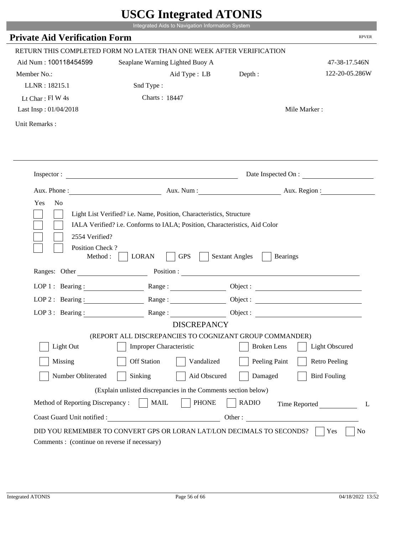|                                                                 | Integrated Aids to Navigation Information System                                                                                                   |                                          |                       |
|-----------------------------------------------------------------|----------------------------------------------------------------------------------------------------------------------------------------------------|------------------------------------------|-----------------------|
| <b>Private Aid Verification Form</b>                            |                                                                                                                                                    |                                          | <b>RPVER</b>          |
|                                                                 | RETURN THIS COMPLETED FORM NO LATER THAN ONE WEEK AFTER VERIFICATION                                                                               |                                          |                       |
| Aid Num: 100118454599                                           | Seaplane Warning Lighted Buoy A                                                                                                                    |                                          | 47-38-17.546N         |
| Member No.:                                                     | Aid Type : LB                                                                                                                                      | Depth:                                   | 122-20-05.286W        |
| LLNR: 18215.1                                                   | Snd Type:                                                                                                                                          |                                          |                       |
| Lt Char: Fl W 4s                                                | Charts: 18447                                                                                                                                      |                                          |                       |
| Last Insp: 01/04/2018                                           |                                                                                                                                                    |                                          | Mile Marker:          |
| Unit Remarks:                                                   |                                                                                                                                                    |                                          |                       |
|                                                                 |                                                                                                                                                    |                                          |                       |
|                                                                 | Inspector:                                                                                                                                         |                                          | Date Inspected On :   |
|                                                                 | Aux. Phone : Aux. Num : Aux. Num : Aux. Aux. Region :                                                                                              |                                          |                       |
| Yes<br>N <sub>o</sub><br>2554 Verified?                         | Light List Verified? i.e. Name, Position, Characteristics, Structure<br>IALA Verified? i.e. Conforms to IALA; Position, Characteristics, Aid Color |                                          |                       |
| Position Check?<br>Method :<br>Ranges: Other                    | <b>GPS</b><br><b>LORAN</b><br>Position :                                                                                                           | <b>Sextant Angles</b><br><b>Bearings</b> |                       |
|                                                                 | Range:                                                                                                                                             |                                          |                       |
| LOP 1 : Bearing :                                               |                                                                                                                                                    |                                          |                       |
| $LOP$ 2 : Bearing :                                             |                                                                                                                                                    |                                          |                       |
|                                                                 | LOP 3: Bearing : $\qquad \qquad$ Range :<br><b>DISCREPANCY</b>                                                                                     |                                          |                       |
|                                                                 | (REPORT ALL DISCREPANCIES TO COGNIZANT GROUP COMMANDER)                                                                                            |                                          |                       |
| Light Out                                                       | <b>Improper Characteristic</b>                                                                                                                     | <b>Broken</b> Lens                       | <b>Light Obscured</b> |
| Missing                                                         | <b>Off Station</b><br>Vandalized                                                                                                                   | Peeling Paint                            | <b>Retro Peeling</b>  |
| Number Obliterated                                              | Sinking<br>Aid Obscured                                                                                                                            | Damaged                                  | <b>Bird Fouling</b>   |
|                                                                 |                                                                                                                                                    |                                          |                       |
|                                                                 | (Explain unlisted discrepancies in the Comments section below)                                                                                     |                                          |                       |
| Method of Reporting Discrepancy:<br>Coast Guard Unit notified : | <b>MAIL</b><br><b>PHONE</b>                                                                                                                        | <b>RADIO</b><br>Other:                   | Time Reported<br>L    |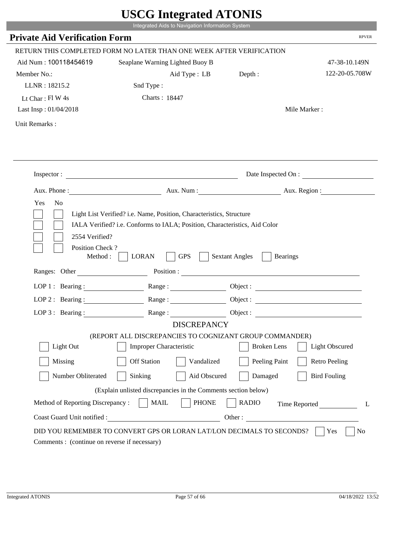|                                                            | UDUU IIIIU ARUU ATUNID<br>Integrated Aids to Navigation Information System                                                                         |                                          |                       |
|------------------------------------------------------------|----------------------------------------------------------------------------------------------------------------------------------------------------|------------------------------------------|-----------------------|
| <b>Private Aid Verification Form</b>                       |                                                                                                                                                    |                                          | <b>RPVER</b>          |
|                                                            | RETURN THIS COMPLETED FORM NO LATER THAN ONE WEEK AFTER VERIFICATION                                                                               |                                          |                       |
| Aid Num: 100118454619                                      | Seaplane Warning Lighted Buoy B                                                                                                                    |                                          | 47-38-10.149N         |
| Member No.:                                                | Aid Type : LB                                                                                                                                      | Depth :                                  | 122-20-05.708W        |
| LLNR: 18215.2                                              | Snd Type:                                                                                                                                          |                                          |                       |
| Lt Char: Fl W 4s                                           | Charts: 18447                                                                                                                                      |                                          |                       |
| Last Insp: 01/04/2018                                      |                                                                                                                                                    |                                          | Mile Marker:          |
| Unit Remarks:                                              |                                                                                                                                                    |                                          |                       |
|                                                            |                                                                                                                                                    |                                          |                       |
|                                                            | Inspector:                                                                                                                                         |                                          | Date Inspected On :   |
| Aux. Phone :                                               |                                                                                                                                                    | Aux. Num: Aux. Region:                   |                       |
| Yes<br>N <sub>o</sub><br>2554 Verified?<br>Position Check? | Light List Verified? i.e. Name, Position, Characteristics, Structure<br>IALA Verified? i.e. Conforms to IALA; Position, Characteristics, Aid Color |                                          |                       |
| Method:<br>Ranges: Other                                   | <b>GPS</b><br><b>LORAN</b>                                                                                                                         | <b>Sextant Angles</b><br><b>Bearings</b> |                       |
|                                                            |                                                                                                                                                    | Position :                               |                       |
| LOP 1 : Bearing : $\qquad \qquad$                          |                                                                                                                                                    | Object :                                 |                       |
| $LOP$ 2 : Bearing :                                        | Range:                                                                                                                                             |                                          |                       |
| $LOP$ 3 : Bearing :                                        | Range:<br><b>DISCREPANCY</b>                                                                                                                       |                                          |                       |
|                                                            | (REPORT ALL DISCREPANCIES TO COGNIZANT GROUP COMMANDER)                                                                                            |                                          |                       |
| Light Out                                                  | <b>Improper Characteristic</b>                                                                                                                     | <b>Broken</b> Lens                       | <b>Light Obscured</b> |
| Missing                                                    | <b>Off Station</b><br>Vandalized                                                                                                                   | Peeling Paint                            | <b>Retro Peeling</b>  |
| Number Obliterated                                         | Sinking<br>Aid Obscured                                                                                                                            | Damaged                                  | <b>Bird Fouling</b>   |
|                                                            | (Explain unlisted discrepancies in the Comments section below)                                                                                     |                                          |                       |
| Method of Reporting Discrepancy:                           | <b>PHONE</b><br><b>MAIL</b>                                                                                                                        | <b>RADIO</b>                             | Time Reported<br>L    |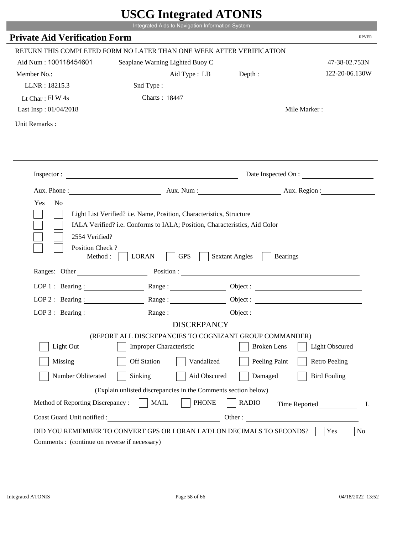|                                              | Integrated Aids to Navigation Information System                                                                                                                   |                                                        |                        |
|----------------------------------------------|--------------------------------------------------------------------------------------------------------------------------------------------------------------------|--------------------------------------------------------|------------------------|
| <b>Private Aid Verification Form</b>         |                                                                                                                                                                    |                                                        | <b>RPVER</b>           |
|                                              | RETURN THIS COMPLETED FORM NO LATER THAN ONE WEEK AFTER VERIFICATION                                                                                               |                                                        |                        |
| Aid Num: 100118454601                        | Seaplane Warning Lighted Buoy C                                                                                                                                    |                                                        | 47-38-02.753N          |
| Member No.:                                  | Aid Type : LB                                                                                                                                                      | Depth:                                                 | 122-20-06.130W         |
| LLNR: 18215.3                                | Snd Type:                                                                                                                                                          |                                                        |                        |
| Lt Char: $FlW 4s$                            | Charts: 18447                                                                                                                                                      |                                                        |                        |
| Last Insp: 01/04/2018                        |                                                                                                                                                                    |                                                        | Mile Marker:           |
| Unit Remarks:                                |                                                                                                                                                                    |                                                        |                        |
|                                              | Inspector:                                                                                                                                                         |                                                        | Date Inspected On :    |
|                                              |                                                                                                                                                                    |                                                        |                        |
|                                              |                                                                                                                                                                    |                                                        | Aux. Num: Aux. Region: |
| N <sub>o</sub><br>Yes<br>2554 Verified?      | Aux. Phone :<br>Light List Verified? i.e. Name, Position, Characteristics, Structure<br>IALA Verified? i.e. Conforms to IALA; Position, Characteristics, Aid Color |                                                        |                        |
| Position Check?<br>Method :<br>Ranges: Other | <b>GPS</b><br><b>LORAN</b>                                                                                                                                         | <b>Sextant Angles</b><br><b>Bearings</b><br>Position : |                        |
|                                              |                                                                                                                                                                    |                                                        |                        |
|                                              | LOP 1: Bearing: $\qquad \qquad$ Range:                                                                                                                             |                                                        |                        |
|                                              | LOP 2: Bearing: Range:                                                                                                                                             |                                                        |                        |
| $LOP 3:$ Bearing :                           | Range:                                                                                                                                                             |                                                        | Object:                |
|                                              | <b>DISCREPANCY</b><br>(REPORT ALL DISCREPANCIES TO COGNIZANT GROUP COMMANDER)                                                                                      |                                                        |                        |
| Light Out                                    | Improper Characteristic                                                                                                                                            | <b>Broken</b> Lens                                     | <b>Light Obscured</b>  |
|                                              |                                                                                                                                                                    |                                                        |                        |
| Missing                                      | <b>Off Station</b><br>Vandalized                                                                                                                                   | Peeling Paint                                          | <b>Retro Peeling</b>   |
| Number Obliterated                           | Aid Obscured<br>Sinking                                                                                                                                            | Damaged                                                | <b>Bird Fouling</b>    |
|                                              | (Explain unlisted discrepancies in the Comments section below)                                                                                                     |                                                        |                        |
| Method of Reporting Discrepancy:             | <b>PHONE</b><br><b>MAIL</b>                                                                                                                                        | <b>RADIO</b>                                           | Time Reported          |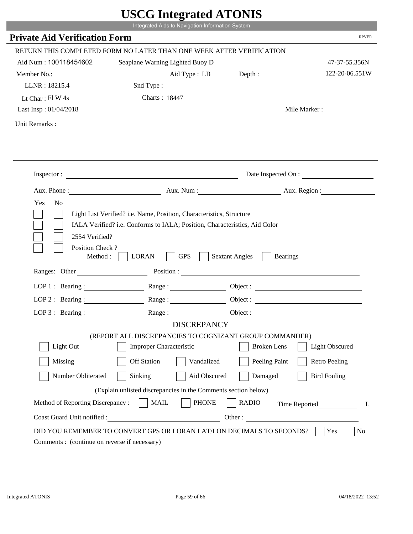|                                                                 | Integrated Aids to Navigation Information System                                                                                                   |                                                        |                       |
|-----------------------------------------------------------------|----------------------------------------------------------------------------------------------------------------------------------------------------|--------------------------------------------------------|-----------------------|
| <b>Private Aid Verification Form</b>                            |                                                                                                                                                    |                                                        | <b>RPVER</b>          |
|                                                                 | RETURN THIS COMPLETED FORM NO LATER THAN ONE WEEK AFTER VERIFICATION                                                                               |                                                        |                       |
| Aid Num: 100118454602                                           | Seaplane Warning Lighted Buoy D                                                                                                                    |                                                        | 47-37-55.356N         |
| Member No.:                                                     | Aid Type : LB                                                                                                                                      | Depth:                                                 | 122-20-06.551W        |
| LLNR: 18215.4                                                   | Snd Type:                                                                                                                                          |                                                        |                       |
| Lt Char: $FlW 4s$                                               | Charts: 18447                                                                                                                                      |                                                        |                       |
| Last Insp: 01/04/2018                                           |                                                                                                                                                    |                                                        | Mile Marker:          |
| Unit Remarks:                                                   |                                                                                                                                                    |                                                        |                       |
|                                                                 |                                                                                                                                                    |                                                        |                       |
|                                                                 | Inspector:                                                                                                                                         |                                                        | Date Inspected On :   |
| Aux. Phone :<br>N <sub>o</sub>                                  |                                                                                                                                                    | Aux. Num: Aux. Region:                                 |                       |
| 2554 Verified?                                                  | Light List Verified? i.e. Name, Position, Characteristics, Structure<br>IALA Verified? i.e. Conforms to IALA; Position, Characteristics, Aid Color |                                                        |                       |
| Position Check?<br>Method :<br>Ranges: Other                    | <b>GPS</b><br><b>LORAN</b>                                                                                                                         | <b>Sextant Angles</b><br><b>Bearings</b><br>Position : |                       |
|                                                                 |                                                                                                                                                    |                                                        |                       |
|                                                                 | LOP 1: Bearing: $\qquad \qquad$ Range:                                                                                                             |                                                        |                       |
|                                                                 | LOP 2: Bearing: Range:                                                                                                                             |                                                        |                       |
| $LOP 3:$ Bearing :                                              | Range:<br><b>DISCREPANCY</b>                                                                                                                       |                                                        | Object:               |
|                                                                 | (REPORT ALL DISCREPANCIES TO COGNIZANT GROUP COMMANDER)                                                                                            |                                                        |                       |
| Light Out                                                       | Improper Characteristic                                                                                                                            | <b>Broken</b> Lens                                     | <b>Light Obscured</b> |
| Missing                                                         | <b>Off Station</b><br>Vandalized                                                                                                                   | Peeling Paint                                          | <b>Retro Peeling</b>  |
| Number Obliterated                                              | Aid Obscured<br>Sinking                                                                                                                            | Damaged                                                | <b>Bird Fouling</b>   |
|                                                                 |                                                                                                                                                    |                                                        |                       |
|                                                                 | (Explain unlisted discrepancies in the Comments section below)                                                                                     |                                                        |                       |
| Method of Reporting Discrepancy:<br>Coast Guard Unit notified : | <b>PHONE</b><br><b>MAIL</b><br>Other:                                                                                                              | <b>RADIO</b>                                           | Time Reported         |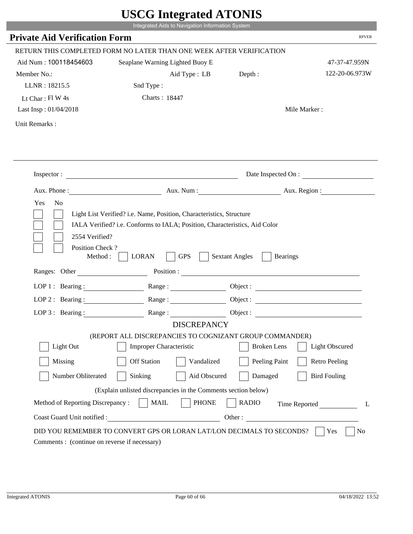|                                                                 | Integrated Aids to Navigation Information System                                                                                                   |                                          |                       |
|-----------------------------------------------------------------|----------------------------------------------------------------------------------------------------------------------------------------------------|------------------------------------------|-----------------------|
| <b>Private Aid Verification Form</b>                            |                                                                                                                                                    |                                          | <b>RPVER</b>          |
|                                                                 | RETURN THIS COMPLETED FORM NO LATER THAN ONE WEEK AFTER VERIFICATION                                                                               |                                          |                       |
| Aid Num: 100118454603                                           | Seaplane Warning Lighted Buoy E                                                                                                                    |                                          | 47-37-47.959N         |
| Member No.:                                                     | Aid Type : LB                                                                                                                                      | Depth:                                   | 122-20-06.973W        |
| LLNR: 18215.5                                                   | Snd Type:                                                                                                                                          |                                          |                       |
| Lt Char: Fl W 4s                                                | Charts: 18447                                                                                                                                      |                                          |                       |
| Last Insp: 01/04/2018                                           |                                                                                                                                                    |                                          | Mile Marker:          |
| Unit Remarks:                                                   |                                                                                                                                                    |                                          |                       |
|                                                                 |                                                                                                                                                    |                                          |                       |
|                                                                 | Inspector:                                                                                                                                         |                                          | Date Inspected On :   |
|                                                                 | Aux. Phone : Aux. Num : Aux. Num : Aux. Aux. Region :                                                                                              |                                          |                       |
| Yes<br>N <sub>o</sub><br>2554 Verified?                         | Light List Verified? i.e. Name, Position, Characteristics, Structure<br>IALA Verified? i.e. Conforms to IALA; Position, Characteristics, Aid Color |                                          |                       |
| Position Check?<br>Method :<br>Ranges: Other                    | <b>GPS</b><br><b>LORAN</b><br>Position :                                                                                                           | <b>Sextant Angles</b><br><b>Bearings</b> |                       |
|                                                                 |                                                                                                                                                    |                                          |                       |
| LOP 1 : Bearing :                                               | Range:                                                                                                                                             |                                          |                       |
| $LOP$ 2 : Bearing :                                             |                                                                                                                                                    |                                          |                       |
|                                                                 | LOP 3: Bearing : $\qquad \qquad$ Range :                                                                                                           |                                          |                       |
|                                                                 | <b>DISCREPANCY</b><br>(REPORT ALL DISCREPANCIES TO COGNIZANT GROUP COMMANDER)                                                                      |                                          |                       |
| Light Out                                                       | Improper Characteristic                                                                                                                            | <b>Broken</b> Lens                       | <b>Light Obscured</b> |
| Missing                                                         | <b>Off Station</b><br>Vandalized                                                                                                                   |                                          | <b>Retro Peeling</b>  |
|                                                                 |                                                                                                                                                    | Peeling Paint                            |                       |
| Number Obliterated                                              | Sinking<br>Aid Obscured                                                                                                                            | Damaged                                  | <b>Bird Fouling</b>   |
|                                                                 | (Explain unlisted discrepancies in the Comments section below)                                                                                     |                                          |                       |
| Method of Reporting Discrepancy:<br>Coast Guard Unit notified : | <b>MAIL</b><br><b>PHONE</b>                                                                                                                        | <b>RADIO</b><br>Other:                   | Time Reported<br>L    |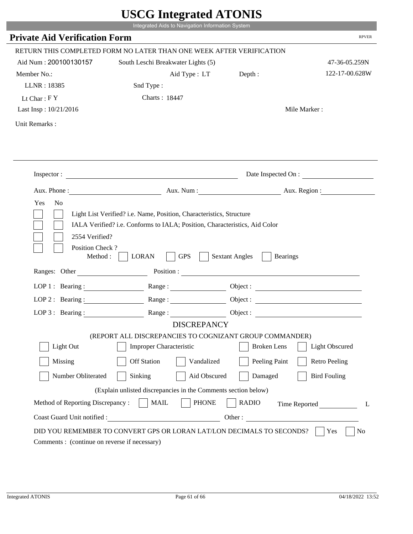|                                                                        | Integrated Aids to Navigation Information System                                                                                                   |                                          |                       |
|------------------------------------------------------------------------|----------------------------------------------------------------------------------------------------------------------------------------------------|------------------------------------------|-----------------------|
| <b>Private Aid Verification Form</b>                                   |                                                                                                                                                    |                                          | <b>RPVER</b>          |
|                                                                        | RETURN THIS COMPLETED FORM NO LATER THAN ONE WEEK AFTER VERIFICATION                                                                               |                                          |                       |
| Aid Num: 200100130157                                                  | South Leschi Breakwater Lights (5)                                                                                                                 |                                          | 47-36-05.259N         |
| Member No.:                                                            | Aid Type : LT Depth :                                                                                                                              |                                          | 122-17-00.628W        |
| LLNR: 18385                                                            | Snd Type:                                                                                                                                          |                                          |                       |
| Lt Char: $FY$                                                          | Charts: 18447                                                                                                                                      |                                          |                       |
| Last Insp: 10/21/2016                                                  |                                                                                                                                                    |                                          | Mile Marker:          |
| Unit Remarks:                                                          |                                                                                                                                                    |                                          |                       |
|                                                                        |                                                                                                                                                    |                                          | Date Inspected On :   |
|                                                                        | Aux. Phone: Aux. Num : Aux. Num : Aux. Region :                                                                                                    |                                          |                       |
| Yes<br>N <sub>o</sub>                                                  | Light List Verified? i.e. Name, Position, Characteristics, Structure<br>IALA Verified? i.e. Conforms to IALA; Position, Characteristics, Aid Color |                                          |                       |
| 2554 Verified?<br>Position Check?<br>Method : $\vert$<br>Ranges: Other | <b>GPS</b><br><b>LORAN</b>                                                                                                                         | <b>Sextant Angles</b><br><b>Bearings</b> |                       |
|                                                                        |                                                                                                                                                    |                                          |                       |
|                                                                        | LOP 1: Bearing: Range:                                                                                                                             |                                          |                       |
| LOP 2: Bearing:                                                        | Range:                                                                                                                                             |                                          |                       |
|                                                                        | LOP 3: Bearing: Range: Range: Object:                                                                                                              |                                          |                       |
|                                                                        | <b>DISCREPANCY</b><br>(REPORT ALL DISCREPANCIES TO COGNIZANT GROUP COMMANDER)                                                                      |                                          |                       |
| Light Out                                                              | Improper Characteristic                                                                                                                            | <b>Broken</b> Lens                       | <b>Light Obscured</b> |
| Missing                                                                | <b>Off Station</b><br>Vandalized                                                                                                                   | Peeling Paint                            | <b>Retro Peeling</b>  |
| Number Obliterated                                                     | Sinking<br>Aid Obscured                                                                                                                            | Damaged                                  | <b>Bird Fouling</b>   |
|                                                                        |                                                                                                                                                    |                                          |                       |
|                                                                        | (Explain unlisted discrepancies in the Comments section below)                                                                                     |                                          |                       |
| Method of Reporting Discrepancy:<br>Coast Guard Unit notified :        | <b>MAIL</b><br><b>PHONE</b><br><u> 1980 - Johann Barbara, martxa eta politikar</u>                                                                 | <b>RADIO</b><br>Other:                   | Time Reported<br>L    |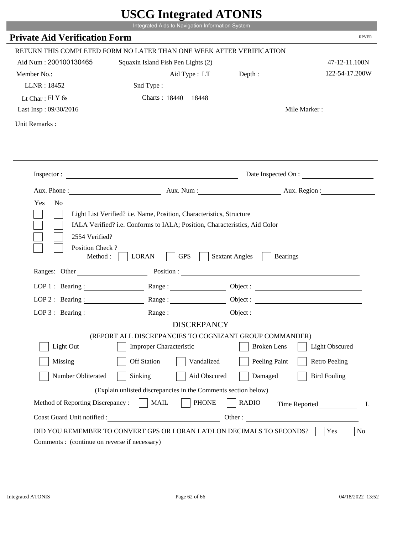|                                             | Integrated Aids to Navigation Information System                                                                                                   |                                          |                              |
|---------------------------------------------|----------------------------------------------------------------------------------------------------------------------------------------------------|------------------------------------------|------------------------------|
| <b>Private Aid Verification Form</b>        |                                                                                                                                                    |                                          | <b>RPVER</b>                 |
|                                             | RETURN THIS COMPLETED FORM NO LATER THAN ONE WEEK AFTER VERIFICATION                                                                               |                                          |                              |
| Aid Num: 200100130465                       | Squaxin Island Fish Pen Lights (2)                                                                                                                 |                                          | 47-12-11.100N                |
| Member No.:                                 | Aid Type : LT Depth :                                                                                                                              |                                          | 122-54-17.200W               |
| LLNR: 18452                                 | Snd Type:                                                                                                                                          |                                          |                              |
| Lt Char: $FIY$ 6s                           | Charts: 18440 18448                                                                                                                                |                                          |                              |
| Last Insp: 09/30/2016                       |                                                                                                                                                    |                                          | Mile Marker:                 |
| Unit Remarks:                               |                                                                                                                                                    |                                          |                              |
|                                             |                                                                                                                                                    |                                          |                              |
|                                             |                                                                                                                                                    |                                          |                              |
|                                             | Inspector:                                                                                                                                         |                                          | Date Inspected On :          |
|                                             |                                                                                                                                                    |                                          | Aux. Num : Aux. Region :     |
| 2554 Verified?                              | Light List Verified? i.e. Name, Position, Characteristics, Structure<br>IALA Verified? i.e. Conforms to IALA; Position, Characteristics, Aid Color |                                          |                              |
| Position Check?<br>Method:<br>Ranges: Other | <b>GPS</b><br><b>LORAN</b>                                                                                                                         | <b>Sextant Angles</b><br><b>Bearings</b> |                              |
|                                             | Position :                                                                                                                                         |                                          |                              |
| LOP 1 : Bearing :                           |                                                                                                                                                    |                                          | Object :                     |
| LOP $2:$ Bearing :                          | Range:                                                                                                                                             |                                          | Object :                     |
| $LOP$ 3 : Bearing :                         | Range:                                                                                                                                             |                                          | Object :                     |
|                                             | <b>DISCREPANCY</b>                                                                                                                                 |                                          |                              |
| Light Out                                   | (REPORT ALL DISCREPANCIES TO COGNIZANT GROUP COMMANDER)<br><b>Improper Characteristic</b>                                                          | <b>Broken</b> Lens                       | <b>Light Obscured</b>        |
| Missing                                     | <b>Off Station</b><br>Vandalized                                                                                                                   | Peeling Paint                            | <b>Retro Peeling</b>         |
| Number Obliterated                          | Aid Obscured<br>Sinking                                                                                                                            | Damaged                                  | <b>Bird Fouling</b>          |
|                                             | (Explain unlisted discrepancies in the Comments section below)                                                                                     |                                          |                              |
| Method of Reporting Discrepancy:            | <b>PHONE</b><br><b>MAIL</b>                                                                                                                        | <b>RADIO</b>                             |                              |
| Coast Guard Unit notified :                 |                                                                                                                                                    |                                          | Time Reported<br>L<br>Other: |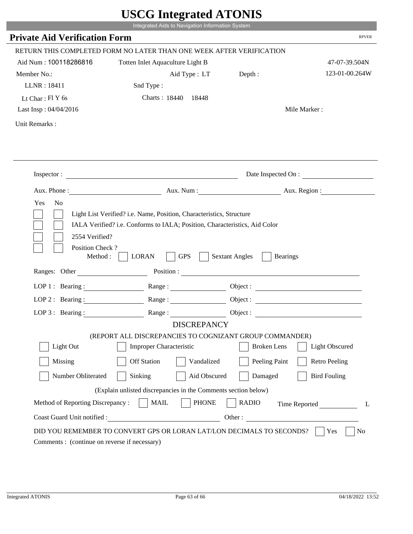|                                             | UDUU IIIItgi altu ATUNID                                                                                                                           |                                          |                          |
|---------------------------------------------|----------------------------------------------------------------------------------------------------------------------------------------------------|------------------------------------------|--------------------------|
|                                             | Integrated Aids to Navigation Information System                                                                                                   |                                          |                          |
| <b>Private Aid Verification Form</b>        |                                                                                                                                                    |                                          | <b>RPVER</b>             |
|                                             | RETURN THIS COMPLETED FORM NO LATER THAN ONE WEEK AFTER VERIFICATION                                                                               |                                          |                          |
| Aid Num: 100118286816                       | Totten Inlet Aquaculture Light B                                                                                                                   |                                          | 47-07-39.504N            |
| Member No.:                                 | Aid Type : LT                                                                                                                                      | Depth :                                  | 123-01-00.264W           |
| LLNR: 18411                                 | Snd Type:                                                                                                                                          |                                          |                          |
| Lt Char: Fl Y 6s                            | Charts: 18440 18448                                                                                                                                |                                          |                          |
| Last Insp: 04/04/2016                       |                                                                                                                                                    |                                          | Mile Marker:             |
| Unit Remarks:                               |                                                                                                                                                    |                                          |                          |
|                                             |                                                                                                                                                    |                                          |                          |
|                                             |                                                                                                                                                    |                                          |                          |
|                                             | Inspector:                                                                                                                                         |                                          | Date Inspected On :      |
|                                             |                                                                                                                                                    |                                          | Aux. Num : Aux. Region : |
| Yes<br>N <sub>o</sub><br>2554 Verified?     | Light List Verified? i.e. Name, Position, Characteristics, Structure<br>IALA Verified? i.e. Conforms to IALA; Position, Characteristics, Aid Color |                                          |                          |
| Position Check?<br>Method:<br>Ranges: Other | <b>GPS</b><br><b>LORAN</b>                                                                                                                         | <b>Sextant Angles</b><br><b>Bearings</b> |                          |
|                                             | Position :                                                                                                                                         |                                          |                          |
| LOP 1 : Bearing :                           |                                                                                                                                                    |                                          | Object :                 |
| LOP $2:$ Bearing :                          |                                                                                                                                                    |                                          | Object :                 |
| $LOP$ 3 : Bearing :                         | Range:                                                                                                                                             |                                          | Object :                 |
|                                             | <b>DISCREPANCY</b>                                                                                                                                 |                                          |                          |
|                                             | (REPORT ALL DISCREPANCIES TO COGNIZANT GROUP COMMANDER)                                                                                            |                                          |                          |
| Light Out                                   | <b>Improper Characteristic</b>                                                                                                                     | <b>Broken</b> Lens                       | <b>Light Obscured</b>    |
| Missing                                     | <b>Off Station</b><br>Vandalized                                                                                                                   | Peeling Paint                            | <b>Retro Peeling</b>     |
| Number Obliterated                          | Aid Obscured<br>Sinking                                                                                                                            | Damaged                                  | <b>Bird Fouling</b>      |
|                                             | (Explain unlisted discrepancies in the Comments section below)                                                                                     |                                          |                          |
| Method of Reporting Discrepancy:            | <b>PHONE</b><br><b>MAIL</b>                                                                                                                        | <b>RADIO</b>                             | Time Reported<br>L       |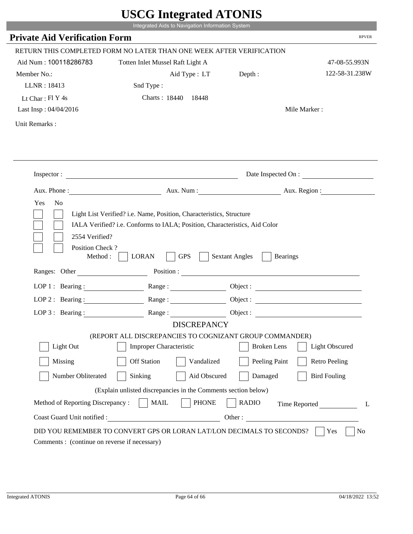|                                                                 | Integrated Aids to Navigation Information System                                                                                                   |                                          |                       |
|-----------------------------------------------------------------|----------------------------------------------------------------------------------------------------------------------------------------------------|------------------------------------------|-----------------------|
| <b>Private Aid Verification Form</b>                            |                                                                                                                                                    |                                          | <b>RPVER</b>          |
|                                                                 | RETURN THIS COMPLETED FORM NO LATER THAN ONE WEEK AFTER VERIFICATION                                                                               |                                          |                       |
| Aid Num: 100118286783                                           | Totten Inlet Mussel Raft Light A                                                                                                                   |                                          | 47-08-55.993N         |
| Member No.:                                                     | Aid Type : LT Depth :                                                                                                                              |                                          | 122-58-31.238W        |
| LLNR: 18413                                                     | Snd Type:                                                                                                                                          |                                          |                       |
| Lt Char: $FI Y 4s$                                              | Charts: 18440 18448                                                                                                                                |                                          |                       |
| Last Insp: 04/04/2016                                           |                                                                                                                                                    |                                          | Mile Marker:          |
| Unit Remarks:                                                   |                                                                                                                                                    |                                          |                       |
|                                                                 |                                                                                                                                                    |                                          |                       |
|                                                                 | Inspector:                                                                                                                                         |                                          | Date Inspected On :   |
|                                                                 | Aux. Phone: Aux. Aux. Num : Aux. Aux. Region :                                                                                                     |                                          |                       |
| 2554 Verified?                                                  | Light List Verified? i.e. Name, Position, Characteristics, Structure<br>IALA Verified? i.e. Conforms to IALA; Position, Characteristics, Aid Color |                                          |                       |
| Position Check?<br>Method : $\vert$<br>Ranges: Other            | <b>GPS</b><br><b>LORAN</b>                                                                                                                         | <b>Sextant Angles</b><br><b>Bearings</b> |                       |
|                                                                 |                                                                                                                                                    |                                          |                       |
|                                                                 | LOP 1 : Bearing : Range :                                                                                                                          |                                          | Object:               |
| LOP 2 : Bearing :                                               |                                                                                                                                                    |                                          |                       |
|                                                                 | LOP 3: Bearing: Range: Object:                                                                                                                     |                                          |                       |
|                                                                 | <b>DISCREPANCY</b><br>(REPORT ALL DISCREPANCIES TO COGNIZANT GROUP COMMANDER)                                                                      |                                          |                       |
| Light Out                                                       | Improper Characteristic                                                                                                                            | <b>Broken</b> Lens                       | <b>Light Obscured</b> |
| Missing                                                         | <b>Off Station</b><br>Vandalized                                                                                                                   | Peeling Paint                            | <b>Retro Peeling</b>  |
| Number Obliterated                                              | Sinking<br>Aid Obscured                                                                                                                            | Damaged                                  | <b>Bird Fouling</b>   |
|                                                                 |                                                                                                                                                    |                                          |                       |
|                                                                 | (Explain unlisted discrepancies in the Comments section below)                                                                                     |                                          |                       |
| Method of Reporting Discrepancy:<br>Coast Guard Unit notified : | <b>PHONE</b><br><b>MAIL</b><br><u> 1989 - Johann Barbara, martxa alemaniar a</u>                                                                   | <b>RADIO</b><br>Other:                   | Time Reported<br>L    |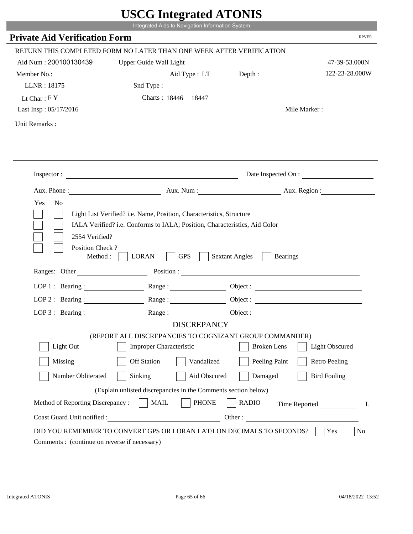|                                         | Integrated Aids to Navigation Information System                                                                                                   |                                          |                       |
|-----------------------------------------|----------------------------------------------------------------------------------------------------------------------------------------------------|------------------------------------------|-----------------------|
| <b>Private Aid Verification Form</b>    |                                                                                                                                                    |                                          | <b>RPVER</b>          |
|                                         | RETURN THIS COMPLETED FORM NO LATER THAN ONE WEEK AFTER VERIFICATION                                                                               |                                          |                       |
| Aid Num: 200100130439                   | Upper Guide Wall Light                                                                                                                             |                                          | 47-39-53.000N         |
| Member No.:                             | Aid Type : LT                                                                                                                                      | Depth:                                   | 122-23-28.000W        |
| LLNR: 18175                             | Snd Type:                                                                                                                                          |                                          |                       |
| Lt Char: $FY$                           | Charts: 18446 18447                                                                                                                                |                                          |                       |
| Last Insp: 05/17/2016                   |                                                                                                                                                    |                                          | Mile Marker:          |
| Unit Remarks:                           |                                                                                                                                                    |                                          |                       |
|                                         |                                                                                                                                                    |                                          |                       |
|                                         | Inspector: $\qquad \qquad$                                                                                                                         |                                          | Date Inspected On :   |
|                                         | Aux. Phone : Aux. Num : Aux. Num : Aux. Num : Aux. Region :                                                                                        |                                          |                       |
| N <sub>o</sub><br>Yes<br>2554 Verified? | Light List Verified? i.e. Name, Position, Characteristics, Structure<br>IALA Verified? i.e. Conforms to IALA; Position, Characteristics, Aid Color |                                          |                       |
| Position Check?<br>Method:              | <b>GPS</b><br><b>LORAN</b>                                                                                                                         | <b>Sextant Angles</b><br><b>Bearings</b> |                       |
| Ranges: Other                           |                                                                                                                                                    | Position :                               |                       |
| LOP 1 : Bearing : $\qquad \qquad$       |                                                                                                                                                    |                                          |                       |
| $LOP$ 2 : Bearing :                     | $\mathbf{Range} : \underline{\hspace{1cm}} \qquad \qquad \qquad \qquad$                                                                            |                                          |                       |
| LOP $3$ : Bearing :                     | Range:                                                                                                                                             | Object :                                 |                       |
|                                         | <b>DISCREPANCY</b><br>(REPORT ALL DISCREPANCIES TO COGNIZANT GROUP COMMANDER)                                                                      |                                          |                       |
| Light Out                               | <b>Improper Characteristic</b>                                                                                                                     | <b>Broken</b> Lens                       | <b>Light Obscured</b> |
| Missing                                 | <b>Off Station</b><br>Vandalized                                                                                                                   | Peeling Paint                            | <b>Retro Peeling</b>  |
| Number Obliterated                      | Sinking<br>Aid Obscured                                                                                                                            | Damaged                                  | <b>Bird Fouling</b>   |
|                                         | (Explain unlisted discrepancies in the Comments section below)                                                                                     |                                          |                       |
| Method of Reporting Discrepancy:        | <b>PHONE</b><br><b>MAIL</b>                                                                                                                        | <b>RADIO</b>                             |                       |
| Coast Guard Unit notified :             | <u> 1990 - Johann Barbara, martin a</u>                                                                                                            | Other:                                   | Time Reported<br>L    |